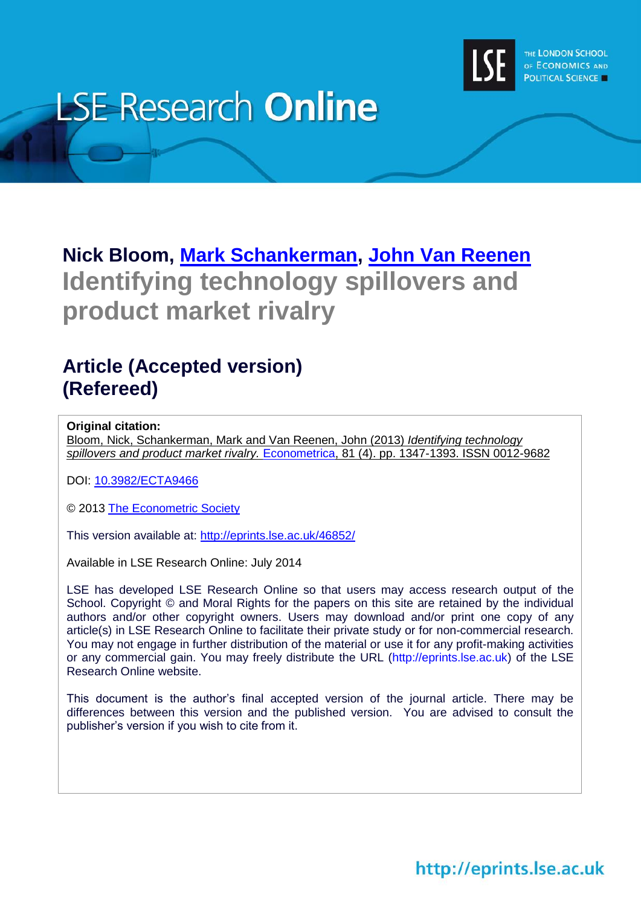

# **LSE Research Online**

# **Nick Bloom, [Mark Schankerman,](http://www.lse.ac.uk/researchAndExpertise/Experts/profile.aspx?KeyValue=m.schankerman@lse.ac.uk) [John Van Reenen](http://www.lse.ac.uk/researchAndExpertise/Experts/profile.aspx?KeyValue=j.vanreenen@lse.ac.uk) Identifying technology spillovers and product market rivalry**

# **Article (Accepted version) (Refereed)**

# **Original citation:**

Bloom, Nick, Schankerman, Mark and Van Reenen, John (2013) *Identifying technology spillovers and product market rivalry.* [Econometrica,](http://onlinelibrary.wiley.com/journal/10.1111/(ISSN)1468-0262) 81 (4). pp. 1347-1393. ISSN 0012-9682

DOI: [10.3982/ECTA9466](http://dx.doi.org/10.3982/ECTA9466)

© 2013 [The Econometric Society](http://www.econometricsociety.org/)

This version available at:<http://eprints.lse.ac.uk/46852/>

Available in LSE Research Online: July 2014

LSE has developed LSE Research Online so that users may access research output of the School. Copyright © and Moral Rights for the papers on this site are retained by the individual authors and/or other copyright owners. Users may download and/or print one copy of any article(s) in LSE Research Online to facilitate their private study or for non-commercial research. You may not engage in further distribution of the material or use it for any profit-making activities or any commercial gain. You may freely distribute the URL (http://eprints.lse.ac.uk) of the LSE Research Online website.

This document is the author's final accepted version of the journal article. There may be differences between this version and the published version. You are advised to consult the publisher's version if you wish to cite from it.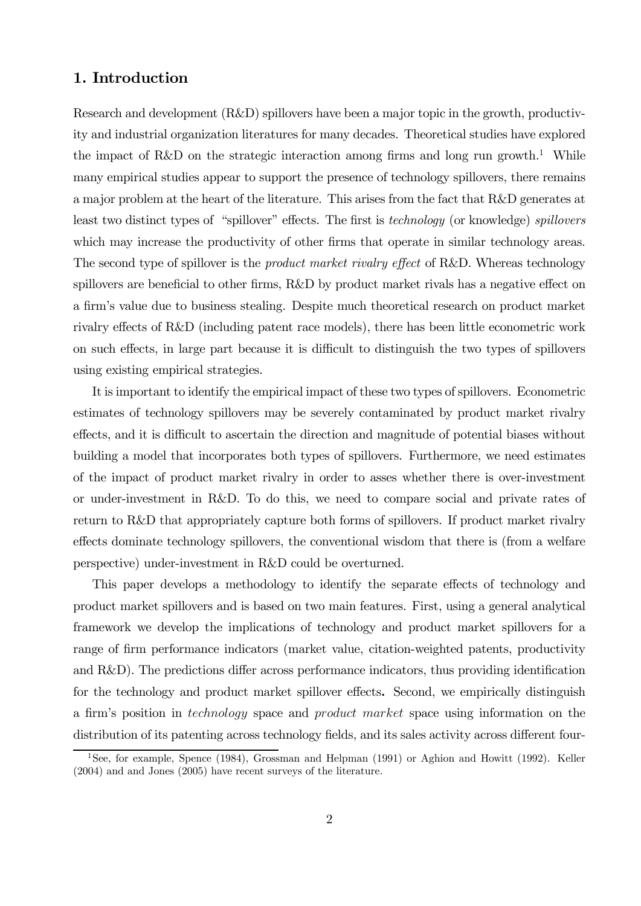# 1. Introduction

Research and development (R&D) spillovers have been a major topic in the growth, productivity and industrial organization literatures for many decades. Theoretical studies have explored the impact of R&D on the strategic interaction among firms and long run growth.<sup>1</sup> While many empirical studies appear to support the presence of technology spillovers, there remains a major problem at the heart of the literature. This arises from the fact that R&D generates at least two distinct types of "spillover" effects. The first is technology (or knowledge) spillovers which may increase the productivity of other firms that operate in similar technology areas. The second type of spillover is the *product market rivalry effect* of R&D. Whereas technology spillovers are beneficial to other firms, R&D by product market rivals has a negative effect on a firm's value due to business stealing. Despite much theoretical research on product market rivalry effects of R&D (including patent race models), there has been little econometric work on such effects, in large part because it is difficult to distinguish the two types of spillovers using existing empirical strategies.

It is important to identify the empirical impact of these two types of spillovers. Econometric estimates of technology spillovers may be severely contaminated by product market rivalry effects, and it is difficult to ascertain the direction and magnitude of potential biases without building a model that incorporates both types of spillovers. Furthermore, we need estimates of the impact of product market rivalry in order to asses whether there is over-investment or under-investment in R&D. To do this, we need to compare social and private rates of return to R&D that appropriately capture both forms of spillovers. If product market rivalry effects dominate technology spillovers, the conventional wisdom that there is (from a welfare perspective) under-investment in R&D could be overturned.

This paper develops a methodology to identify the separate effects of technology and product market spillovers and is based on two main features. First, using a general analytical framework we develop the implications of technology and product market spillovers for a range of firm performance indicators (market value, citation-weighted patents, productivity and R&D). The predictions differ across performance indicators, thus providing identification for the technology and product market spillover effects. Second, we empirically distinguish a firm's position in *technology* space and *product market* space using information on the distribution of its patenting across technology fields, and its sales activity across different four-

<sup>&</sup>lt;sup>1</sup>See, for example, Spence (1984), Grossman and Helpman (1991) or Aghion and Howitt (1992). Keller (2004) and and Jones (2005) have recent surveys of the literature.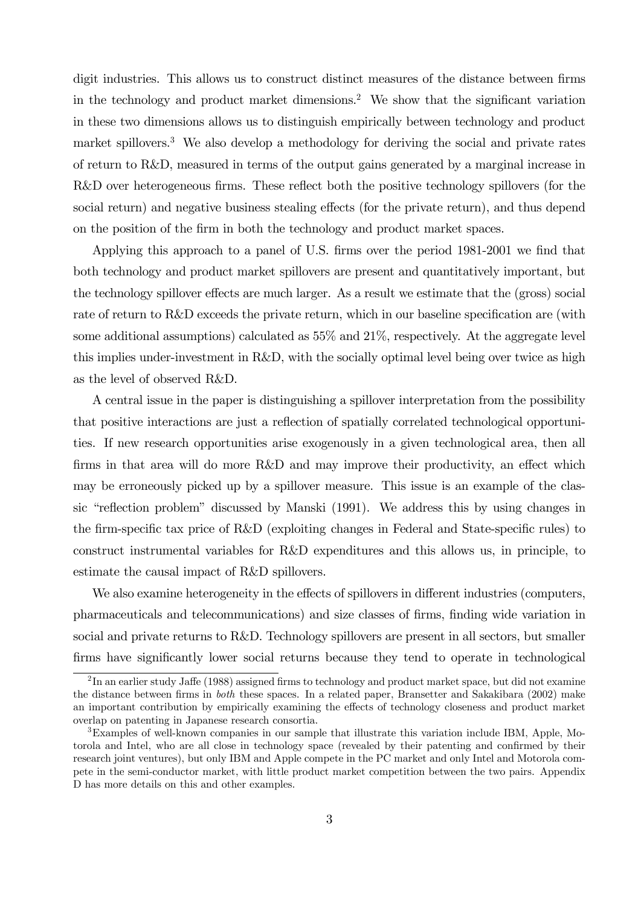digit industries. This allows us to construct distinct measures of the distance between firms in the technology and product market dimensions.<sup>2</sup> We show that the significant variation in these two dimensions allows us to distinguish empirically between technology and product market spillovers.<sup>3</sup> We also develop a methodology for deriving the social and private rates of return to R&D, measured in terms of the output gains generated by a marginal increase in R&D over heterogeneous firms. These reflect both the positive technology spillovers (for the social return) and negative business stealing effects (for the private return), and thus depend on the position of the firm in both the technology and product market spaces.

Applying this approach to a panel of U.S. firms over the period 1981-2001 we find that both technology and product market spillovers are present and quantitatively important, but the technology spillover effects are much larger. As a result we estimate that the (gross) social rate of return to R&D exceeds the private return, which in our baseline specification are (with some additional assumptions) calculated as 55% and 21%, respectively. At the aggregate level this implies under-investment in R&D, with the socially optimal level being over twice as high as the level of observed R&D.

A central issue in the paper is distinguishing a spillover interpretation from the possibility that positive interactions are just a reflection of spatially correlated technological opportunities. If new research opportunities arise exogenously in a given technological area, then all firms in that area will do more R&D and may improve their productivity, an effect which may be erroneously picked up by a spillover measure. This issue is an example of the classic "reflection problem" discussed by Manski (1991). We address this by using changes in the firm-specific tax price of R&D (exploiting changes in Federal and State-specific rules) to construct instrumental variables for R&D expenditures and this allows us, in principle, to estimate the causal impact of R&D spillovers.

We also examine heterogeneity in the effects of spillovers in different industries (computers, pharmaceuticals and telecommunications) and size classes of firms, finding wide variation in social and private returns to R&D. Technology spillovers are present in all sectors, but smaller firms have significantly lower social returns because they tend to operate in technological

<sup>&</sup>lt;sup>2</sup>In an earlier study Jaffe (1988) assigned firms to technology and product market space, but did not examine the distance between firms in both these spaces. In a related paper, Bransetter and Sakakibara (2002) make an important contribution by empirically examining the effects of technology closeness and product market overlap on patenting in Japanese research consortia.

<sup>3</sup>Examples of well-known companies in our sample that illustrate this variation include IBM, Apple, Motorola and Intel, who are all close in technology space (revealed by their patenting and confirmed by their research joint ventures), but only IBM and Apple compete in the PC market and only Intel and Motorola compete in the semi-conductor market, with little product market competition between the two pairs. Appendix D has more details on this and other examples.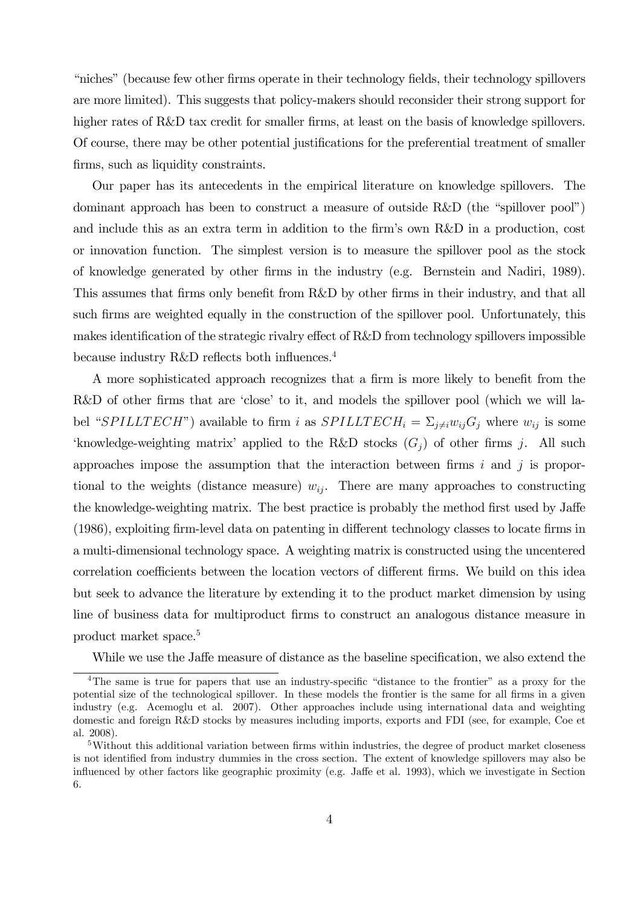"niches" (because few other firms operate in their technology fields, their technology spillovers are more limited). This suggests that policy-makers should reconsider their strong support for higher rates of R&D tax credit for smaller firms, at least on the basis of knowledge spillovers. Of course, there may be other potential justifications for the preferential treatment of smaller firms, such as liquidity constraints.

Our paper has its antecedents in the empirical literature on knowledge spillovers. The dominant approach has been to construct a measure of outside R&D (the "spillover pool") and include this as an extra term in addition to the firm's own R&D in a production, cost or innovation function. The simplest version is to measure the spillover pool as the stock of knowledge generated by other firms in the industry (e.g. Bernstein and Nadiri, 1989). This assumes that firms only benefit from R&D by other firms in their industry, and that all such firms are weighted equally in the construction of the spillover pool. Unfortunately, this makes identification of the strategic rivalry effect of R&D from technology spillovers impossible because industry R&D reflects both influences.4

A more sophisticated approach recognizes that a firm is more likely to benefit from the R&D of other firms that are 'close' to it, and models the spillover pool (which we will label "SPILLTECH") available to firm *i* as  $SPILLTECH_i = \sum_{j\neq i} w_{ij} G_j$  where  $w_{ij}$  is some 'knowledge-weighting matrix' applied to the R&D stocks  $(G_i)$  of other firms j. All such approaches impose the assumption that the interaction between firms  $i$  and  $j$  is proportional to the weights (distance measure)  $w_{ij}$ . There are many approaches to constructing the knowledge-weighting matrix. The best practice is probably the method first used by Jaffe (1986), exploiting firm-level data on patenting in different technology classes to locate firms in a multi-dimensional technology space. A weighting matrix is constructed using the uncentered correlation coefficients between the location vectors of different firms. We build on this idea but seek to advance the literature by extending it to the product market dimension by using line of business data for multiproduct firms to construct an analogous distance measure in product market space.5

While we use the Jaffe measure of distance as the baseline specification, we also extend the

<sup>4</sup>The same is true for papers that use an industry-specific "distance to the frontier" as a proxy for the potential size of the technological spillover. In these models the frontier is the same for all firms in a given industry (e.g. Acemoglu et al. 2007). Other approaches include using international data and weighting domestic and foreign R&D stocks by measures including imports, exports and FDI (see, for example, Coe et al. 2008).

<sup>5</sup>Without this additional variation between firms within industries, the degree of product market closeness is not identified from industry dummies in the cross section. The extent of knowledge spillovers may also be influenced by other factors like geographic proximity (e.g. Jaffe et al. 1993), which we investigate in Section 6.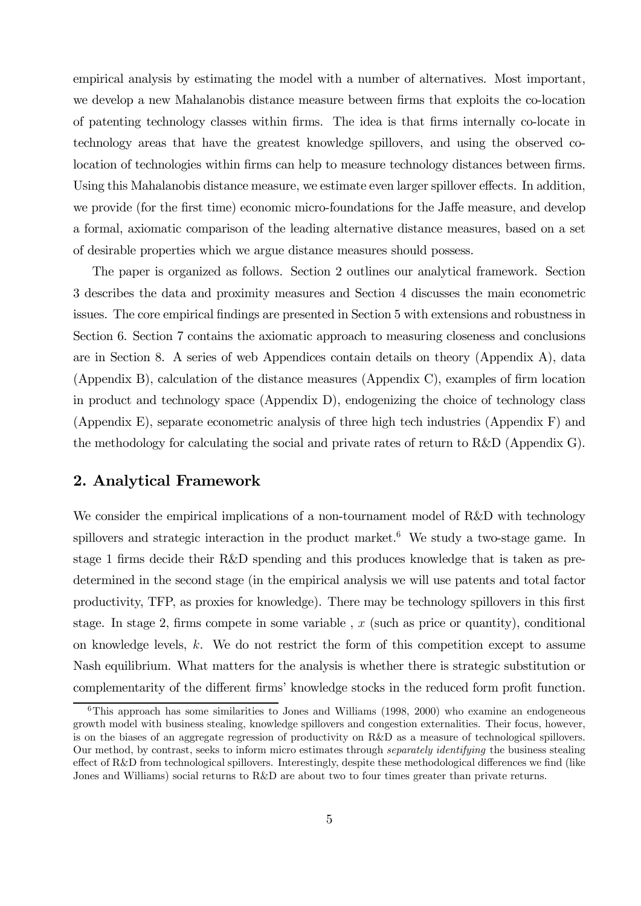empirical analysis by estimating the model with a number of alternatives. Most important, we develop a new Mahalanobis distance measure between firms that exploits the co-location of patenting technology classes within firms. The idea is that firms internally co-locate in technology areas that have the greatest knowledge spillovers, and using the observed colocation of technologies within firms can help to measure technology distances between firms. Using this Mahalanobis distance measure, we estimate even larger spillover effects. In addition, we provide (for the first time) economic micro-foundations for the Jaffe measure, and develop a formal, axiomatic comparison of the leading alternative distance measures, based on a set of desirable properties which we argue distance measures should possess.

The paper is organized as follows. Section 2 outlines our analytical framework. Section 3 describes the data and proximity measures and Section 4 discusses the main econometric issues. The core empirical findings are presented in Section 5 with extensions and robustness in Section 6. Section 7 contains the axiomatic approach to measuring closeness and conclusions are in Section 8. A series of web Appendices contain details on theory (Appendix A), data (Appendix B), calculation of the distance measures (Appendix C), examples of firm location in product and technology space (Appendix D), endogenizing the choice of technology class (Appendix E), separate econometric analysis of three high tech industries (Appendix F) and the methodology for calculating the social and private rates of return to R&D (Appendix G).

# 2. Analytical Framework

We consider the empirical implications of a non-tournament model of R&D with technology spillovers and strategic interaction in the product market.<sup>6</sup> We study a two-stage game. In stage 1 firms decide their R&D spending and this produces knowledge that is taken as predetermined in the second stage (in the empirical analysis we will use patents and total factor productivity, TFP, as proxies for knowledge). There may be technology spillovers in this first stage. In stage 2, firms compete in some variable,  $x$  (such as price or quantity), conditional on knowledge levels,  $k$ . We do not restrict the form of this competition except to assume Nash equilibrium. What matters for the analysis is whether there is strategic substitution or complementarity of the different firms' knowledge stocks in the reduced form profit function.

 $6$ This approach has some similarities to Jones and Williams (1998, 2000) who examine an endogeneous growth model with business stealing, knowledge spillovers and congestion externalities. Their focus, however, is on the biases of an aggregate regression of productivity on R&D as a measure of technological spillovers. Our method, by contrast, seeks to inform micro estimates through separately identifying the business stealing effect of R&D from technological spillovers. Interestingly, despite these methodological differences we find (like Jones and Williams) social returns to R&D are about two to four times greater than private returns.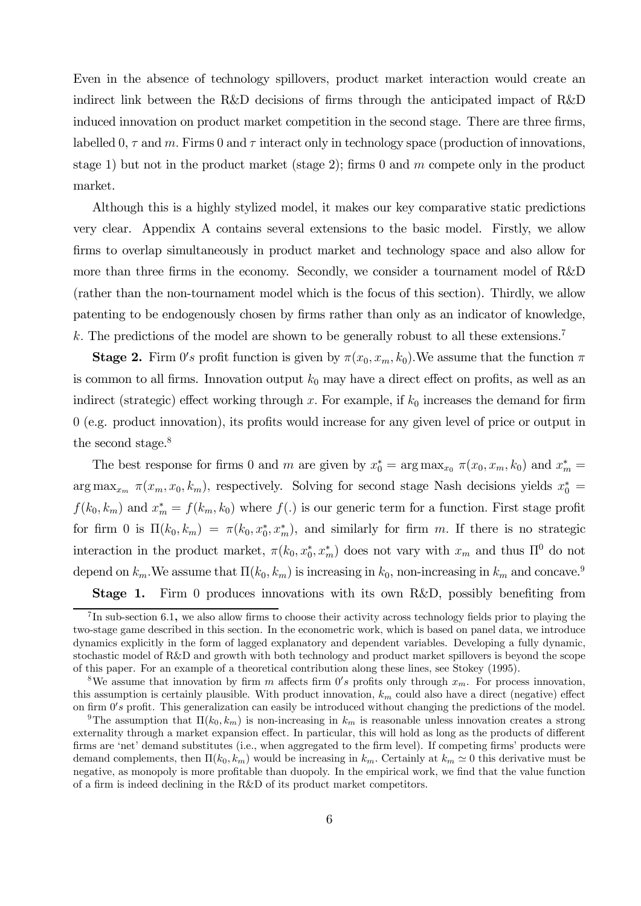Even in the absence of technology spillovers, product market interaction would create an indirect link between the R&D decisions of firms through the anticipated impact of R&D induced innovation on product market competition in the second stage. There are three firms, labelled 0,  $\tau$  and  $m$ . Firms 0 and  $\tau$  interact only in technology space (production of innovations, stage 1) but not in the product market (stage 2); firms 0 and  $m$  compete only in the product market.

Although this is a highly stylized model, it makes our key comparative static predictions very clear. Appendix A contains several extensions to the basic model. Firstly, we allow firms to overlap simultaneously in product market and technology space and also allow for more than three firms in the economy. Secondly, we consider a tournament model of R&D (rather than the non-tournament model which is the focus of this section). Thirdly, we allow patenting to be endogenously chosen by firms rather than only as an indicator of knowledge,  $k$ . The predictions of the model are shown to be generally robust to all these extensions.<sup>7</sup>

**Stage 2.** Firm 0's profit function is given by  $\pi(x_0, x_m, k_0)$ . We assume that the function  $\pi$ is common to all firms. Innovation output  $k_0$  may have a direct effect on profits, as well as an indirect (strategic) effect working through  $x$ . For example, if  $k_0$  increases the demand for firm 0 (e.g. product innovation), its profits would increase for any given level of price or output in the second stage.<sup>8</sup>

The best response for firms 0 and m are given by  $x_0^* = \arg \max_{x_0} \pi(x_0, x_m, k_0)$  and  $x_m^* =$  $\arg \max_{x_m} \pi(x_m, x_0, k_m)$ , respectively. Solving for second stage Nash decisions yields  $x_0^* =$  $f(k_0, k_m)$  and  $x_m^* = f(k_m, k_0)$  where  $f(.)$  is our generic term for a function. First stage profit for firm 0 is  $\Pi(k_0, k_m) = \pi(k_0, x_0^*, x_m^*)$ , and similarly for firm m. If there is no strategic interaction in the product market,  $\pi(k_0, x_0^*, x_m^*)$  does not vary with  $x_m$  and thus  $\Pi^0$  do not depend on  $k_m$ . We assume that  $\Pi(k_0, k_m)$  is increasing in  $k_0$ , non-increasing in  $k_m$  and concave.<sup>9</sup>

Stage 1. Firm 0 produces innovations with its own R&D, possibly benefiting from

 $^{7}$ In sub-section 6.1, we also allow firms to choose their activity across technology fields prior to playing the two-stage game described in this section. In the econometric work, which is based on panel data, we introduce dynamics explicitly in the form of lagged explanatory and dependent variables. Developing a fully dynamic, stochastic model of R&D and growth with both technology and product market spillovers is beyond the scope of this paper. For an example of a theoretical contribution along these lines, see Stokey (1995).

<sup>&</sup>lt;sup>8</sup>We assume that innovation by firm  $m$  affects firm  $0's$  profits only through  $x_m$ . For process innovation, this assumption is certainly plausible. With product innovation,  $k_m$  could also have a direct (negative) effect on firm  $0's$  profit. This generalization can easily be introduced without changing the predictions of the model.

<sup>&</sup>lt;sup>9</sup>The assumption that  $\Pi(k_0, k_m)$  is non-increasing in  $k_m$  is reasonable unless innovation creates a strong externality through a market expansion effect. In particular, this will hold as long as the products of different firms are 'net' demand substitutes (i.e., when aggregated to the firm level). If competing firms' products were demand complements, then  $\Pi(k_0, k_m)$  would be increasing in  $k_m$ . Certainly at  $k_m \simeq 0$  this derivative must be negative, as monopoly is more profitable than duopoly. In the empirical work, we find that the value function of a firm is indeed declining in the R&D of its product market competitors.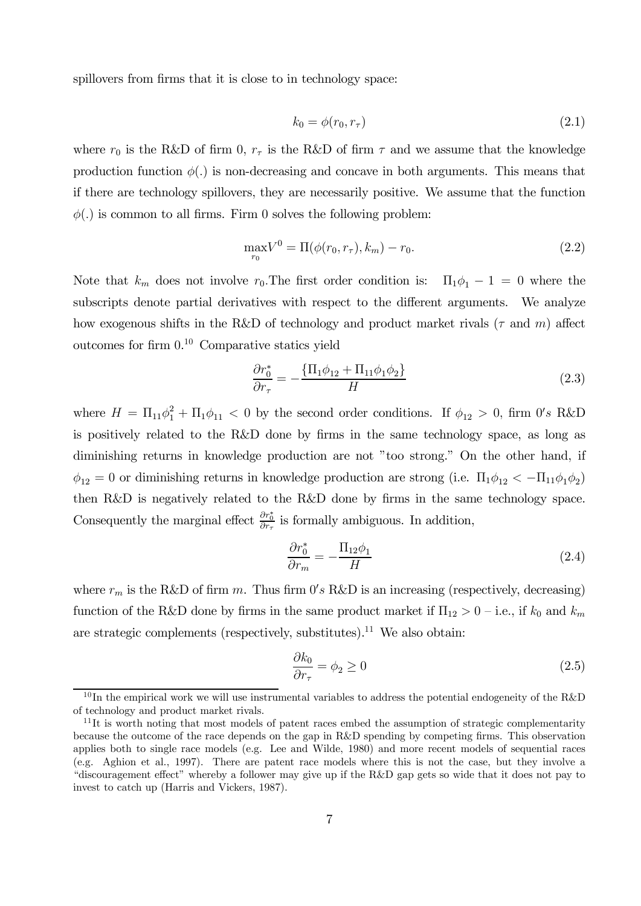spillovers from firms that it is close to in technology space:

$$
k_0 = \phi(r_0, r_\tau) \tag{2.1}
$$

where  $r_0$  is the R&D of firm 0,  $r_{\tau}$  is the R&D of firm  $\tau$  and we assume that the knowledge production function  $\phi(.)$  is non-decreasing and concave in both arguments. This means that if there are technology spillovers, they are necessarily positive. We assume that the function  $\phi(.)$  is common to all firms. Firm 0 solves the following problem:

$$
\max_{r_0} V^0 = \Pi(\phi(r_0, r_\tau), k_m) - r_0. \tag{2.2}
$$

Note that  $k_m$  does not involve  $r_0$ . The first order condition is:  $\Pi_1\phi_1 - 1 = 0$  where the subscripts denote partial derivatives with respect to the different arguments. We analyze how exogenous shifts in the R&D of technology and product market rivals ( $\tau$  and  $m$ ) affect outcomes for firm 0. <sup>10</sup> Comparative statics yield

$$
\frac{\partial r_0^*}{\partial r_\tau} = -\frac{\{\Pi_1 \phi_{12} + \Pi_{11} \phi_1 \phi_2\}}{H}
$$
\n(2.3)

where  $H = \Pi_{11}\phi_1^2 + \Pi_1\phi_{11} < 0$  by the second order conditions. If  $\phi_{12} > 0$ , firm  $0's$  R&D is positively related to the R&D done by firms in the same technology space, as long as diminishing returns in knowledge production are not "too strong." On the other hand, if  $\phi_{12} = 0$  or diminishing returns in knowledge production are strong (i.e.  $\Pi_1 \phi_{12} < -\Pi_{11} \phi_1 \phi_2$ ) then R&D is negatively related to the R&D done by firms in the same technology space. Consequently the marginal effect  $\frac{\partial r_0^*}{\partial r_{\tau}}$  is formally ambiguous. In addition,

$$
\frac{\partial r_0^*}{\partial r_m} = -\frac{\Pi_{12}\phi_1}{H} \tag{2.4}
$$

where  $r_m$  is the R&D of firm m. Thus firm  $0's$  R&D is an increasing (respectively, decreasing) function of the R&D done by firms in the same product market if  $\Pi_{12} > 0$  – i.e., if  $k_0$  and  $k_m$ are strategic complements (respectively, substitutes).<sup>11</sup> We also obtain:

$$
\frac{\partial k_0}{\partial r_\tau} = \phi_2 \ge 0 \tag{2.5}
$$

 $10$ In the empirical work we will use instrumental variables to address the potential endogeneity of the R&D of technology and product market rivals.

 $11$ It is worth noting that most models of patent races embed the assumption of strategic complementarity because the outcome of the race depends on the gap in R&D spending by competing firms. This observation applies both to single race models (e.g. Lee and Wilde, 1980) and more recent models of sequential races (e.g. Aghion et al., 1997). There are patent race models where this is not the case, but they involve a "discouragement effect" whereby a follower may give up if the R&D gap gets so wide that it does not pay to invest to catch up (Harris and Vickers, 1987).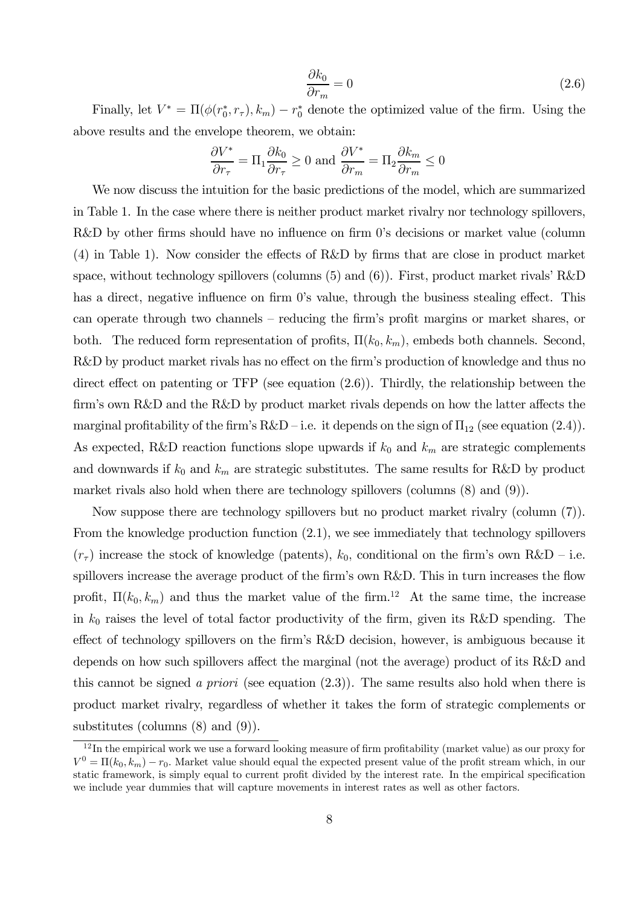$$
\frac{\partial k_0}{\partial r_m} = 0 \tag{2.6}
$$

Finally, let  $V^* = \Pi(\phi(r_0^*, r_\tau), k_m) - r_0^*$  denote the optimized value of the firm. Using the above results and the envelope theorem, we obtain:

$$
\frac{\partial V^*}{\partial r_{\tau}} = \Pi_1 \frac{\partial k_0}{\partial r_{\tau}} \ge 0 \text{ and } \frac{\partial V^*}{\partial r_m} = \Pi_2 \frac{\partial k_m}{\partial r_m} \le 0
$$

We now discuss the intuition for the basic predictions of the model, which are summarized in Table 1. In the case where there is neither product market rivalry nor technology spillovers, R&D by other firms should have no influence on firm 0's decisions or market value (column (4) in Table 1). Now consider the effects of R&D by firms that are close in product market space, without technology spillovers (columns (5) and (6)). First, product market rivals' R&D has a direct, negative influence on firm 0's value, through the business stealing effect. This can operate through two channels — reducing the firm's profit margins or market shares, or both. The reduced form representation of profits,  $\Pi(k_0, k_m)$ , embeds both channels. Second, R&D by product market rivals has no effect on the firm's production of knowledge and thus no direct effect on patenting or TFP (see equation (2.6)). Thirdly, the relationship between the firm's own R&D and the R&D by product market rivals depends on how the latter affects the marginal profitability of the firm's  $R&D-i.e.$  it depends on the sign of  $\Pi_{12}$  (see equation (2.4)). As expected, R&D reaction functions slope upwards if  $k_0$  and  $k_m$  are strategic complements and downwards if  $k_0$  and  $k_m$  are strategic substitutes. The same results for R&D by product market rivals also hold when there are technology spillovers (columns (8) and (9)).

Now suppose there are technology spillovers but no product market rivalry (column (7)). From the knowledge production function (2.1), we see immediately that technology spillovers  $(r_{\tau})$  increase the stock of knowledge (patents),  $k_0$ , conditional on the firm's own R&D – i.e. spillovers increase the average product of the firm's own R&D. This in turn increases the flow profit,  $\Pi(k_0, k_m)$  and thus the market value of the firm.<sup>12</sup> At the same time, the increase in  $k_0$  raises the level of total factor productivity of the firm, given its R&D spending. The effect of technology spillovers on the firm's R&D decision, however, is ambiguous because it depends on how such spillovers affect the marginal (not the average) product of its R&D and this cannot be signed a priori (see equation  $(2.3)$ ). The same results also hold when there is product market rivalry, regardless of whether it takes the form of strategic complements or substitutes (columns (8) and (9)).

 $12$ In the empirical work we use a forward looking measure of firm profitability (market value) as our proxy for  $V^0 = \Pi(k_0, k_m) - r_0$ . Market value should equal the expected present value of the profit stream which, in our static framework, is simply equal to current profit divided by the interest rate. In the empirical specification we include year dummies that will capture movements in interest rates as well as other factors.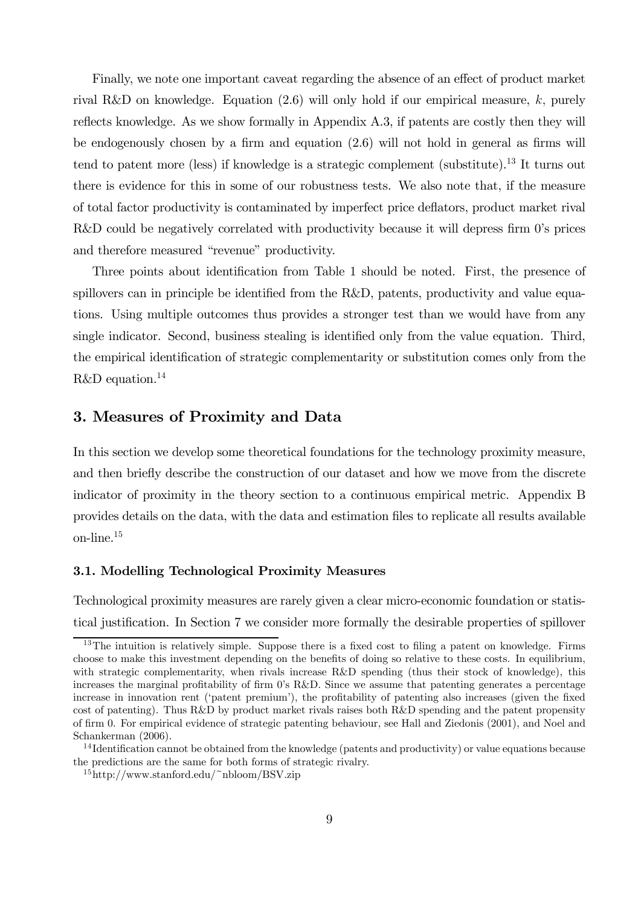Finally, we note one important caveat regarding the absence of an effect of product market rival R&D on knowledge. Equation  $(2.6)$  will only hold if our empirical measure, k, purely reflects knowledge. As we show formally in Appendix A.3, if patents are costly then they will be endogenously chosen by a firm and equation (2.6) will not hold in general as firms will tend to patent more (less) if knowledge is a strategic complement (substitute).13 It turns out there is evidence for this in some of our robustness tests. We also note that, if the measure of total factor productivity is contaminated by imperfect price deflators, product market rival R&D could be negatively correlated with productivity because it will depress firm 0's prices and therefore measured "revenue" productivity.

Three points about identification from Table 1 should be noted. First, the presence of spillovers can in principle be identified from the R&D, patents, productivity and value equations. Using multiple outcomes thus provides a stronger test than we would have from any single indicator. Second, business stealing is identified only from the value equation. Third, the empirical identification of strategic complementarity or substitution comes only from the R&D equation.<sup>14</sup>

# 3. Measures of Proximity and Data

In this section we develop some theoretical foundations for the technology proximity measure, and then briefly describe the construction of our dataset and how we move from the discrete indicator of proximity in the theory section to a continuous empirical metric. Appendix B provides details on the data, with the data and estimation files to replicate all results available on-line.15

#### 3.1. Modelling Technological Proximity Measures

Technological proximity measures are rarely given a clear micro-economic foundation or statistical justification. In Section 7 we consider more formally the desirable properties of spillover

<sup>&</sup>lt;sup>13</sup>The intuition is relatively simple. Suppose there is a fixed cost to filing a patent on knowledge. Firms choose to make this investment depending on the benefits of doing so relative to these costs. In equilibrium, with strategic complementarity, when rivals increase R&D spending (thus their stock of knowledge), this increases the marginal profitability of firm 0's R&D. Since we assume that patenting generates a percentage increase in innovation rent ('patent premium'), the profitability of patenting also increases (given the fixed cost of patenting). Thus R&D by product market rivals raises both R&D spending and the patent propensity of firm 0. For empirical evidence of strategic patenting behaviour, see Hall and Ziedonis (2001), and Noel and Schankerman (2006).

<sup>&</sup>lt;sup>14</sup> Identification cannot be obtained from the knowledge (patents and productivity) or value equations because the predictions are the same for both forms of strategic rivalry.

<sup>15</sup>http://www.stanford.edu/~nbloom/BSV.zip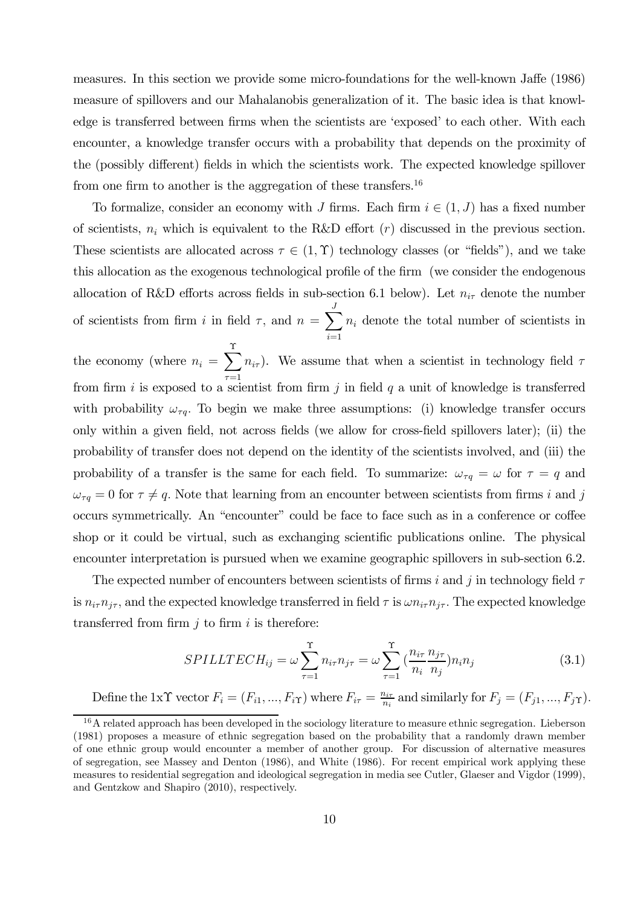measures. In this section we provide some micro-foundations for the well-known Jaffe (1986) measure of spillovers and our Mahalanobis generalization of it. The basic idea is that knowledge is transferred between firms when the scientists are 'exposed' to each other. With each encounter, a knowledge transfer occurs with a probability that depends on the proximity of the (possibly different) fields in which the scientists work. The expected knowledge spillover from one firm to another is the aggregation of these transfers.<sup>16</sup>

To formalize, consider an economy with J firms. Each firm  $i \in (1, J)$  has a fixed number of scientists,  $n_i$  which is equivalent to the R&D effort  $(r)$  discussed in the previous section. These scientists are allocated across  $\tau \in (1, \Upsilon)$  technology classes (or "fields"), and we take this allocation as the exogenous technological profile of the firm (we consider the endogenous allocation of R&D efforts across fields in sub-section 6.1 below). Let  $n_{i\tau}$  denote the number of scientists from firm *i* in field  $\tau$ , and  $n = \sum_{i=1}^{J}$  $i=1$  $n_i$  denote the total number of scientists in

the economy (where  $n_i = \sum_{i=1}^{N}$  $\tau = 1$  $n_{i\tau}$ ). We assume that when a scientist in technology field  $\tau$ from firm  $i$  is exposed to a scientist from firm  $j$  in field  $q$  a unit of knowledge is transferred with probability  $\omega_{\tau q}$ . To begin we make three assumptions: (i) knowledge transfer occurs only within a given field, not across fields (we allow for cross-field spillovers later); (ii) the probability of transfer does not depend on the identity of the scientists involved, and (iii) the probability of a transfer is the same for each field. To summarize:  $\omega_{\tau q} = \omega$  for  $\tau = q$  and  $\omega_{\tau q}=0$  for  $\tau\neq q$ . Note that learning from an encounter between scientists from firms *i* and *j* occurs symmetrically. An "encounter" could be face to face such as in a conference or coffee shop or it could be virtual, such as exchanging scientific publications online. The physical encounter interpretation is pursued when we examine geographic spillovers in sub-section 6.2.

The expected number of encounters between scientists of firms i and j in technology field  $\tau$ is  $n_{i\tau}n_{j\tau}$ , and the expected knowledge transferred in field  $\tau$  is  $\omega n_{i\tau}n_{j\tau}$ . The expected knowledge transferred from firm  $j$  to firm  $i$  is therefore:

$$
SPILLTECH_{ij} = \omega \sum_{\tau=1}^{T} n_{i\tau} n_{j\tau} = \omega \sum_{\tau=1}^{T} \left( \frac{n_{i\tau}}{n_i} \frac{n_{j\tau}}{n_j} \right) n_i n_j \tag{3.1}
$$

Define the 1x $\Upsilon$  vector  $F_i = (F_{i1}, ..., F_{i\Upsilon})$  where  $F_{i\tau} = \frac{n_{i\tau}}{n_i}$  and similarly for  $F_j = (F_{j1}, ..., F_{j\Upsilon})$ .

<sup>&</sup>lt;sup>16</sup>A related approach has been developed in the sociology literature to measure ethnic segregation. Lieberson (1981) proposes a measure of ethnic segregation based on the probability that a randomly drawn member of one ethnic group would encounter a member of another group. For discussion of alternative measures of segregation, see Massey and Denton (1986), and White (1986). For recent empirical work applying these measures to residential segregation and ideological segregation in media see Cutler, Glaeser and Vigdor (1999), and Gentzkow and Shapiro (2010), respectively.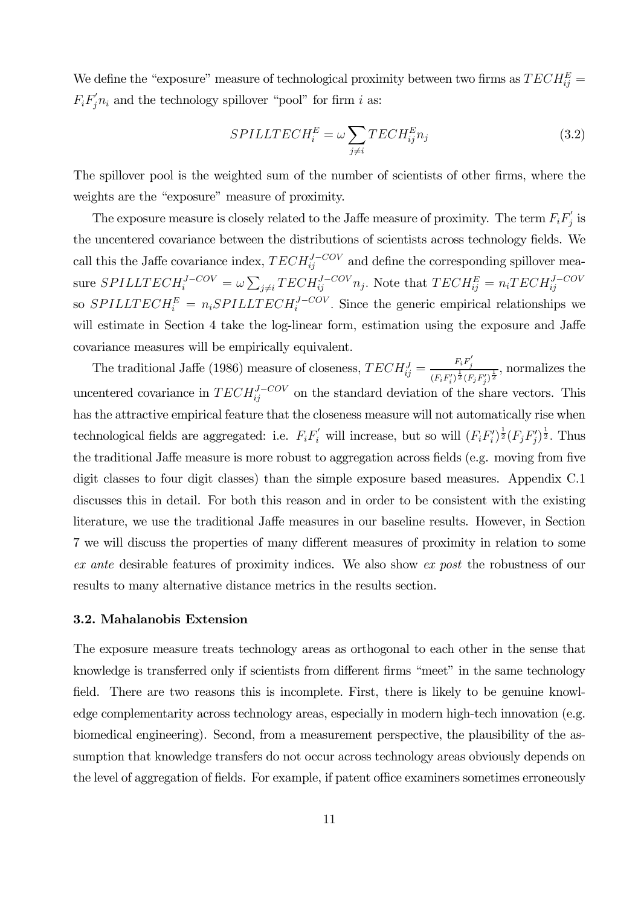We define the "exposure" measure of technological proximity between two firms as  $TECH_{ij}^E =$  $F_i F_j n_i$  and the technology spillover "pool" for firm i as:

$$
SPILLTECH_i^E = \omega \sum_{j \neq i} TECH_{ij}^E n_j \tag{3.2}
$$

The spillover pool is the weighted sum of the number of scientists of other firms, where the weights are the "exposure" measure of proximity.

The exposure measure is closely related to the Jaffe measure of proximity. The term  $F_i F'_j$  is the uncentered covariance between the distributions of scientists across technology fields. We call this the Jaffe covariance index,  $TECH_{ij}^{J-COV}$  and define the corresponding spillover measure  $SPILLTECH_i^{J-COV} = \omega \sum_{j\neq i} TECH_{ij}^{J-COV}n_j$ . Note that  $TECH_{ij}^E = n_i TECH_{ij}^{J-COV}$ so  $SPILLTECH_i^E = n_iSPILLTECH_i^{J-COV}$ . Since the generic empirical relationships we will estimate in Section 4 take the log-linear form, estimation using the exposure and Jaffe covariance measures will be empirically equivalent.

The traditional Jaffe (1986) measure of closeness,  $TECH_{ij}^J = \frac{F_i F_j'}{(EF)^{\frac{1}{3}} \Gamma_i F_j}$  $\frac{1}{(F_iF'_i)^{\frac{1}{2}}(F_jF'_j)^{\frac{1}{2}}},$  normalizes the uncentered covariance in  $TECH_{ij}^{J-COV}$  on the standard deviation of the share vectors. This has the attractive empirical feature that the closeness measure will not automatically rise when technological fields are aggregated: i.e.  $F_i F_i'$  will increase, but so will  $(F_i F_i')^{\frac{1}{2}} (F_j F_j')^{\frac{1}{2}}$ . Thus the traditional Jaffe measure is more robust to aggregation across fields (e.g. moving from five digit classes to four digit classes) than the simple exposure based measures. Appendix C.1 discusses this in detail. For both this reason and in order to be consistent with the existing literature, we use the traditional Jaffe measures in our baseline results. However, in Section 7 we will discuss the properties of many different measures of proximity in relation to some ex ante desirable features of proximity indices. We also show ex post the robustness of our results to many alternative distance metrics in the results section.

#### 3.2. Mahalanobis Extension

The exposure measure treats technology areas as orthogonal to each other in the sense that knowledge is transferred only if scientists from different firms "meet" in the same technology field. There are two reasons this is incomplete. First, there is likely to be genuine knowledge complementarity across technology areas, especially in modern high-tech innovation (e.g. biomedical engineering). Second, from a measurement perspective, the plausibility of the assumption that knowledge transfers do not occur across technology areas obviously depends on the level of aggregation of fields. For example, if patent office examiners sometimes erroneously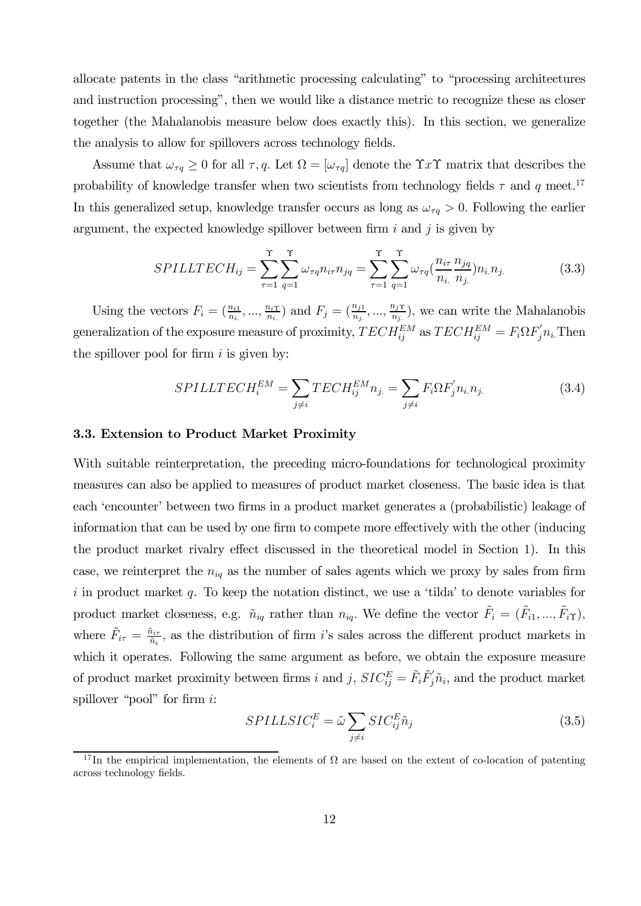allocate patents in the class "arithmetic processing calculating" to "processing architectures and instruction processing", then we would like a distance metric to recognize these as closer together (the Mahalanobis measure below does exactly this). In this section, we generalize the analysis to allow for spillovers across technology fields.

Assume that  $\omega_{\tau q} \geq 0$  for all  $\tau, q$ . Let  $\Omega = [\omega_{\tau q}]$  denote the  $\Upsilon x \Upsilon$  matrix that describes the probability of knowledge transfer when two scientists from technology fields  $\tau$  and  $q$  meet.<sup>17</sup> In this generalized setup, knowledge transfer occurs as long as  $\omega_{\tau q} > 0$ . Following the earlier argument, the expected knowledge spillover between firm  $i$  and  $j$  is given by

$$
SPILLTECH_{ij} = \sum_{\tau=1}^{T} \sum_{q=1}^{T} \omega_{\tau q} n_{i\tau} n_{jq} = \sum_{\tau=1}^{T} \sum_{q=1}^{T} \omega_{\tau q} (\frac{n_{i\tau}}{n_{i.}} \frac{n_{jq}}{n_{j.}}) n_{i.} n_{j.}
$$
(3.3)

Using the vectors  $F_i = (\frac{n_{i1}}{n_i}, ..., \frac{n_{iT}}{n_i})$  and  $F_j = (\frac{n_{j1}}{n_j}, ..., \frac{n_{iT}}{n_j})$ , we can write the Mahalanobis generalization of the exposure measure of proximity,  $TECH_{ij}^{EM}$  as  $TECH_{ij}^{EM} = F_i \Omega F_j n_i$ . Then the spillover pool for firm  $i$  is given by:

$$
SPILLTECH_i^{EM} = \sum_{j \neq i} TECH_{ij}^{EM} n_{j.} = \sum_{j \neq i} F_i \Omega F_j' n_i n_{j.}
$$
\n(3.4)

#### 3.3. Extension to Product Market Proximity

With suitable reinterpretation, the preceding micro-foundations for technological proximity measures can also be applied to measures of product market closeness. The basic idea is that each 'encounter' between two firms in a product market generates a (probabilistic) leakage of information that can be used by one firm to compete more effectively with the other (inducing the product market rivalry effect discussed in the theoretical model in Section 1). In this case, we reinterpret the  $n_{iq}$  as the number of sales agents which we proxy by sales from firm  $i$  in product market  $q$ . To keep the notation distinct, we use a 'tilda' to denote variables for product market closeness, e.g.  $\tilde{n}_{iq}$  rather than  $n_{iq}$ . We define the vector  $\tilde{F}_i = (\tilde{F}_{i1}, ..., \tilde{F}_{iT})$ , where  $\tilde{F}_{i\tau} = \frac{\tilde{n}_{i\tau}}{\tilde{n}_{i}}$ , as the distribution of firm *i*'s sales across the different product markets in which it operates. Following the same argument as before, we obtain the exposure measure of product market proximity between firms *i* and *j*,  $SIC_{ij}^E = \tilde{F}_i \tilde{F}'_j \tilde{n}_i$ , and the product market spillover "pool" for firm  $i$ :

$$
SPILLSIC_i^E = \tilde{\omega} \sum_{j \neq i} SIC_{ij}^E \tilde{n}_j \tag{3.5}
$$

<sup>&</sup>lt;sup>17</sup>In the empirical implementation, the elements of  $\Omega$  are based on the extent of co-location of patenting across technology fields.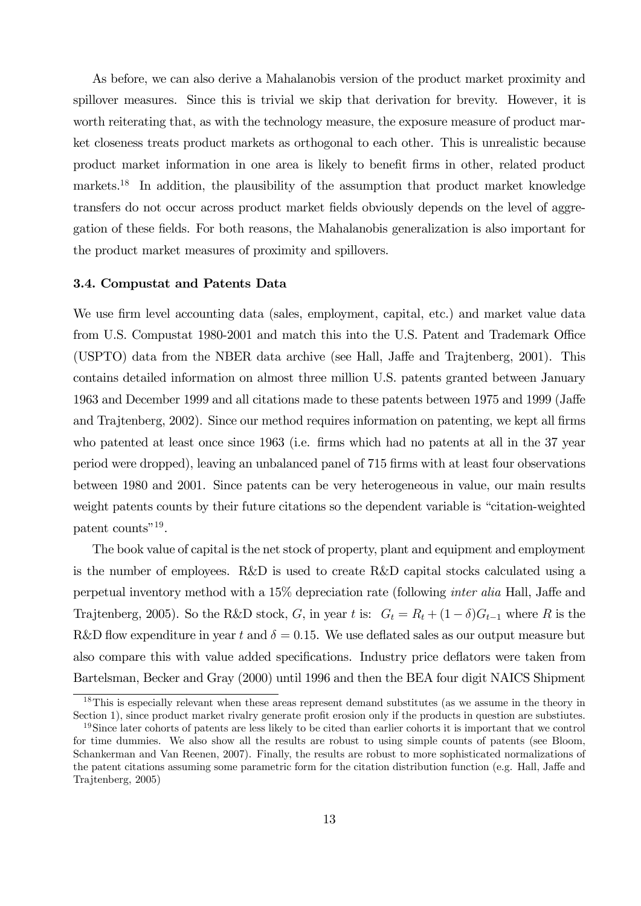As before, we can also derive a Mahalanobis version of the product market proximity and spillover measures. Since this is trivial we skip that derivation for brevity. However, it is worth reiterating that, as with the technology measure, the exposure measure of product market closeness treats product markets as orthogonal to each other. This is unrealistic because product market information in one area is likely to benefit firms in other, related product markets.18 In addition, the plausibility of the assumption that product market knowledge transfers do not occur across product market fields obviously depends on the level of aggregation of these fields. For both reasons, the Mahalanobis generalization is also important for the product market measures of proximity and spillovers.

#### 3.4. Compustat and Patents Data

We use firm level accounting data (sales, employment, capital, etc.) and market value data from U.S. Compustat 1980-2001 and match this into the U.S. Patent and Trademark Office (USPTO) data from the NBER data archive (see Hall, Jaffe and Trajtenberg, 2001). This contains detailed information on almost three million U.S. patents granted between January 1963 and December 1999 and all citations made to these patents between 1975 and 1999 (Jaffe and Trajtenberg, 2002). Since our method requires information on patenting, we kept all firms who patented at least once since 1963 (i.e. firms which had no patents at all in the 37 year period were dropped), leaving an unbalanced panel of 715 firms with at least four observations between 1980 and 2001. Since patents can be very heterogeneous in value, our main results weight patents counts by their future citations so the dependent variable is "citation-weighted patent counts"19.

The book value of capital is the net stock of property, plant and equipment and employment is the number of employees. R&D is used to create R&D capital stocks calculated using a perpetual inventory method with a 15% depreciation rate (following inter alia Hall, Jaffe and Trajtenberg, 2005). So the R&D stock, G, in year t is:  $G_t = R_t + (1 - \delta)G_{t-1}$  where R is the R&D flow expenditure in year t and  $\delta = 0.15$ . We use deflated sales as our output measure but also compare this with value added specifications. Industry price deflators were taken from Bartelsman, Becker and Gray (2000) until 1996 and then the BEA four digit NAICS Shipment

<sup>&</sup>lt;sup>18</sup>This is especially relevant when these areas represent demand substitutes (as we assume in the theory in Section 1), since product market rivalry generate profit erosion only if the products in question are substiutes.

<sup>&</sup>lt;sup>19</sup>Since later cohorts of patents are less likely to be cited than earlier cohorts it is important that we control for time dummies. We also show all the results are robust to using simple counts of patents (see Bloom, Schankerman and Van Reenen, 2007). Finally, the results are robust to more sophisticated normalizations of the patent citations assuming some parametric form for the citation distribution function (e.g. Hall, Jaffe and Trajtenberg, 2005)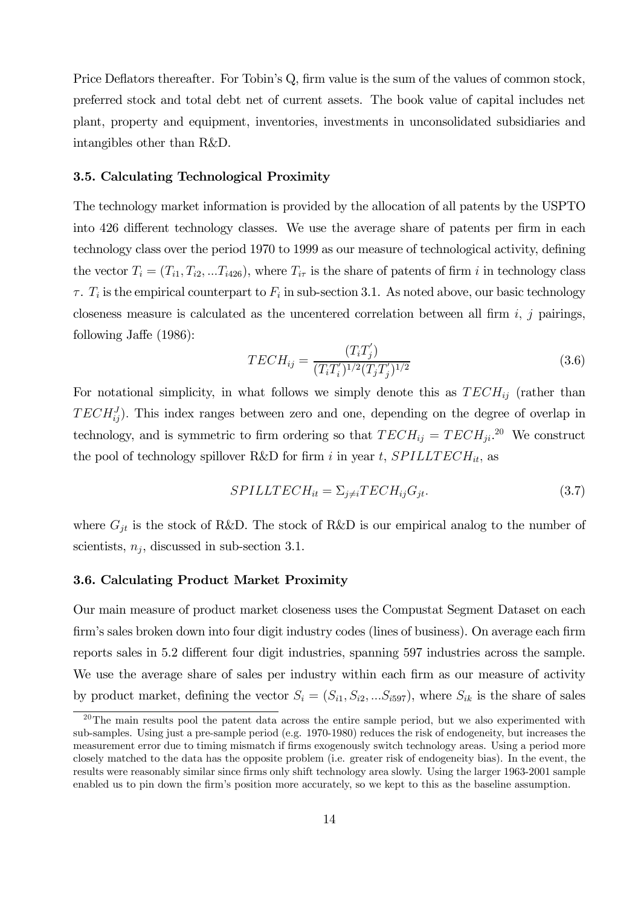Price Deflators thereafter. For Tobin's Q, firm value is the sum of the values of common stock, preferred stock and total debt net of current assets. The book value of capital includes net plant, property and equipment, inventories, investments in unconsolidated subsidiaries and intangibles other than R&D.

#### 3.5. Calculating Technological Proximity

The technology market information is provided by the allocation of all patents by the USPTO into 426 different technology classes. We use the average share of patents per firm in each technology class over the period 1970 to 1999 as our measure of technological activity, defining the vector  $T_i = (T_{i1}, T_{i2}, ... T_{i426})$ , where  $T_{i\tau}$  is the share of patents of firm *i* in technology class  $\tau$ .  $T_i$  is the empirical counterpart to  $F_i$  in sub-section 3.1. As noted above, our basic technology closeness measure is calculated as the uncentered correlation between all firm  $i$ ,  $j$  pairings, following Jaffe (1986):

$$
TECH_{ij} = \frac{(T_i T_j')}{(T_i T_i')^{1/2} (T_j T_j')^{1/2}} \tag{3.6}
$$

For notational simplicity, in what follows we simply denote this as  $TECH_{ij}$  (rather than  $TECH_{ij}^{J}$ ). This index ranges between zero and one, depending on the degree of overlap in technology, and is symmetric to firm ordering so that  $TECH_{ij} = TECH_{ji}^{20}$  We construct the pool of technology spillover R&D for firm *i* in year *t*,  $SPILLTECH_{it}$ , as

$$
SPILLTECH_{it} = \sum_{j \neq i} TECH_{ij}G_{jt}.
$$
\n(3.7)

where  $G_{it}$  is the stock of R&D. The stock of R&D is our empirical analog to the number of scientists,  $n_i$ , discussed in sub-section 3.1.

#### 3.6. Calculating Product Market Proximity

Our main measure of product market closeness uses the Compustat Segment Dataset on each firm's sales broken down into four digit industry codes (lines of business). On average each firm reports sales in 5.2 different four digit industries, spanning 597 industries across the sample. We use the average share of sales per industry within each firm as our measure of activity by product market, defining the vector  $S_i = (S_{i1}, S_{i2}, ... S_{i597})$ , where  $S_{ik}$  is the share of sales

 $20$ The main results pool the patent data across the entire sample period, but we also experimented with sub-samples. Using just a pre-sample period (e.g. 1970-1980) reduces the risk of endogeneity, but increases the measurement error due to timing mismatch if firms exogenously switch technology areas. Using a period more closely matched to the data has the opposite problem (i.e. greater risk of endogeneity bias). In the event, the results were reasonably similar since firms only shift technology area slowly. Using the larger 1963-2001 sample enabled us to pin down the firm's position more accurately, so we kept to this as the baseline assumption.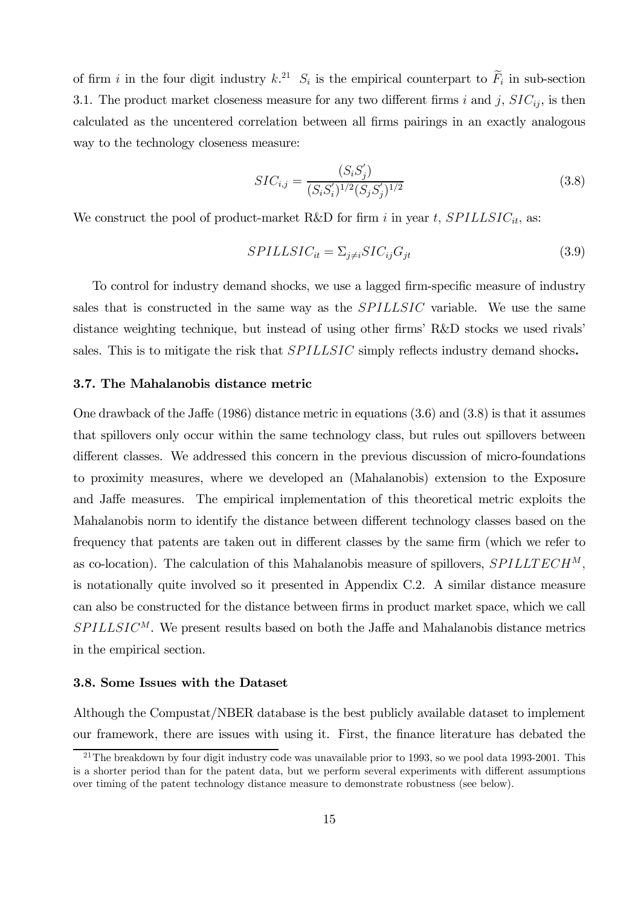of firm *i* in the four digit industry  $k^{21}$ .  $S_i$  is the empirical counterpart to  $\tilde{F}_i$  in sub-section 3.1. The product market closeness measure for any two different firms *i* and *j*,  $SIC_{ij}$ , is then calculated as the uncentered correlation between all firms pairings in an exactly analogous way to the technology closeness measure:

$$
SIC_{i,j} = \frac{(S_i S_j')}{(S_i S_i')^{1/2} (S_j S_j')^{1/2}}
$$
\n(3.8)

We construct the pool of product-market R&D for firm  $i$  in year  $t$ ,  $SPILLSIC_{it}$ , as:

$$
SPILLSIC_{it} = \sum_{j \neq i} SIC_{ij}G_{jt} \tag{3.9}
$$

To control for industry demand shocks, we use a lagged firm-specific measure of industry sales that is constructed in the same way as the *SPILLSIC* variable. We use the same distance weighting technique, but instead of using other firms' R&D stocks we used rivals' sales. This is to mitigate the risk that SPILLSIC simply reflects industry demand shocks.

#### 3.7. The Mahalanobis distance metric

One drawback of the Jaffe (1986) distance metric in equations (3.6) and (3.8) is that it assumes that spillovers only occur within the same technology class, but rules out spillovers between different classes. We addressed this concern in the previous discussion of micro-foundations to proximity measures, where we developed an (Mahalanobis) extension to the Exposure and Jaffe measures. The empirical implementation of this theoretical metric exploits the Mahalanobis norm to identify the distance between different technology classes based on the frequency that patents are taken out in different classes by the same firm (which we refer to as co-location). The calculation of this Mahalanobis measure of spillovers,  $SPILLTECH^M$ , is notationally quite involved so it presented in Appendix C.2. A similar distance measure can also be constructed for the distance between firms in product market space, which we call  $SPILLSIC^{M}$ . We present results based on both the Jaffe and Mahalanobis distance metrics in the empirical section.

#### 3.8. Some Issues with the Dataset

Although the Compustat/NBER database is the best publicly available dataset to implement our framework, there are issues with using it. First, the finance literature has debated the

<sup>&</sup>lt;sup>21</sup>The breakdown by four digit industry code was unavailable prior to 1993, so we pool data 1993-2001. This is a shorter period than for the patent data, but we perform several experiments with different assumptions over timing of the patent technology distance measure to demonstrate robustness (see below).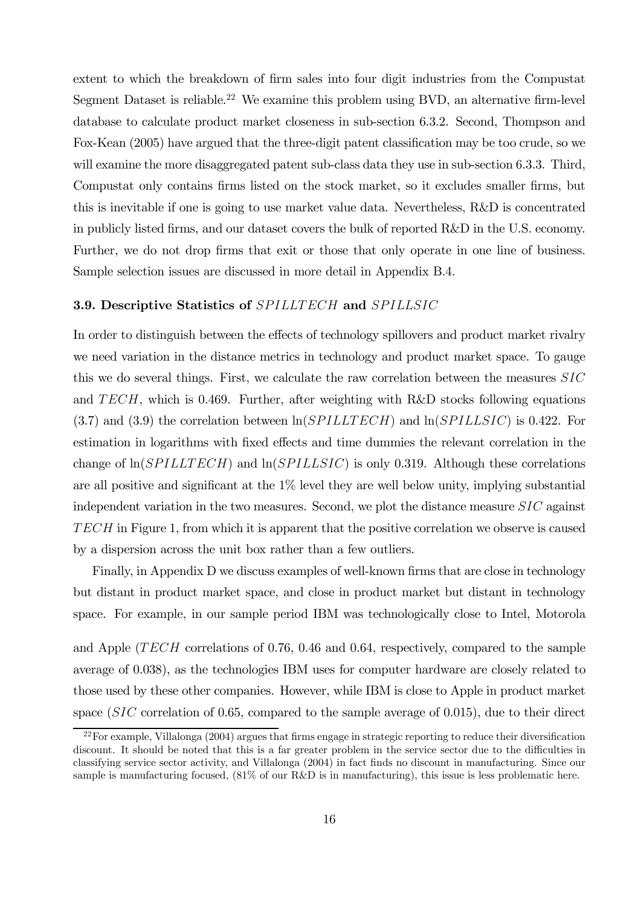extent to which the breakdown of firm sales into four digit industries from the Compustat Segment Dataset is reliable.<sup>22</sup> We examine this problem using BVD, an alternative firm-level database to calculate product market closeness in sub-section 6.3.2. Second, Thompson and Fox-Kean (2005) have argued that the three-digit patent classification may be too crude, so we will examine the more disaggregated patent sub-class data they use in sub-section 6.3.3. Third, Compustat only contains firms listed on the stock market, so it excludes smaller firms, but this is inevitable if one is going to use market value data. Nevertheless, R&D is concentrated in publicly listed firms, and our dataset covers the bulk of reported R&D in the U.S. economy. Further, we do not drop firms that exit or those that only operate in one line of business. Sample selection issues are discussed in more detail in Appendix B.4.

#### 3.9. Descriptive Statistics of SPILLTECH and SPILLSIC

In order to distinguish between the effects of technology spillovers and product market rivalry we need variation in the distance metrics in technology and product market space. To gauge this we do several things. First, we calculate the raw correlation between the measures  $SIC$ and  $TECH$ , which is 0.469. Further, after weighting with R&D stocks following equations  $(3.7)$  and  $(3.9)$  the correlation between  $\ln(SPILLTECH)$  and  $\ln(SPILLSIC)$  is 0.422. For estimation in logarithms with fixed effects and time dummies the relevant correlation in the change of  $\ln(SPILLTECH)$  and  $\ln(SPILLSIC)$  is only 0.319. Although these correlations are all positive and significant at the 1% level they are well below unity, implying substantial independent variation in the two measures. Second, we plot the distance measure  $SIC$  against in Figure 1, from which it is apparent that the positive correlation we observe is caused by a dispersion across the unit box rather than a few outliers.

Finally, in Appendix D we discuss examples of well-known firms that are close in technology but distant in product market space, and close in product market but distant in technology space. For example, in our sample period IBM was technologically close to Intel, Motorola

and Apple ( $TECH$  correlations of 0.76, 0.46 and 0.64, respectively, compared to the sample average of 0.038), as the technologies IBM uses for computer hardware are closely related to those used by these other companies. However, while IBM is close to Apple in product market space  $(SIC)$  correlation of 0.65, compared to the sample average of 0.015), due to their direct

 $^{22}$ For example, Villalonga (2004) argues that firms engage in strategic reporting to reduce their diversification discount. It should be noted that this is a far greater problem in the service sector due to the difficulties in classifying service sector activity, and Villalonga (2004) in fact finds no discount in manufacturing. Since our sample is manufacturing focused, (81% of our R&D is in manufacturing), this issue is less problematic here.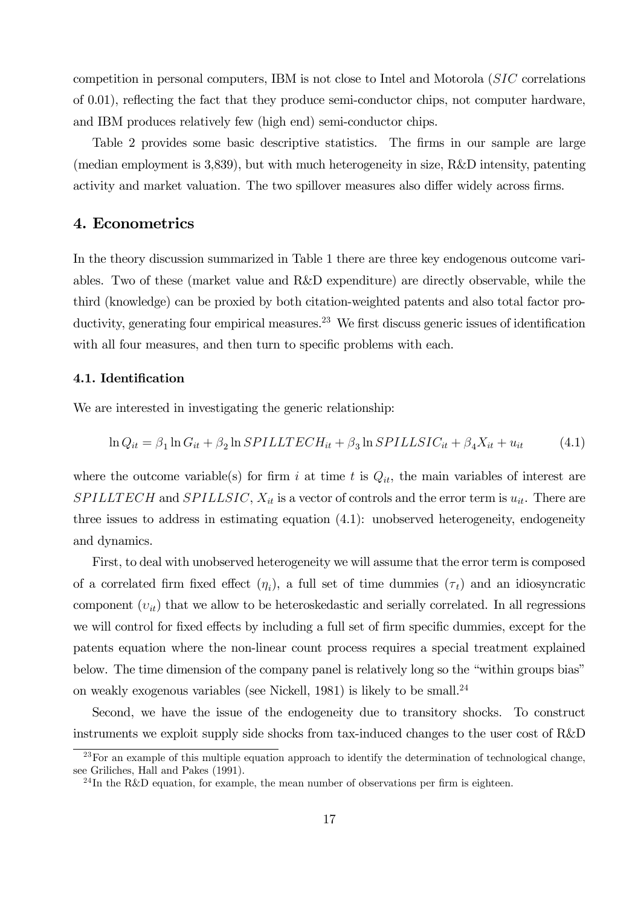competition in personal computers, IBM is not close to Intel and Motorola  $(SIC)$  correlations of 0.01), reflecting the fact that they produce semi-conductor chips, not computer hardware, and IBM produces relatively few (high end) semi-conductor chips.

Table 2 provides some basic descriptive statistics. The firms in our sample are large (median employment is 3,839), but with much heterogeneity in size, R&D intensity, patenting activity and market valuation. The two spillover measures also differ widely across firms.

# 4. Econometrics

In the theory discussion summarized in Table 1 there are three key endogenous outcome variables. Two of these (market value and R&D expenditure) are directly observable, while the third (knowledge) can be proxied by both citation-weighted patents and also total factor productivity, generating four empirical measures.<sup>23</sup> We first discuss generic issues of identification with all four measures, and then turn to specific problems with each.

#### 4.1. Identification

We are interested in investigating the generic relationship:

$$
\ln Q_{it} = \beta_1 \ln G_{it} + \beta_2 \ln SPILLTECH_{it} + \beta_3 \ln SPILLSIC_{it} + \beta_4 X_{it} + u_{it}
$$
(4.1)

where the outcome variable(s) for firm i at time t is  $Q_{it}$ , the main variables of interest are  $SPILLTECH$  and  $SPILLSIC$ ,  $X_{it}$  is a vector of controls and the error term is  $u_{it}$ . There are three issues to address in estimating equation (4.1): unobserved heterogeneity, endogeneity and dynamics.

First, to deal with unobserved heterogeneity we will assume that the error term is composed of a correlated firm fixed effect  $(\eta_i)$ , a full set of time dummies  $(\tau_t)$  and an idiosyncratic component  $(v_{it})$  that we allow to be heteroskedastic and serially correlated. In all regressions we will control for fixed effects by including a full set of firm specific dummies, except for the patents equation where the non-linear count process requires a special treatment explained below. The time dimension of the company panel is relatively long so the "within groups bias" on weakly exogenous variables (see Nickell, 1981) is likely to be small.24

Second, we have the issue of the endogeneity due to transitory shocks. To construct instruments we exploit supply side shocks from tax-induced changes to the user cost of R&D

 $^{23}$  For an example of this multiple equation approach to identify the determination of technological change, see Griliches, Hall and Pakes (1991).

 $^{24}$ In the R&D equation, for example, the mean number of observations per firm is eighteen.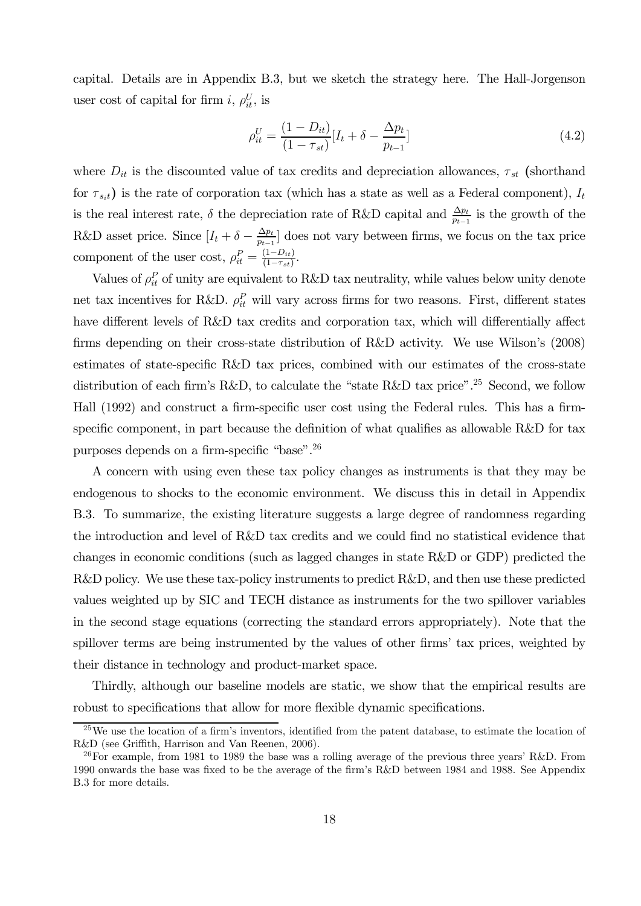capital. Details are in Appendix B.3, but we sketch the strategy here. The Hall-Jorgenson user cost of capital for firm *i*,  $\rho_{it}^U$ , is

$$
\rho_{it}^U = \frac{(1 - D_{it})}{(1 - \tau_{st})} [I_t + \delta - \frac{\Delta p_t}{p_{t-1}}]
$$
\n(4.2)

where  $D_{it}$  is the discounted value of tax credits and depreciation allowances,  $\tau_{st}$  (shorthand for  $\tau_{s_it}$ ) is the rate of corporation tax (which has a state as well as a Federal component),  $I_t$ is the real interest rate,  $\delta$  the depreciation rate of R&D capital and  $\frac{\Delta p_t}{p_{t-1}}$  is the growth of the R&D asset price. Since  $[I_t + \delta - \frac{\Delta p_t}{p_{t-1}}]$  does not vary between firms, we focus on the tax price component of the user cost,  $\rho_{it}^P = \frac{(1 - D_{it})}{(1 - \tau_{st})}$ .

Values of  $\rho_{it}^P$  of unity are equivalent to R&D tax neutrality, while values below unity denote net tax incentives for R&D.  $\rho_{it}^P$  will vary across firms for two reasons. First, different states have different levels of R&D tax credits and corporation tax, which will differentially affect firms depending on their cross-state distribution of R&D activity. We use Wilson's (2008) estimates of state-specific R&D tax prices, combined with our estimates of the cross-state distribution of each firm's R&D, to calculate the "state R&D tax price".<sup>25</sup> Second, we follow Hall (1992) and construct a firm-specific user cost using the Federal rules. This has a firmspecific component, in part because the definition of what qualifies as allowable R&D for tax purposes depends on a firm-specific "base".26

A concern with using even these tax policy changes as instruments is that they may be endogenous to shocks to the economic environment. We discuss this in detail in Appendix B.3. To summarize, the existing literature suggests a large degree of randomness regarding the introduction and level of R&D tax credits and we could find no statistical evidence that changes in economic conditions (such as lagged changes in state R&D or GDP) predicted the R&D policy. We use these tax-policy instruments to predict R&D, and then use these predicted values weighted up by SIC and TECH distance as instruments for the two spillover variables in the second stage equations (correcting the standard errors appropriately). Note that the spillover terms are being instrumented by the values of other firms' tax prices, weighted by their distance in technology and product-market space.

Thirdly, although our baseline models are static, we show that the empirical results are robust to specifications that allow for more flexible dynamic specifications.

<sup>25</sup>We use the location of a firm's inventors, identified from the patent database, to estimate the location of R&D (see Griffith, Harrison and Van Reenen, 2006).

<sup>&</sup>lt;sup>26</sup>For example, from 1981 to 1989 the base was a rolling average of the previous three years' R&D. From 1990 onwards the base was fixed to be the average of the firm's R&D between 1984 and 1988. See Appendix B.3 for more details.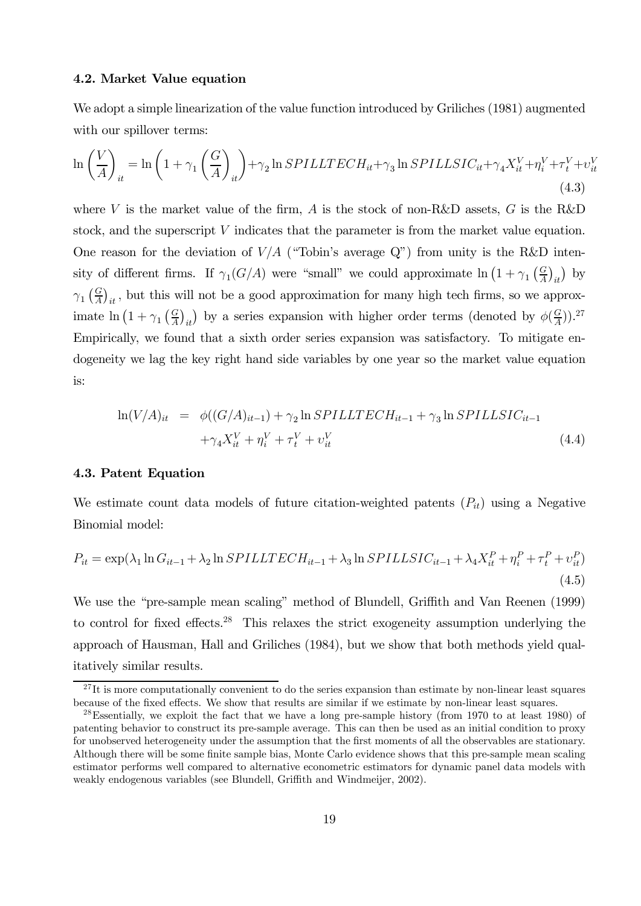#### 4.2. Market Value equation

We adopt a simple linearization of the value function introduced by Griliches (1981) augmented with our spillover terms:

$$
\ln\left(\frac{V}{A}\right)_{it} = \ln\left(1+\gamma_1\left(\frac{G}{A}\right)_{it}\right) + \gamma_2 \ln SPILLTECH_{it} + \gamma_3 \ln SPILLSIC_{it} + \gamma_4 X_{it}^V + \eta_i^V + \tau_i^V + \upsilon_{it}^V
$$
\n(4.3)

where V is the market value of the firm, A is the stock of non-R&D assets,  $G$  is the R&D stock, and the superscript  $V$  indicates that the parameter is from the market value equation. One reason for the deviation of  $V/A$  ("Tobin's average Q") from unity is the R&D intensity of different firms. If  $\gamma_1(G/A)$  were "small" we could approximate  $\ln (1 + \gamma_1 \left(\frac{G}{A}\right)_{it})$  by  $\gamma_1 \left( \frac{G}{A} \right)_{it}$ , but this will not be a good approximation for many high tech firms, so we approximate  $\ln (1 + \gamma_1 \left(\frac{G}{A}\right)_{it})$  by a series expansion with higher order terms (denoted by  $\phi(\frac{G}{A})$ ).<sup>27</sup> Empirically, we found that a sixth order series expansion was satisfactory. To mitigate endogeneity we lag the key right hand side variables by one year so the market value equation is:

$$
\ln(V/A)_{it} = \phi((G/A)_{it-1}) + \gamma_2 \ln SPILLTECH_{it-1} + \gamma_3 \ln SPILLSIC_{it-1} + \gamma_4 X_{it}^V + \eta_i^V + \tau_t^V + \upsilon_{it}^V
$$
\n(4.4)

#### 4.3. Patent Equation

We estimate count data models of future citation-weighted patents  $(P_{it})$  using a Negative Binomial model:

$$
P_{it} = \exp(\lambda_1 \ln G_{it-1} + \lambda_2 \ln SPILLTECH_{it-1} + \lambda_3 \ln SPILLSIC_{it-1} + \lambda_4 X_{it}^P + \eta_i^P + \tau_t^P + \upsilon_{it}^P)
$$
\n
$$
\tag{4.5}
$$

We use the "pre-sample mean scaling" method of Blundell, Griffith and Van Reenen (1999) to control for fixed effects.28 This relaxes the strict exogeneity assumption underlying the approach of Hausman, Hall and Griliches (1984), but we show that both methods yield qualitatively similar results.

 $^{27}$ It is more computationally convenient to do the series expansion than estimate by non-linear least squares because of the fixed effects. We show that results are similar if we estimate by non-linear least squares.

<sup>28</sup>Essentially, we exploit the fact that we have a long pre-sample history (from 1970 to at least 1980) of patenting behavior to construct its pre-sample average. This can then be used as an initial condition to proxy for unobserved heterogeneity under the assumption that the first moments of all the observables are stationary. Although there will be some finite sample bias, Monte Carlo evidence shows that this pre-sample mean scaling estimator performs well compared to alternative econometric estimators for dynamic panel data models with weakly endogenous variables (see Blundell, Griffith and Windmeijer, 2002).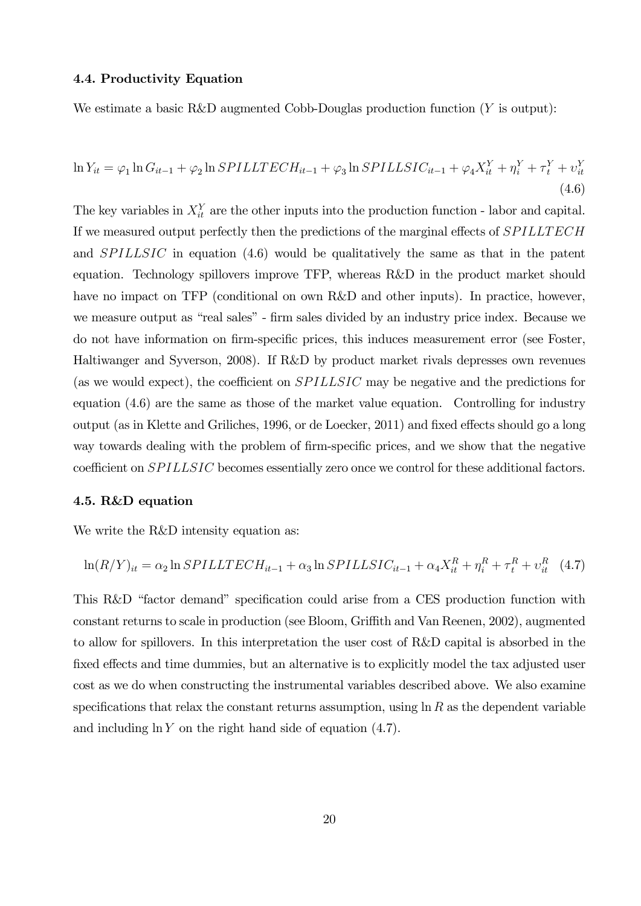#### 4.4. Productivity Equation

We estimate a basic R&D augmented Cobb-Douglas production function  $(Y$  is output):

$$
\ln Y_{it} = \varphi_1 \ln G_{it-1} + \varphi_2 \ln SPILLTECH_{it-1} + \varphi_3 \ln SPILLSIC_{it-1} + \varphi_4 X_{it}^Y + \eta_i^Y + \tau_i^Y + \upsilon_{it}^Y
$$
\n
$$
\tag{4.6}
$$

The key variables in  $X_{it}^Y$  are the other inputs into the production function - labor and capital. If we measured output perfectly then the predictions of the marginal effects of SPILLTECH and  $SPILLSIC$  in equation (4.6) would be qualitatively the same as that in the patent equation. Technology spillovers improve TFP, whereas R&D in the product market should have no impact on TFP (conditional on own R&D and other inputs). In practice, however, we measure output as "real sales" - firm sales divided by an industry price index. Because we do not have information on firm-specific prices, this induces measurement error (see Foster, Haltiwanger and Syverson, 2008). If R&D by product market rivals depresses own revenues (as we would expect), the coefficient on  $SPILLSIC$  may be negative and the predictions for equation (4.6) are the same as those of the market value equation. Controlling for industry output (as in Klette and Griliches, 1996, or de Loecker, 2011) and fixed effects should go a long way towards dealing with the problem of firm-specific prices, and we show that the negative coefficient on  $SPILLSIC$  becomes essentially zero once we control for these additional factors.

#### 4.5. R&D equation

We write the R&D intensity equation as:

$$
\ln(R/Y)_{it} = \alpha_2 \ln SPILLTECH_{it-1} + \alpha_3 \ln SPILLSIC_{it-1} + \alpha_4 X_{it}^R + \eta_i^R + \tau_i^R + \upsilon_{it}^R \quad (4.7)
$$

This R&D "factor demand" specification could arise from a CES production function with constant returns to scale in production (see Bloom, Griffith and Van Reenen, 2002), augmented to allow for spillovers. In this interpretation the user cost of R&D capital is absorbed in the fixed effects and time dummies, but an alternative is to explicitly model the tax adjusted user cost as we do when constructing the instrumental variables described above. We also examine specifications that relax the constant returns assumption, using  $\ln R$  as the dependent variable and including  $\ln Y$  on the right hand side of equation (4.7).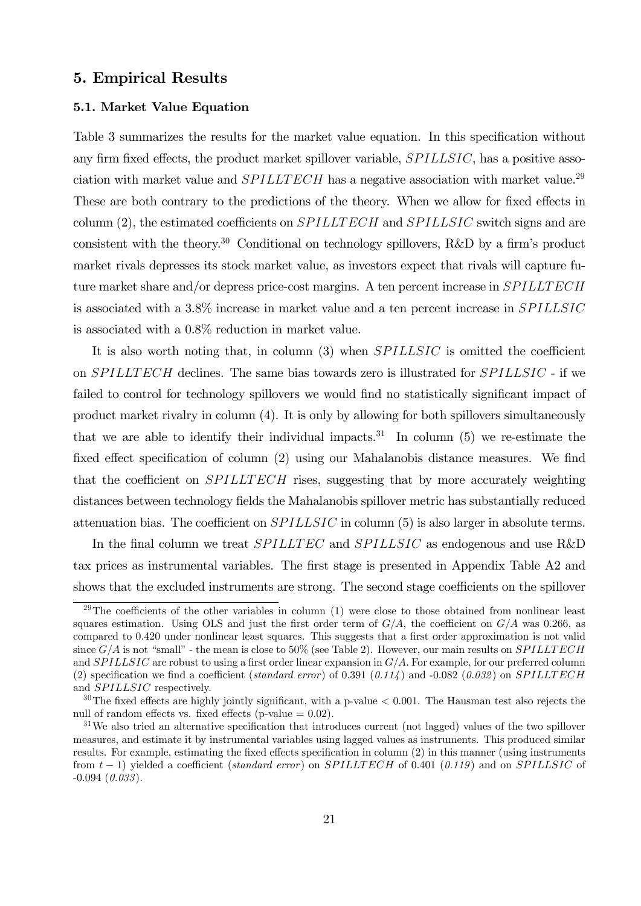## 5. Empirical Results

#### 5.1. Market Value Equation

Table 3 summarizes the results for the market value equation. In this specification without any firm fixed effects, the product market spillover variable,  $SPILLSIC$ , has a positive association with market value and  $SPILLTECH$  has a negative association with market value.<sup>29</sup> These are both contrary to the predictions of the theory. When we allow for fixed effects in column  $(2)$ , the estimated coefficients on *SPILLTECH* and *SPILLSIC* switch signs and are consistent with the theory.30 Conditional on technology spillovers, R&D by a firm's product market rivals depresses its stock market value, as investors expect that rivals will capture future market share and/or depress price-cost margins. A ten percent increase in *SPILLTECH* is associated with a 3.8% increase in market value and a ten percent increase in SPILLSIC is associated with a 0.8% reduction in market value.

It is also worth noting that, in column  $(3)$  when  $SPILLSIC$  is omitted the coefficient on  $SPILLTECH$  declines. The same bias towards zero is illustrated for  $SPILLSIC$  - if we failed to control for technology spillovers we would find no statistically significant impact of product market rivalry in column (4). It is only by allowing for both spillovers simultaneously that we are able to identify their individual impacts.<sup>31</sup> In column (5) we re-estimate the fixed effect specification of column (2) using our Mahalanobis distance measures. We find that the coefficient on  $SPILLTECH$  rises, suggesting that by more accurately weighting distances between technology fields the Mahalanobis spillover metric has substantially reduced attenuation bias. The coefficient on  $SPILLSIC$  in column  $(5)$  is also larger in absolute terms.

In the final column we treat  $SPILLTEC$  and  $SPILLSIC$  as endogenous and use R&D tax prices as instrumental variables. The first stage is presented in Appendix Table A2 and shows that the excluded instruments are strong. The second stage coefficients on the spillover

 $29$ The coefficients of the other variables in column (1) were close to those obtained from nonlinear least squares estimation. Using OLS and just the first order term of  $G/A$ , the coefficient on  $G/A$  was 0.266, as compared to 0.420 under nonlinear least squares. This suggests that a first order approximation is not valid since  $G/A$  is not "small" - the mean is close to 50% (see Table 2). However, our main results on  $SPILLTECH$ and  $SPILLSIC$  are robust to using a first order linear expansion in  $G/A$ . For example, for our preferred column (2) specification we find a coefficient (standard error) of 0.391 (0.114) and -0.082 (0.032) on SPILLTECH and SPILLSIC respectively.

 $30$ The fixed effects are highly jointly significant, with a p-value  $< 0.001$ . The Hausman test also rejects the null of random effects vs. fixed effects (p-value  $= 0.02$ ).

<sup>&</sup>lt;sup>31</sup>We also tried an alternative specification that introduces current (not lagged) values of the two spillover measures, and estimate it by instrumental variables using lagged values as instruments. This produced similar results. For example, estimating the fixed effects specification in column (2) in this manner (using instruments from  $t-1$ ) yielded a coefficient (standard error) on SPILLTECH of 0.401 (0.119) and on SPILLSIC of  $-0.094$   $(0.033)$ .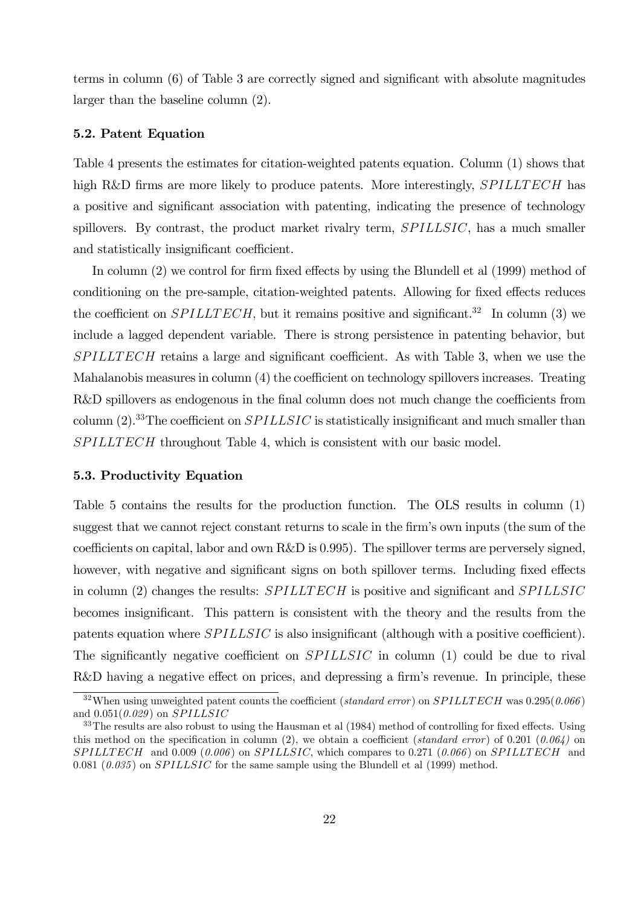terms in column (6) of Table 3 are correctly signed and significant with absolute magnitudes larger than the baseline column (2).

#### 5.2. Patent Equation

Table 4 presents the estimates for citation-weighted patents equation. Column (1) shows that high R&D firms are more likely to produce patents. More interestingly, *SPILLTECH* has a positive and significant association with patenting, indicating the presence of technology spillovers. By contrast, the product market rivalry term,  $SPILLSIC$ , has a much smaller and statistically insignificant coefficient.

In column (2) we control for firm fixed effects by using the Blundell et al (1999) method of conditioning on the pre-sample, citation-weighted patents. Allowing for fixed effects reduces the coefficient on  $SPILLTECH$ , but it remains positive and significant.<sup>32</sup> In column (3) we include a lagged dependent variable. There is strong persistence in patenting behavior, but  $SPILLTECH$  retains a large and significant coefficient. As with Table 3, when we use the Mahalanobis measures in column (4) the coefficient on technology spillovers increases. Treating R&D spillovers as endogenous in the final column does not much change the coefficients from column  $(2).$ <sup>33</sup>The coefficient on *SPILLSIC* is statistically insignificant and much smaller than  $SPILLTECH$  throughout Table 4, which is consistent with our basic model.

#### 5.3. Productivity Equation

Table 5 contains the results for the production function. The OLS results in column (1) suggest that we cannot reject constant returns to scale in the firm's own inputs (the sum of the coefficients on capital, labor and own R&D is 0.995). The spillover terms are perversely signed, however, with negative and significant signs on both spillover terms. Including fixed effects in column (2) changes the results:  $SPILLTECH$  is positive and significant and  $SPILLSIC$ becomes insignificant. This pattern is consistent with the theory and the results from the patents equation where  $SPILLSIC$  is also insignificant (although with a positive coefficient). The significantly negative coefficient on  $SPILLSIC$  in column (1) could be due to rival R&D having a negative effect on prices, and depressing a firm's revenue. In principle, these

 $32$ When using unweighted patent counts the coefficient (standard error) on SPILLTECH was  $0.295(0.066)$ and  $0.051(0.029)$  on  $SPILLSIC$ 

<sup>&</sup>lt;sup>33</sup>The results are also robust to using the Hausman et al (1984) method of controlling for fixed effects. Using this method on the specification in column (2), we obtain a coefficient (standard error) of 0.201 (0.064) on  $SPILLTECH$  and 0.009 (0.006) on SPILLSIC, which compares to 0.271 (0.066) on SPILLTECH and 0.081 (0.035) on SPILLSIC for the same sample using the Blundell et al  $(1999)$  method.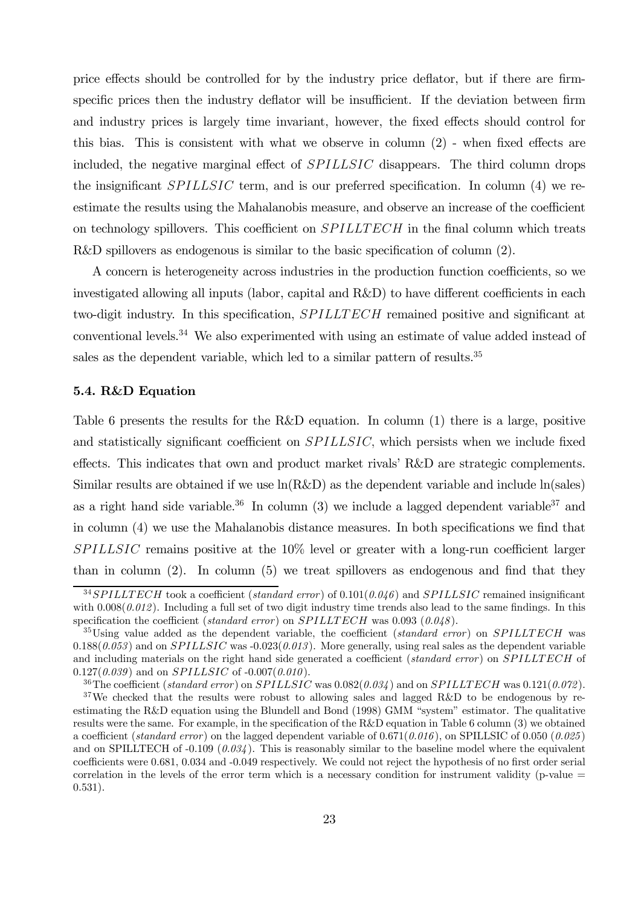price effects should be controlled for by the industry price deflator, but if there are firmspecific prices then the industry deflator will be insufficient. If the deviation between firm and industry prices is largely time invariant, however, the fixed effects should control for this bias. This is consistent with what we observe in column (2) - when fixed effects are included, the negative marginal effect of *SPILLSIC* disappears. The third column drops the insignificant  $SPILLSIC$  term, and is our preferred specification. In column (4) we reestimate the results using the Mahalanobis measure, and observe an increase of the coefficient on technology spillovers. This coefficient on *SPILLTECH* in the final column which treats R&D spillovers as endogenous is similar to the basic specification of column (2).

A concern is heterogeneity across industries in the production function coefficients, so we investigated allowing all inputs (labor, capital and R&D) to have different coefficients in each two-digit industry. In this specification, SPILLTECH remained positive and significant at conventional levels.34 We also experimented with using an estimate of value added instead of sales as the dependent variable, which led to a similar pattern of results.<sup>35</sup>

#### 5.4. R&D Equation

Table 6 presents the results for the R&D equation. In column (1) there is a large, positive and statistically significant coefficient on  $SPILLSIC$ , which persists when we include fixed effects. This indicates that own and product market rivals' R&D are strategic complements. Similar results are obtained if we use  $\ln(R\&D)$  as the dependent variable and include  $\ln(sales)$ as a right hand side variable.<sup>36</sup> In column (3) we include a lagged dependent variable<sup>37</sup> and in column (4) we use the Mahalanobis distance measures. In both specifications we find that  $SPILLSIC$  remains positive at the  $10\%$  level or greater with a long-run coefficient larger than in column (2). In column (5) we treat spillovers as endogenous and find that they

 $34 SPILLTECH$  took a coefficient (standard error) of  $0.101(0.046)$  and  $SPILLSIC$  remained insignificant with  $0.008(0.012)$ . Including a full set of two digit industry time trends also lead to the same findings. In this specification the coefficient (standard error) on  $SPILLTECH$  was 0.093 (0.048).

 $35\text{Using value added as the dependent variable, the coefficient (standard error) on SPILLTECH was}$  $0.188(0.053)$  and on  $SPILLSIC$  was  $-0.023(0.013)$ . More generally, using real sales as the dependent variable and including materials on the right hand side generated a coefficient (standard error) on  $SPILLTECH$  of  $0.127(0.039)$  and on *SPILLSIC* of  $-0.007(0.010)$ .

<sup>&</sup>lt;sup>36</sup>The coefficient (standard error) on SPILLSIC was  $0.082(0.034)$  and on SPILLTECH was  $0.121(0.072)$ .

<sup>&</sup>lt;sup>37</sup>We checked that the results were robust to allowing sales and lagged R&D to be endogenous by reestimating the R&D equation using the Blundell and Bond (1998) GMM "system" estimator. The qualitative results were the same. For example, in the specification of the R&D equation in Table 6 column (3) we obtained a coefficient (standard error) on the lagged dependent variable of  $0.671(0.016)$ , on SPILLSIC of  $0.050 (0.025)$ and on SPILLTECH of  $-0.109$  ( $0.034$ ). This is reasonably similar to the baseline model where the equivalent coefficients were 0.681, 0.034 and -0.049 respectively. We could not reject the hypothesis of no first order serial correlation in the levels of the error term which is a necessary condition for instrument validity (p-value  $=$ 0.531).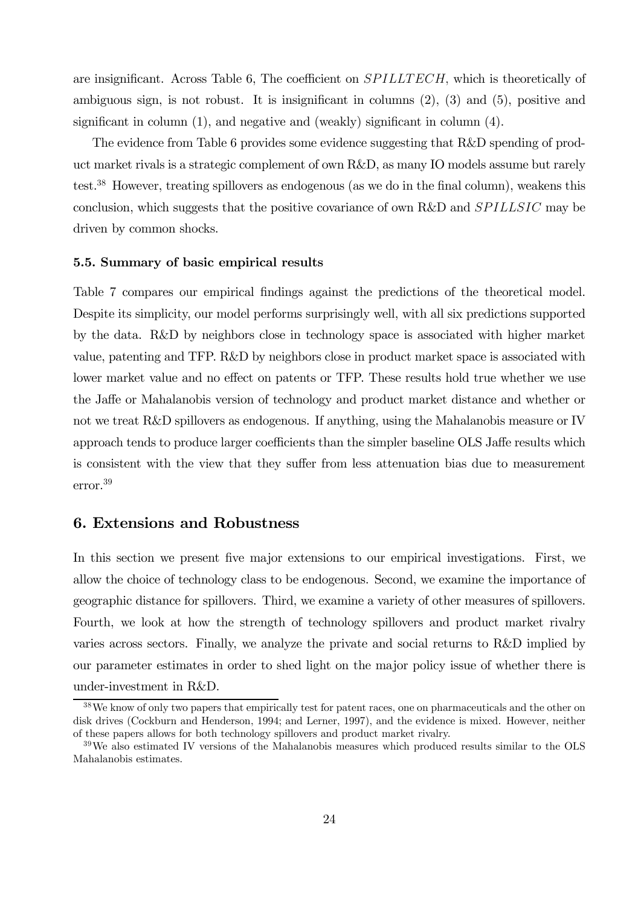are insignificant. Across Table 6, The coefficient on  $SPILLTECH$ , which is theoretically of ambiguous sign, is not robust. It is insignificant in columns (2), (3) and (5), positive and significant in column (1), and negative and (weakly) significant in column (4).

The evidence from Table 6 provides some evidence suggesting that R&D spending of product market rivals is a strategic complement of own R&D, as many IO models assume but rarely test.38 However, treating spillovers as endogenous (as we do in the final column), weakens this conclusion, which suggests that the positive covariance of own R&D and  $SPILLSIC$  may be driven by common shocks.

#### 5.5. Summary of basic empirical results

Table 7 compares our empirical findings against the predictions of the theoretical model. Despite its simplicity, our model performs surprisingly well, with all six predictions supported by the data. R&D by neighbors close in technology space is associated with higher market value, patenting and TFP. R&D by neighbors close in product market space is associated with lower market value and no effect on patents or TFP. These results hold true whether we use the Jaffe or Mahalanobis version of technology and product market distance and whether or not we treat R&D spillovers as endogenous. If anything, using the Mahalanobis measure or IV approach tends to produce larger coefficients than the simpler baseline OLS Jaffe results which is consistent with the view that they suffer from less attenuation bias due to measurement error.39

# 6. Extensions and Robustness

In this section we present five major extensions to our empirical investigations. First, we allow the choice of technology class to be endogenous. Second, we examine the importance of geographic distance for spillovers. Third, we examine a variety of other measures of spillovers. Fourth, we look at how the strength of technology spillovers and product market rivalry varies across sectors. Finally, we analyze the private and social returns to R&D implied by our parameter estimates in order to shed light on the major policy issue of whether there is under-investment in R&D.

<sup>&</sup>lt;sup>38</sup>We know of only two papers that empirically test for patent races, one on pharmaceuticals and the other on disk drives (Cockburn and Henderson, 1994; and Lerner, 1997), and the evidence is mixed. However, neither of these papers allows for both technology spillovers and product market rivalry.

<sup>39</sup>We also estimated IV versions of the Mahalanobis measures which produced results similar to the OLS Mahalanobis estimates.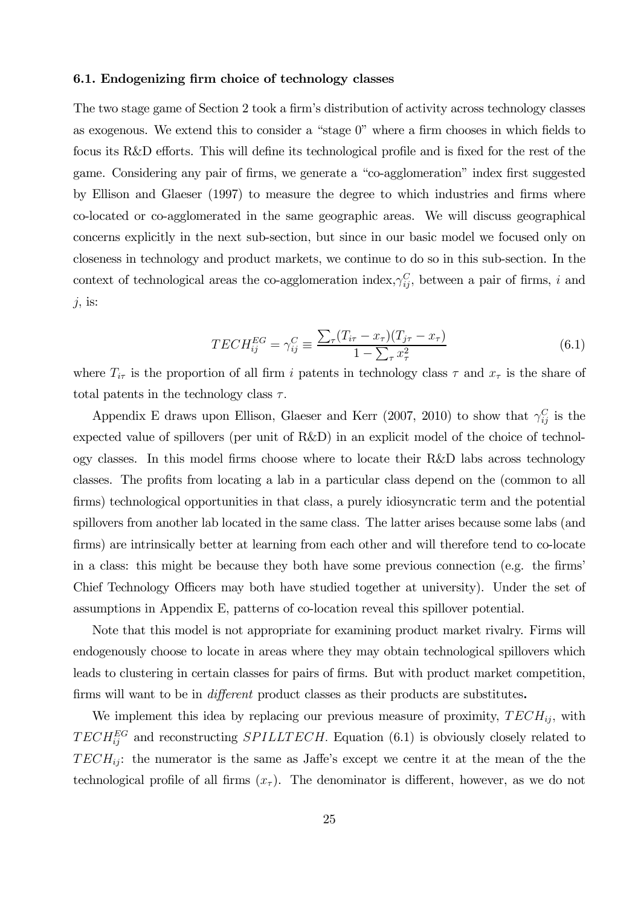#### 6.1. Endogenizing firm choice of technology classes

The two stage game of Section 2 took a firm's distribution of activity across technology classes as exogenous. We extend this to consider a "stage 0" where a firm chooses in which fields to focus its R&D efforts. This will define its technological profile and is fixed for the rest of the game. Considering any pair of firms, we generate a "co-agglomeration" index first suggested by Ellison and Glaeser (1997) to measure the degree to which industries and firms where co-located or co-agglomerated in the same geographic areas. We will discuss geographical concerns explicitly in the next sub-section, but since in our basic model we focused only on closeness in technology and product markets, we continue to do so in this sub-section. In the context of technological areas the co-agglomeration index,  $\gamma_{ij}^C$ , between a pair of firms, i and  $j$ , is:

$$
TECH_{ij}^{EG} = \gamma_{ij}^C \equiv \frac{\sum_{\tau} (T_{i\tau} - x_{\tau})(T_{j\tau} - x_{\tau})}{1 - \sum_{\tau} x_{\tau}^2}
$$
(6.1)

where  $T_{i\tau}$  is the proportion of all firm *i* patents in technology class  $\tau$  and  $x_{\tau}$  is the share of total patents in the technology class  $\tau$ .

Appendix E draws upon Ellison, Glaeser and Kerr (2007, 2010) to show that  $\gamma_{ij}^C$  is the expected value of spillovers (per unit of R&D) in an explicit model of the choice of technology classes. In this model firms choose where to locate their R&D labs across technology classes. The profits from locating a lab in a particular class depend on the (common to all firms) technological opportunities in that class, a purely idiosyncratic term and the potential spillovers from another lab located in the same class. The latter arises because some labs (and firms) are intrinsically better at learning from each other and will therefore tend to co-locate in a class: this might be because they both have some previous connection (e.g. the firms' Chief Technology Officers may both have studied together at university). Under the set of assumptions in Appendix E, patterns of co-location reveal this spillover potential.

Note that this model is not appropriate for examining product market rivalry. Firms will endogenously choose to locate in areas where they may obtain technological spillovers which leads to clustering in certain classes for pairs of firms. But with product market competition, firms will want to be in different product classes as their products are substitutes.

We implement this idea by replacing our previous measure of proximity,  $TECH_{ij}$ , with  $TECH_{ij}^{EG}$  and reconstructing  $SPILLTECH$ . Equation (6.1) is obviously closely related to  $TECH_{ii}$ : the numerator is the same as Jaffe's except we centre it at the mean of the the technological profile of all firms  $(x<sub>\tau</sub>)$ . The denominator is different, however, as we do not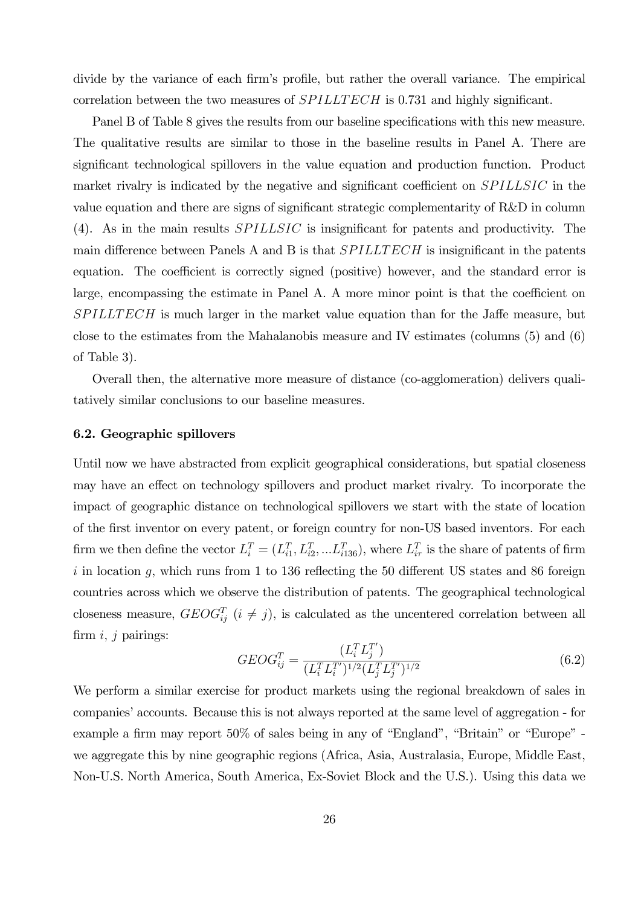divide by the variance of each firm's profile, but rather the overall variance. The empirical correlation between the two measures of  $SPILLTECH$  is 0.731 and highly significant.

Panel B of Table 8 gives the results from our baseline specifications with this new measure. The qualitative results are similar to those in the baseline results in Panel A. There are significant technological spillovers in the value equation and production function. Product market rivalry is indicated by the negative and significant coefficient on *SPILLSIC* in the value equation and there are signs of significant strategic complementarity of R&D in column (4). As in the main results  $SPILLSIC$  is insignificant for patents and productivity. The main difference between Panels A and B is that  $SPILLTECH$  is insignificant in the patents equation. The coefficient is correctly signed (positive) however, and the standard error is large, encompassing the estimate in Panel A. A more minor point is that the coefficient on  $SPILLTECH$  is much larger in the market value equation than for the Jaffe measure, but close to the estimates from the Mahalanobis measure and IV estimates (columns (5) and (6) of Table 3).

Overall then, the alternative more measure of distance (co-agglomeration) delivers qualitatively similar conclusions to our baseline measures.

#### 6.2. Geographic spillovers

Until now we have abstracted from explicit geographical considerations, but spatial closeness may have an effect on technology spillovers and product market rivalry. To incorporate the impact of geographic distance on technological spillovers we start with the state of location of the first inventor on every patent, or foreign country for non-US based inventors. For each firm we then define the vector  $L_i^T = (L_{i1}^T, L_{i2}^T, ... L_{i136}^T)$ , where  $L_{i\tau}^T$  is the share of patents of firm i in location  $q$ , which runs from 1 to 136 reflecting the 50 different US states and 86 foreign countries across which we observe the distribution of patents. The geographical technological closeness measure,  $GEOG_{ij}^T$  ( $i \neq j$ ), is calculated as the uncentered correlation between all firm  $i, j$  pairings:

$$
GEOG_{ij}^T = \frac{(L_i^T L_j^{T'})}{(L_i^T L_i^{T'})^{1/2} (L_j^T L_j^{T'})^{1/2}}
$$
(6.2)

We perform a similar exercise for product markets using the regional breakdown of sales in companies' accounts. Because this is not always reported at the same level of aggregation - for example a firm may report 50% of sales being in any of "England", "Britain" or "Europe" we aggregate this by nine geographic regions (Africa, Asia, Australasia, Europe, Middle East, Non-U.S. North America, South America, Ex-Soviet Block and the U.S.). Using this data we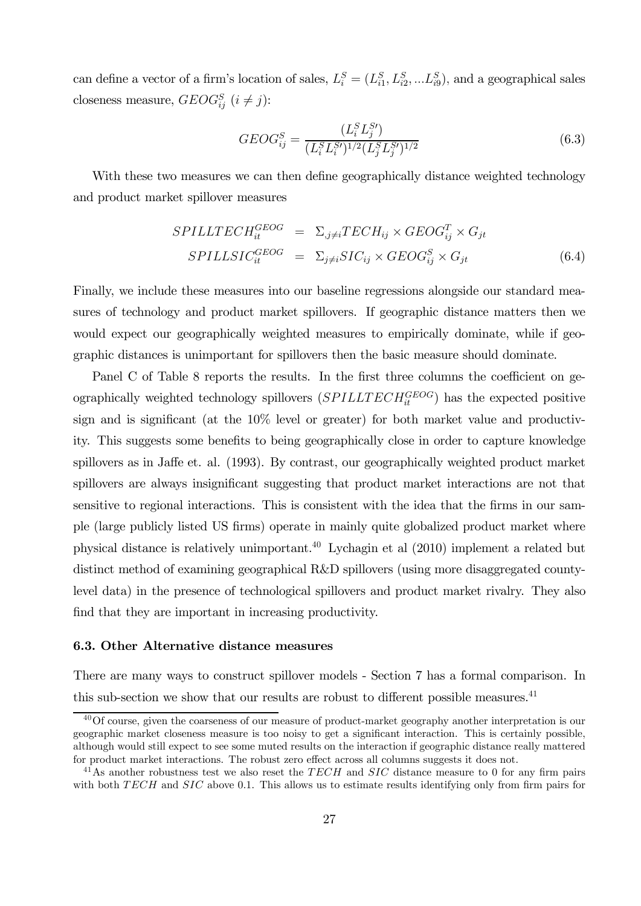can define a vector of a firm's location of sales,  $L_i^S = (L_{i1}^S, L_{i2}^S, ... L_{i9}^S)$ , and a geographical sales closeness measure,  $GEOG_{ij}^S$   $(i \neq j)$ :

$$
GEOG_{ij}^S = \frac{(L_i^S L_j^{S'})}{(L_i^S L_i^{S'})^{1/2} (L_j^S L_j^{S'})^{1/2}}
$$
(6.3)

With these two measures we can then define geographically distance weighted technology and product market spillover measures

$$
SPILLTECH_{it}^{GEOG} = \Sigma_{.j \neq i} TECH_{ij} \times GEOG_{ij}^T \times G_{jt}
$$
  
\n
$$
SPILLSIC_{it}^{GEOG} = \Sigma_{j \neq i} SIC_{ij} \times GEOG_{ij}^S \times G_{jt}
$$
 (6.4)

Finally, we include these measures into our baseline regressions alongside our standard measures of technology and product market spillovers. If geographic distance matters then we would expect our geographically weighted measures to empirically dominate, while if geographic distances is unimportant for spillovers then the basic measure should dominate.

Panel C of Table 8 reports the results. In the first three columns the coefficient on geographically weighted technology spillovers  $(SPILLTECH^{GEOG}_{it})$  has the expected positive sign and is significant (at the 10% level or greater) for both market value and productivity. This suggests some benefits to being geographically close in order to capture knowledge spillovers as in Jaffe et. al. (1993). By contrast, our geographically weighted product market spillovers are always insignificant suggesting that product market interactions are not that sensitive to regional interactions. This is consistent with the idea that the firms in our sample (large publicly listed US firms) operate in mainly quite globalized product market where physical distance is relatively unimportant.40 Lychagin et al (2010) implement a related but distinct method of examining geographical R&D spillovers (using more disaggregated countylevel data) in the presence of technological spillovers and product market rivalry. They also find that they are important in increasing productivity.

#### 6.3. Other Alternative distance measures

There are many ways to construct spillover models - Section 7 has a formal comparison. In this sub-section we show that our results are robust to different possible measures. $^{41}$ 

 $40$ Of course, given the coarseness of our measure of product-market geography another interpretation is our geographic market closeness measure is too noisy to get a significant interaction. This is certainly possible, although would still expect to see some muted results on the interaction if geographic distance really mattered for product market interactions. The robust zero effect across all columns suggests it does not.

<sup>&</sup>lt;sup>41</sup>As another robustness test we also reset the  $TECH$  and  $SIC$  distance measure to 0 for any firm pairs with both  $TECH$  and  $SIC$  above 0.1. This allows us to estimate results identifying only from firm pairs for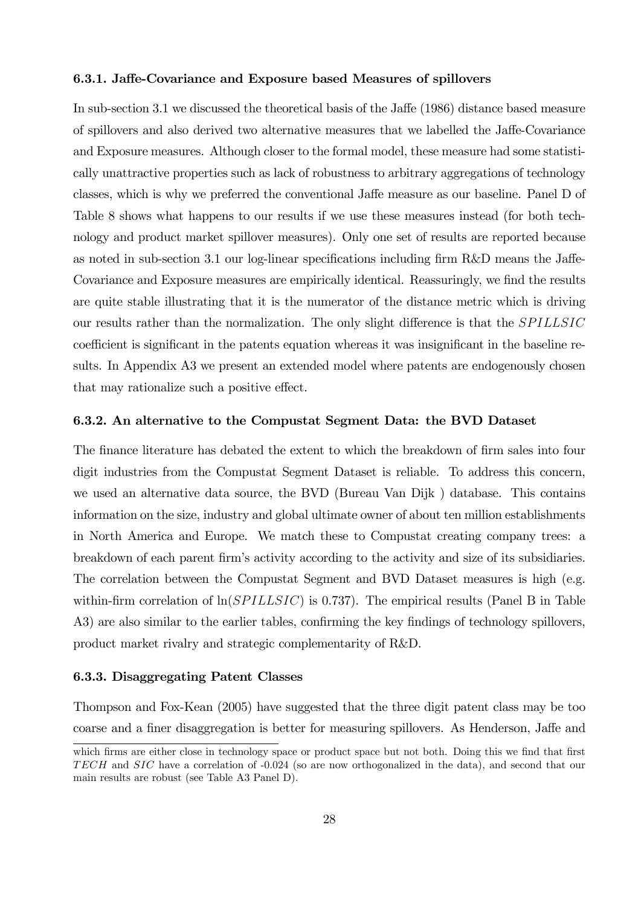#### 6.3.1. Jaffe-Covariance and Exposure based Measures of spillovers

In sub-section 3.1 we discussed the theoretical basis of the Jaffe (1986) distance based measure of spillovers and also derived two alternative measures that we labelled the Jaffe-Covariance and Exposure measures. Although closer to the formal model, these measure had some statistically unattractive properties such as lack of robustness to arbitrary aggregations of technology classes, which is why we preferred the conventional Jaffe measure as our baseline. Panel D of Table 8 shows what happens to our results if we use these measures instead (for both technology and product market spillover measures). Only one set of results are reported because as noted in sub-section 3.1 our log-linear specifications including firm R&D means the Jaffe-Covariance and Exposure measures are empirically identical. Reassuringly, we find the results are quite stable illustrating that it is the numerator of the distance metric which is driving our results rather than the normalization. The only slight difference is that the SPILLSIC coefficient is significant in the patents equation whereas it was insignificant in the baseline results. In Appendix A3 we present an extended model where patents are endogenously chosen that may rationalize such a positive effect.

#### 6.3.2. An alternative to the Compustat Segment Data: the BVD Dataset

The finance literature has debated the extent to which the breakdown of firm sales into four digit industries from the Compustat Segment Dataset is reliable. To address this concern, we used an alternative data source, the BVD (Bureau Van Dijk ) database. This contains information on the size, industry and global ultimate owner of about ten million establishments in North America and Europe. We match these to Compustat creating company trees: a breakdown of each parent firm's activity according to the activity and size of its subsidiaries. The correlation between the Compustat Segment and BVD Dataset measures is high (e.g. within-firm correlation of  $\ln(SPILLSIC)$  is 0.737). The empirical results (Panel B in Table A3) are also similar to the earlier tables, confirming the key findings of technology spillovers, product market rivalry and strategic complementarity of R&D.

#### 6.3.3. Disaggregating Patent Classes

Thompson and Fox-Kean (2005) have suggested that the three digit patent class may be too coarse and a finer disaggregation is better for measuring spillovers. As Henderson, Jaffe and

which firms are either close in technology space or product space but not both. Doing this we find that first TECH and  $SIC$  have a correlation of  $-0.024$  (so are now orthogonalized in the data), and second that our main results are robust (see Table A3 Panel D).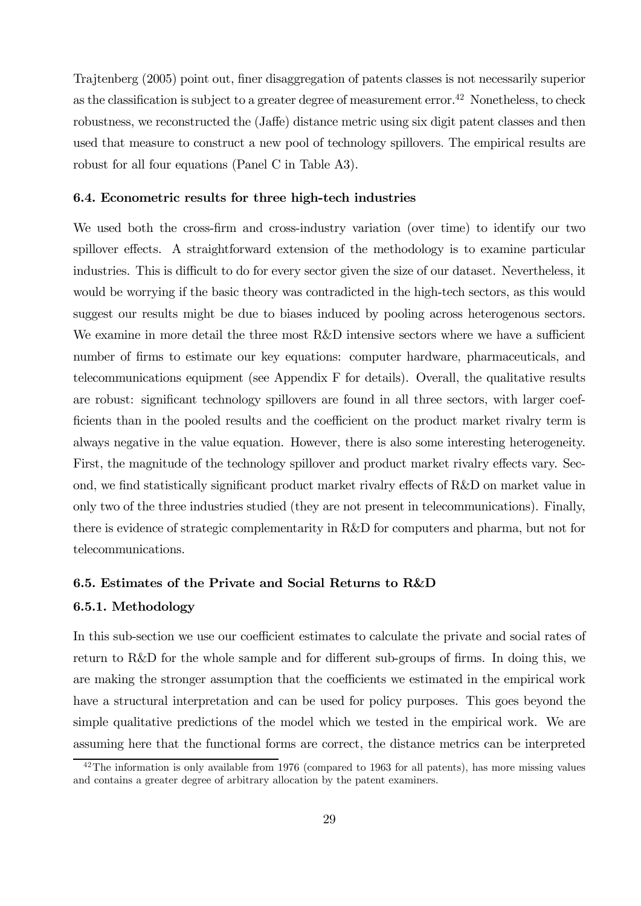Trajtenberg (2005) point out, finer disaggregation of patents classes is not necessarily superior as the classification is subject to a greater degree of measurement error.<sup>42</sup> Nonetheless, to check robustness, we reconstructed the (Jaffe) distance metric using six digit patent classes and then used that measure to construct a new pool of technology spillovers The empirical results are robust for all four equations (Panel C in Table A3).

#### 6.4. Econometric results for three high-tech industries

We used both the cross-firm and cross-industry variation (over time) to identify our two spillover effects. A straightforward extension of the methodology is to examine particular industries. This is difficult to do for every sector given the size of our dataset. Nevertheless, it would be worrying if the basic theory was contradicted in the high-tech sectors, as this would suggest our results might be due to biases induced by pooling across heterogenous sectors. We examine in more detail the three most R&D intensive sectors where we have a sufficient number of firms to estimate our key equations: computer hardware, pharmaceuticals, and telecommunications equipment (see Appendix F for details). Overall, the qualitative results are robust: significant technology spillovers are found in all three sectors, with larger coefficients than in the pooled results and the coefficient on the product market rivalry term is always negative in the value equation. However, there is also some interesting heterogeneity. First, the magnitude of the technology spillover and product market rivalry effects vary. Second, we find statistically significant product market rivalry effects of R&D on market value in only two of the three industries studied (they are not present in telecommunications). Finally, there is evidence of strategic complementarity in R&D for computers and pharma, but not for telecommunications.

# 6.5. Estimates of the Private and Social Returns to R&D

#### 6.5.1. Methodology

In this sub-section we use our coefficient estimates to calculate the private and social rates of return to R&D for the whole sample and for different sub-groups of firms. In doing this, we are making the stronger assumption that the coefficients we estimated in the empirical work have a structural interpretation and can be used for policy purposes. This goes beyond the simple qualitative predictions of the model which we tested in the empirical work. We are assuming here that the functional forms are correct, the distance metrics can be interpreted

 $^{42}$ The information is only available from 1976 (compared to 1963 for all patents), has more missing values and contains a greater degree of arbitrary allocation by the patent examiners.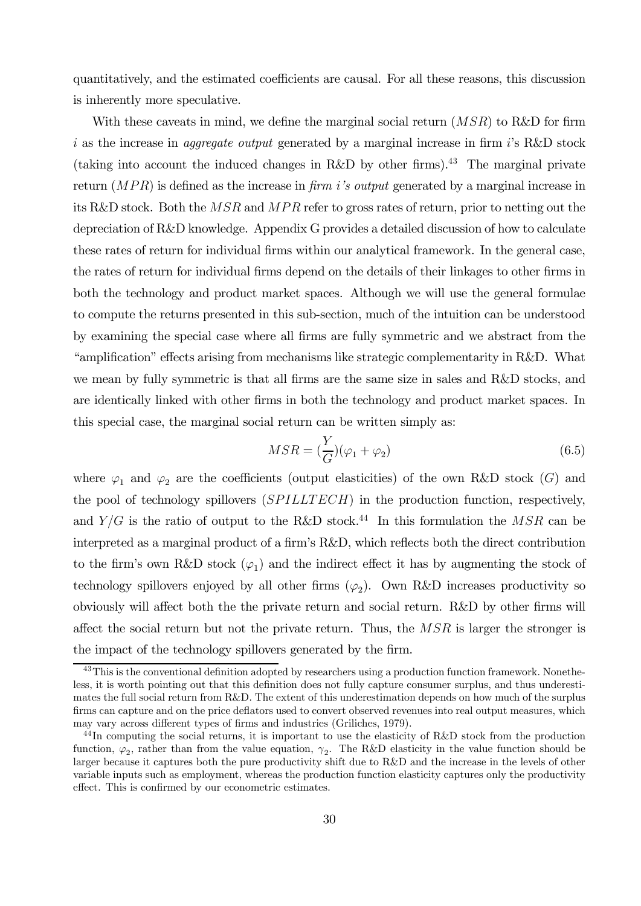quantitatively, and the estimated coefficients are causal. For all these reasons, this discussion is inherently more speculative.

With these caveats in mind, we define the marginal social return  $(MSR)$  to R&D for firm i as the increase in *aggregate output* generated by a marginal increase in firm  $i$ 's R&D stock (taking into account the induced changes in R&D by other firms).<sup>43</sup> The marginal private return  $(MPR)$  is defined as the increase in *firm i's output* generated by a marginal increase in its R&D stock. Both the  $MSR$  and  $MPR$  refer to gross rates of return, prior to netting out the depreciation of R&D knowledge. Appendix G provides a detailed discussion of how to calculate these rates of return for individual firms within our analytical framework. In the general case, the rates of return for individual firms depend on the details of their linkages to other firms in both the technology and product market spaces. Although we will use the general formulae to compute the returns presented in this sub-section, much of the intuition can be understood by examining the special case where all firms are fully symmetric and we abstract from the "amplification" effects arising from mechanisms like strategic complementarity in R&D. What we mean by fully symmetric is that all firms are the same size in sales and R&D stocks, and are identically linked with other firms in both the technology and product market spaces. In this special case, the marginal social return can be written simply as:

$$
MSR = \left(\frac{Y}{G}\right)(\varphi_1 + \varphi_2) \tag{6.5}
$$

where  $\varphi_1$  and  $\varphi_2$  are the coefficients (output elasticities) of the own R&D stock (G) and the pool of technology spillovers  $(SPILLTECH)$  in the production function, respectively, and  $Y/G$  is the ratio of output to the R&D stock.<sup>44</sup> In this formulation the MSR can be interpreted as a marginal product of a firm's R&D, which reflects both the direct contribution to the firm's own R&D stock  $(\varphi_1)$  and the indirect effect it has by augmenting the stock of technology spillovers enjoyed by all other firms  $(\varphi_2)$ . Own R&D increases productivity so obviously will affect both the the private return and social return. R&D by other firms will affect the social return but not the private return. Thus, the  $MSR$  is larger the stronger is the impact of the technology spillovers generated by the firm.

<sup>&</sup>lt;sup>43</sup>This is the conventional definition adopted by researchers using a production function framework. Nonetheless, it is worth pointing out that this definition does not fully capture consumer surplus, and thus underestimates the full social return from R&D. The extent of this underestimation depends on how much of the surplus firms can capture and on the price deflators used to convert observed revenues into real output measures, which may vary across different types of firms and industries (Griliches, 1979).

<sup>&</sup>lt;sup>44</sup>In computing the social returns, it is important to use the elasticity of R&D stock from the production function,  $\varphi_2$ , rather than from the value equation,  $\gamma_2$ . The R&D elasticity in the value function should be larger because it captures both the pure productivity shift due to R&D and the increase in the levels of other variable inputs such as employment, whereas the production function elasticity captures only the productivity effect. This is confirmed by our econometric estimates.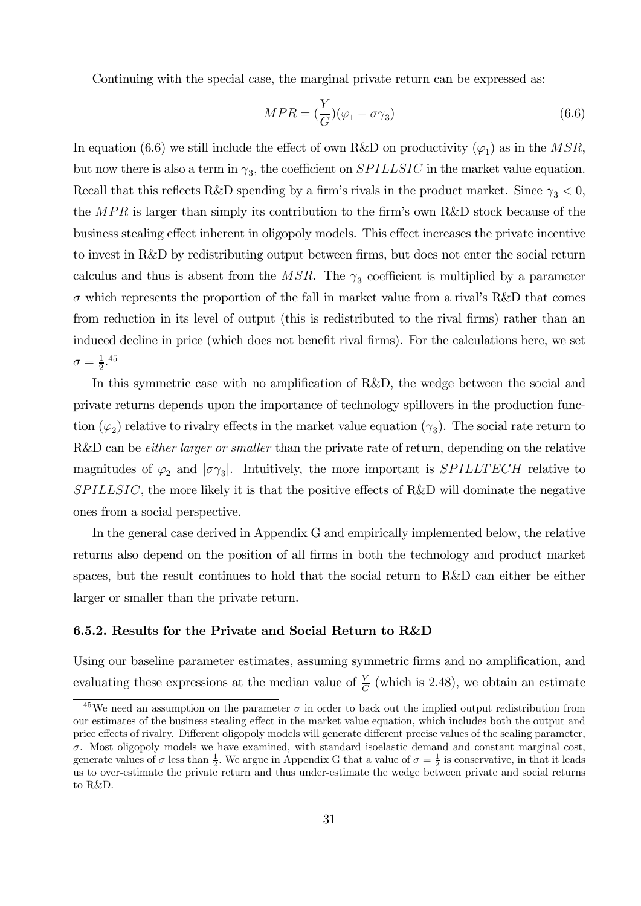Continuing with the special case, the marginal private return can be expressed as:

$$
MPR = \left(\frac{Y}{G}\right)(\varphi_1 - \sigma \gamma_3) \tag{6.6}
$$

In equation (6.6) we still include the effect of own R&D on productivity ( $\varphi_1$ ) as in the MSR, but now there is also a term in  $\gamma_3$ , the coefficient on *SPILLSIC* in the market value equation. Recall that this reflects R&D spending by a firm's rivals in the product market. Since  $\gamma_3 < 0$ , the  $MPR$  is larger than simply its contribution to the firm's own R&D stock because of the business stealing effect inherent in oligopoly models. This effect increases the private incentive to invest in R&D by redistributing output between firms, but does not enter the social return calculus and thus is absent from the MSR. The  $\gamma_3$  coefficient is multiplied by a parameter  $\sigma$  which represents the proportion of the fall in market value from a rival's R&D that comes from reduction in its level of output (this is redistributed to the rival firms) rather than an induced decline in price (which does not benefit rival firms). For the calculations here, we set  $\sigma = \frac{1}{2}.^{45}$ 

In this symmetric case with no amplification of R&D, the wedge between the social and private returns depends upon the importance of technology spillovers in the production function  $(\varphi_2)$  relative to rivalry effects in the market value equation  $(\gamma_3)$ . The social rate return to R&D can be *either larger or smaller* than the private rate of return, depending on the relative magnitudes of  $\varphi_2$  and  $|\sigma\gamma_3|$ . Intuitively, the more important is *SPILLTECH* relative to  $SPILLSIC$ , the more likely it is that the positive effects of R&D will dominate the negative ones from a social perspective.

In the general case derived in Appendix G and empirically implemented below, the relative returns also depend on the position of all firms in both the technology and product market spaces, but the result continues to hold that the social return to R&D can either be either larger or smaller than the private return.

#### 6.5.2. Results for the Private and Social Return to R&D

Using our baseline parameter estimates, assuming symmetric firms and no amplification, and evaluating these expressions at the median value of  $\frac{Y}{G}$  (which is 2.48), we obtain an estimate

<sup>&</sup>lt;sup>45</sup>We need an assumption on the parameter  $\sigma$  in order to back out the implied output redistribution from our estimates of the business stealing effect in the market value equation, which includes both the output and price effects of rivalry. Different oligopoly models will generate different precise values of the scaling parameter,  $\sigma$ . Most oligopoly models we have examined, with standard isoelastic demand and constant marginal cost, generate values of  $\sigma$  less than  $\frac{1}{2}$ . We argue in Appendix G that a value of  $\sigma = \frac{1}{2}$  is conservative, in that it leads us to over-estimate the private return and thus under-estimate the wedge between private and social returns to R&D.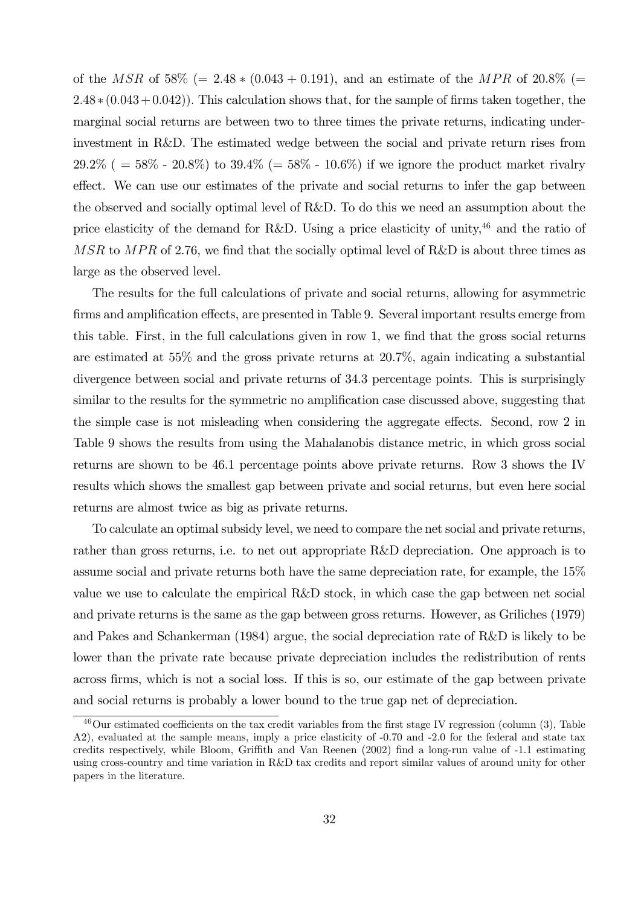of the MSR of 58% (= 2.48  $*(0.043 + 0.191)$ , and an estimate of the MPR of 20.8% (=  $2.48 * (0.043 + 0.042)$ . This calculation shows that, for the sample of firms taken together, the marginal social returns are between two to three times the private returns, indicating underinvestment in R&D. The estimated wedge between the social and private return rises from 29.2% ( =  $58\%$  - 20.8%) to 39.4% (=  $58\%$  - 10.6%) if we ignore the product market rivalry effect. We can use our estimates of the private and social returns to infer the gap between the observed and socially optimal level of R&D. To do this we need an assumption about the price elasticity of the demand for R&D. Using a price elasticity of unity,<sup>46</sup> and the ratio of  $MSR$  to  $MPR$  of 2.76, we find that the socially optimal level of R&D is about three times as large as the observed level.

The results for the full calculations of private and social returns, allowing for asymmetric firms and amplification effects, are presented in Table 9. Several important results emerge from this table. First, in the full calculations given in row 1, we find that the gross social returns are estimated at 55% and the gross private returns at 20.7%, again indicating a substantial divergence between social and private returns of 34.3 percentage points. This is surprisingly similar to the results for the symmetric no amplification case discussed above, suggesting that the simple case is not misleading when considering the aggregate effects. Second, row 2 in Table 9 shows the results from using the Mahalanobis distance metric, in which gross social returns are shown to be 46.1 percentage points above private returns. Row 3 shows the IV results which shows the smallest gap between private and social returns, but even here social returns are almost twice as big as private returns.

To calculate an optimal subsidy level, we need to compare the net social and private returns, rather than gross returns, i.e. to net out appropriate R&D depreciation. One approach is to assume social and private returns both have the same depreciation rate, for example, the 15% value we use to calculate the empirical R&D stock, in which case the gap between net social and private returns is the same as the gap between gross returns. However, as Griliches (1979) and Pakes and Schankerman (1984) argue, the social depreciation rate of R&D is likely to be lower than the private rate because private depreciation includes the redistribution of rents across firms, which is not a social loss. If this is so, our estimate of the gap between private and social returns is probably a lower bound to the true gap net of depreciation.

<sup>46</sup>Our estimated coefficients on the tax credit variables from the first stage IV regression (column (3), Table A2), evaluated at the sample means, imply a price elasticity of -0.70 and -2.0 for the federal and state tax credits respectively, while Bloom, Griffith and Van Reenen (2002) find a long-run value of -1.1 estimating using cross-country and time variation in R&D tax credits and report similar values of around unity for other papers in the literature.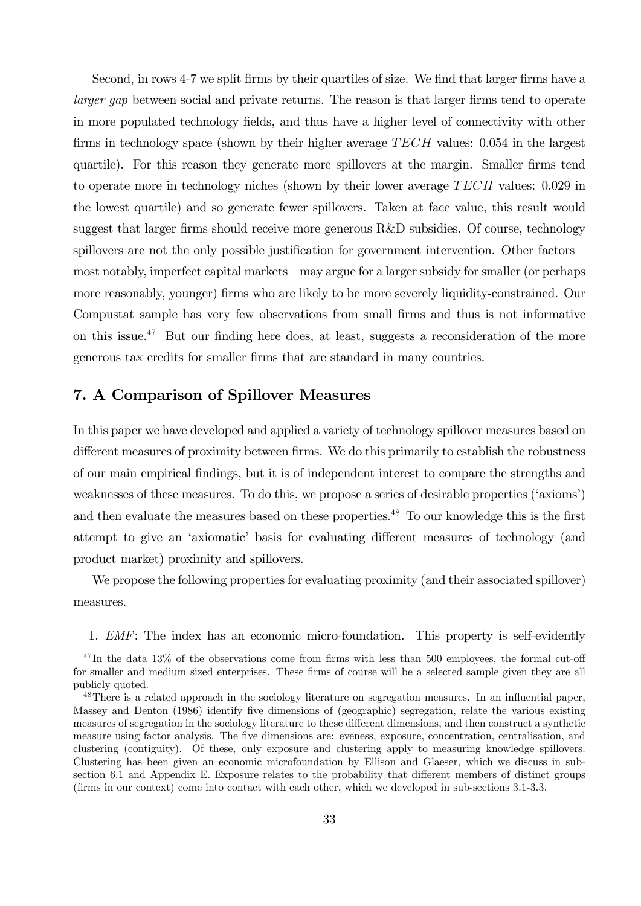Second, in rows 4-7 we split firms by their quartiles of size. We find that larger firms have a larger gap between social and private returns. The reason is that larger firms tend to operate in more populated technology fields, and thus have a higher level of connectivity with other firms in technology space (shown by their higher average  $TECH$  values: 0.054 in the largest quartile). For this reason they generate more spillovers at the margin. Smaller firms tend to operate more in technology niches (shown by their lower average  $TECH$  values: 0.029 in the lowest quartile) and so generate fewer spillovers. Taken at face value, this result would suggest that larger firms should receive more generous R&D subsidies. Of course, technology spillovers are not the only possible justification for government intervention. Other factors – most notably, imperfect capital markets — may argue for a larger subsidy for smaller (or perhaps more reasonably, younger) firms who are likely to be more severely liquidity-constrained. Our Compustat sample has very few observations from small firms and thus is not informative on this issue.<sup>47</sup> But our finding here does, at least, suggests a reconsideration of the more generous tax credits for smaller firms that are standard in many countries.

# 7. A Comparison of Spillover Measures

In this paper we have developed and applied a variety of technology spillover measures based on different measures of proximity between firms. We do this primarily to establish the robustness of our main empirical findings, but it is of independent interest to compare the strengths and weaknesses of these measures. To do this, we propose a series of desirable properties ('axioms') and then evaluate the measures based on these properties.<sup>48</sup> To our knowledge this is the first attempt to give an 'axiomatic' basis for evaluating different measures of technology (and product market) proximity and spillovers.

We propose the following properties for evaluating proximity (and their associated spillover) measures.

1. EMF: The index has an economic micro-foundation. This property is self-evidently

 $^{47}$ In the data 13% of the observations come from firms with less than 500 employees, the formal cut-off for smaller and medium sized enterprises. These firms of course will be a selected sample given they are all publicly quoted.

<sup>&</sup>lt;sup>48</sup>There is a related approach in the sociology literature on segregation measures. In an influential paper, Massey and Denton (1986) identify five dimensions of (geographic) segregation, relate the various existing measures of segregation in the sociology literature to these different dimensions, and then construct a synthetic measure using factor analysis. The five dimensions are: eveness, exposure, concentration, centralisation, and clustering (contiguity). Of these, only exposure and clustering apply to measuring knowledge spillovers. Clustering has been given an economic microfoundation by Ellison and Glaeser, which we discuss in subsection 6.1 and Appendix E. Exposure relates to the probability that different members of distinct groups (firms in our context) come into contact with each other, which we developed in sub-sections 3.1-3.3.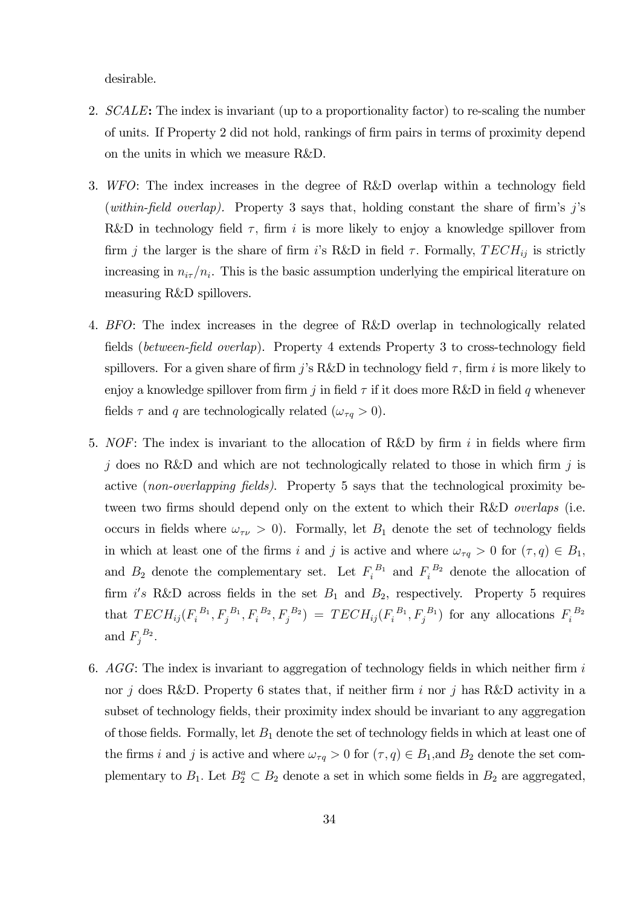desirable.

- 2. SCALE: The index is invariant (up to a proportionality factor) to re-scaling the number of units. If Property 2 did not hold, rankings of firm pairs in terms of proximity depend on the units in which we measure R&D.
- 3. WFO: The index increases in the degree of R&D overlap within a technology field (within-field overlap). Property 3 says that, holding constant the share of firm's  $j$ 's R&D in technology field  $\tau$ , firm *i* is more likely to enjoy a knowledge spillover from firm *j* the larger is the share of firm *i*'s R&D in field  $\tau$ . Formally,  $TECH_{ij}$  is strictly increasing in  $n_{i\tau}/n_i$ . This is the basic assumption underlying the empirical literature on measuring R&D spillovers.
- 4. BFO: The index increases in the degree of R&D overlap in technologically related fields (between-field overlap). Property 4 extends Property 3 to cross-technology field spillovers. For a given share of firm *j*'s R&D in technology field  $\tau$ , firm *i* is more likely to enjoy a knowledge spillover from firm j in field  $\tau$  if it does more R&D in field q whenever fields  $\tau$  and q are technologically related  $(\omega_{\tau q} > 0)$ .
- 5. NOF: The index is invariant to the allocation of R&D by firm  $i$  in fields where firm i does no R&D and which are not technologically related to those in which firm i is active (non-overlapping fields). Property 5 says that the technological proximity between two firms should depend only on the extent to which their R&D *overlaps* (i.e. occurs in fields where  $\omega_{\tau\nu} > 0$ . Formally, let  $B_1$  denote the set of technology fields in which at least one of the firms *i* and *j* is active and where  $\omega_{\tau q} > 0$  for  $(\tau, q) \in B_1$ , and  $B_2$  denote the complementary set. Let  $F_i^{B_1}$  and  $F_i^{B_2}$  denote the allocation of firm  $i's$  R&D across fields in the set  $B_1$  and  $B_2$ , respectively. Property 5 requires that  $TECH_{ij}(F_i^{B_1}, F_j^{B_1}, F_i^{B_2}, F_j^{B_2}) = TECH_{ij}(F_i^{B_1}, F_j^{B_1})$  for any allocations  $F_i^{B_2}$ and  $F_j^{B_2}$ .
- 6.  $AGG$ : The index is invariant to aggregation of technology fields in which neither firm i nor *i* does R&D. Property 6 states that, if neither firm *i* nor *i* has R&D activity in a subset of technology fields, their proximity index should be invariant to any aggregation of those fields. Formally, let  $B_1$  denote the set of technology fields in which at least one of the firms *i* and *j* is active and where  $\omega_{\tau q} > 0$  for  $(\tau, q) \in B_1$ , and  $B_2$  denote the set complementary to  $B_1$ . Let  $B_2^a \subset B_2$  denote a set in which some fields in  $B_2$  are aggregated,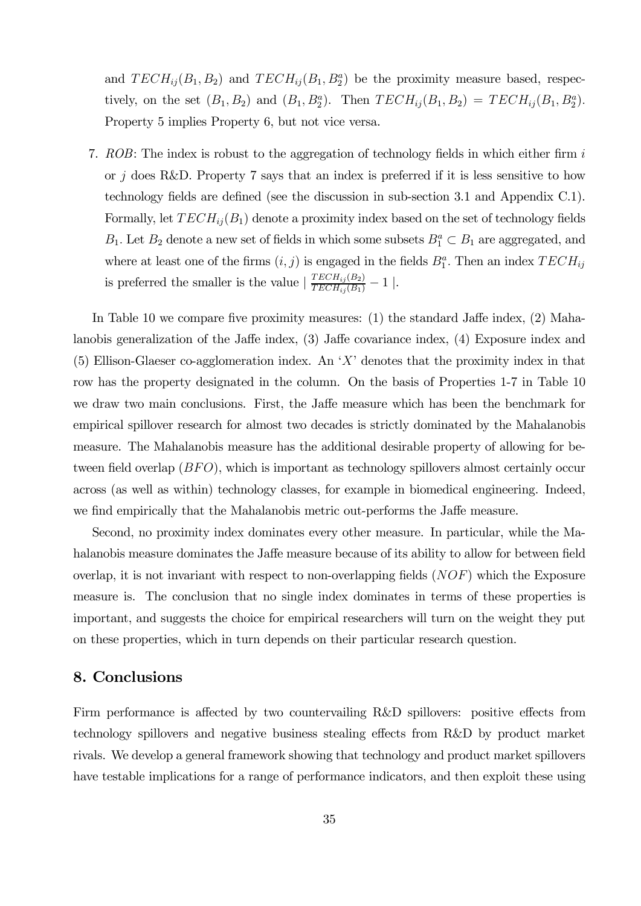and  $TECH_{ij}(B_1, B_2)$  and  $TECH_{ij}(B_1, B_2^a)$  be the proximity measure based, respectively, on the set  $(B_1, B_2)$  and  $(B_1, B_2^a)$ . Then  $TECH_{ij}(B_1, B_2) = TECH_{ij}(B_1, B_2^a)$ . Property 5 implies Property 6, but not vice versa.

7. ROB: The index is robust to the aggregation of technology fields in which either firm i or  $j$  does R&D. Property 7 says that an index is preferred if it is less sensitive to how technology fields are defined (see the discussion in sub-section 3.1 and Appendix C.1). Formally, let  $TECH_{ii}(B_1)$  denote a proximity index based on the set of technology fields  $B_1$ . Let  $B_2$  denote a new set of fields in which some subsets  $B_1^a \subset B_1$  are aggregated, and where at least one of the firms  $(i, j)$  is engaged in the fields  $B_1^a$ . Then an index  $TECH_{ij}$ is preferred the smaller is the value  $\left| \frac{TECH_{ij}(B_2)}{TECH_{ij}(B_1)} - 1 \right|$ .

In Table 10 we compare five proximity measures: (1) the standard Jaffe index, (2) Mahalanobis generalization of the Jaffe index, (3) Jaffe covariance index, (4) Exposure index and (5) Ellison-Glaeser co-agglomeration index. An 'X' denotes that the proximity index in that row has the property designated in the column. On the basis of Properties 1-7 in Table 10 we draw two main conclusions. First, the Jaffe measure which has been the benchmark for empirical spillover research for almost two decades is strictly dominated by the Mahalanobis measure. The Mahalanobis measure has the additional desirable property of allowing for between field overlap  $(BFO)$ , which is important as technology spillovers almost certainly occur across (as well as within) technology classes, for example in biomedical engineering. Indeed, we find empirically that the Mahalanobis metric out-performs the Jaffe measure.

Second, no proximity index dominates every other measure. In particular, while the Mahalanobis measure dominates the Jaffe measure because of its ability to allow for between field overlap, it is not invariant with respect to non-overlapping fields  $(NOF)$  which the Exposure measure is. The conclusion that no single index dominates in terms of these properties is important, and suggests the choice for empirical researchers will turn on the weight they put on these properties, which in turn depends on their particular research question.

# 8. Conclusions

Firm performance is affected by two countervailing R&D spillovers: positive effects from technology spillovers and negative business stealing effects from R&D by product market rivals. We develop a general framework showing that technology and product market spillovers have testable implications for a range of performance indicators, and then exploit these using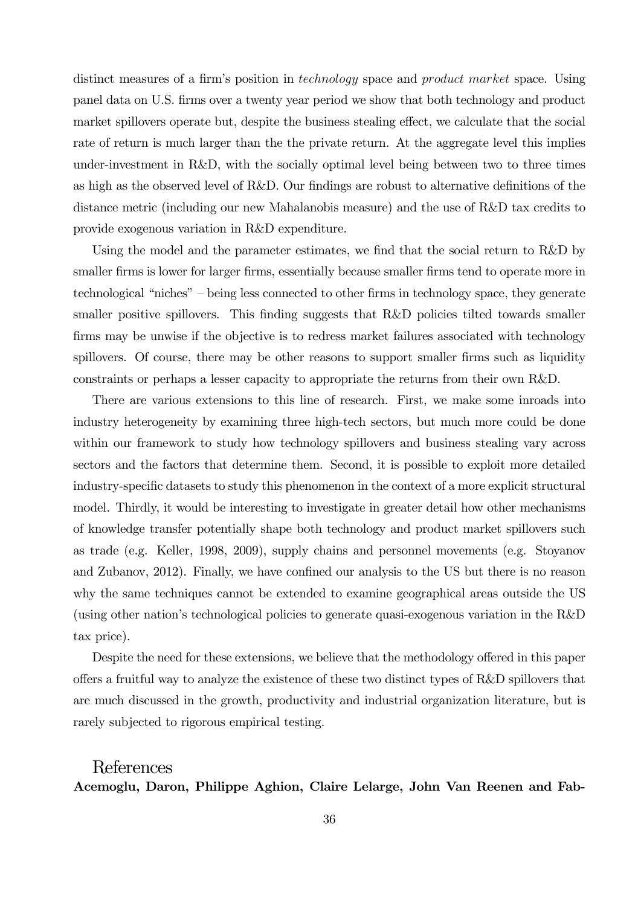distinct measures of a firm's position in technology space and product market space. Using panel data on U.S. firms over a twenty year period we show that both technology and product market spillovers operate but, despite the business stealing effect, we calculate that the social rate of return is much larger than the the private return. At the aggregate level this implies under-investment in R&D, with the socially optimal level being between two to three times as high as the observed level of R&D. Our findings are robust to alternative definitions of the distance metric (including our new Mahalanobis measure) and the use of R&D tax credits to provide exogenous variation in R&D expenditure.

Using the model and the parameter estimates, we find that the social return to R&D by smaller firms is lower for larger firms, essentially because smaller firms tend to operate more in technological "niches" — being less connected to other firms in technology space, they generate smaller positive spillovers. This finding suggests that R&D policies tilted towards smaller firms may be unwise if the objective is to redress market failures associated with technology spillovers. Of course, there may be other reasons to support smaller firms such as liquidity constraints or perhaps a lesser capacity to appropriate the returns from their own R&D.

There are various extensions to this line of research. First, we make some inroads into industry heterogeneity by examining three high-tech sectors, but much more could be done within our framework to study how technology spillovers and business stealing vary across sectors and the factors that determine them. Second, it is possible to exploit more detailed industry-specific datasets to study this phenomenon in the context of a more explicit structural model. Thirdly, it would be interesting to investigate in greater detail how other mechanisms of knowledge transfer potentially shape both technology and product market spillovers such as trade (e.g. Keller, 1998, 2009), supply chains and personnel movements (e.g. Stoyanov and Zubanov, 2012). Finally, we have confined our analysis to the US but there is no reason why the same techniques cannot be extended to examine geographical areas outside the US (using other nation's technological policies to generate quasi-exogenous variation in the R&D tax price).

Despite the need for these extensions, we believe that the methodology offered in this paper offers a fruitful way to analyze the existence of these two distinct types of R&D spillovers that are much discussed in the growth, productivity and industrial organization literature, but is rarely subjected to rigorous empirical testing.

## References

Acemoglu, Daron, Philippe Aghion, Claire Lelarge, John Van Reenen and Fab-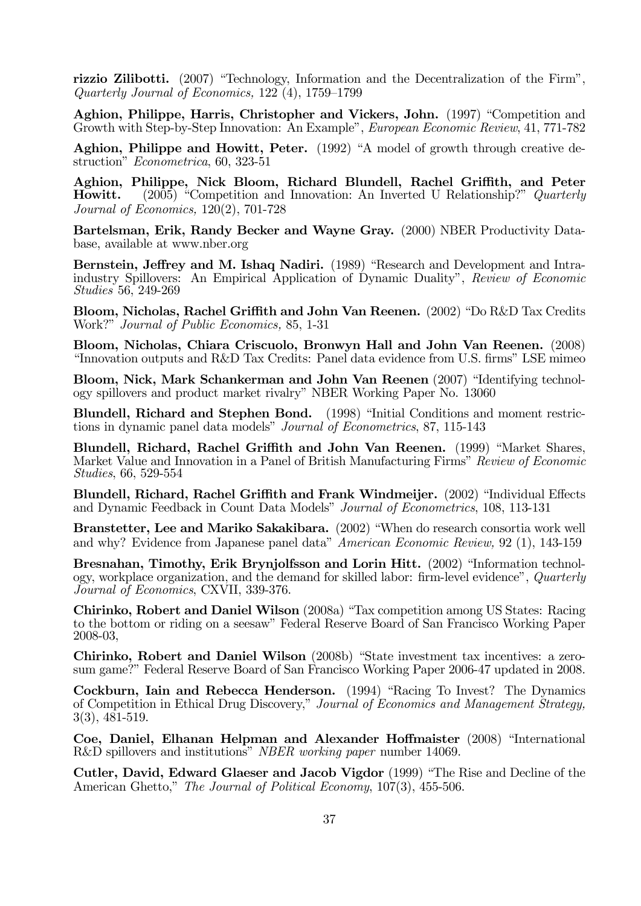rizzio Zilibotti. (2007) "Technology, Information and the Decentralization of the Firm", Quarterly Journal of Economics, 122 (4), 1759—1799

Aghion, Philippe, Harris, Christopher and Vickers, John. (1997) "Competition and Growth with Step-by-Step Innovation: An Example", European Economic Review, 41, 771-782

Aghion, Philippe and Howitt, Peter. (1992) "A model of growth through creative destruction" Econometrica, 60, 323-51

Aghion, Philippe, Nick Bloom, Richard Blundell, Rachel Griffith, and Peter Howitt. (2005) "Competition and Innovation: An Inverted U Relationship?" Quarterly Journal of Economics, 120(2), 701-728

Bartelsman, Erik, Randy Becker and Wayne Gray. (2000) NBER Productivity Database, available at www.nber.org

Bernstein, Jeffrey and M. Ishaq Nadiri. (1989) "Research and Development and Intraindustry Spillovers: An Empirical Application of Dynamic Duality", Review of Economic Studies 56, 249-269

Bloom, Nicholas, Rachel Griffith and John Van Reenen. (2002) "Do R&D Tax Credits Work?" Journal of Public Economics, 85, 1-31

Bloom, Nicholas, Chiara Criscuolo, Bronwyn Hall and John Van Reenen. (2008) "Innovation outputs and R&D Tax Credits: Panel data evidence from U.S. firms" LSE mimeo

Bloom, Nick, Mark Schankerman and John Van Reenen (2007) "Identifying technology spillovers and product market rivalry" NBER Working Paper No. 13060

Blundell, Richard and Stephen Bond. (1998) "Initial Conditions and moment restrictions in dynamic panel data models" Journal of Econometrics, 87, 115-143

Blundell, Richard, Rachel Griffith and John Van Reenen. (1999) "Market Shares, Market Value and Innovation in a Panel of British Manufacturing Firms" Review of Economic Studies, 66, 529-554

Blundell, Richard, Rachel Griffith and Frank Windmeijer. (2002) "Individual Effects and Dynamic Feedback in Count Data Models" Journal of Econometrics, 108, 113-131

Branstetter, Lee and Mariko Sakakibara. (2002) "When do research consortia work well and why? Evidence from Japanese panel data" American Economic Review, 92 (1), 143-159

Bresnahan, Timothy, Erik Brynjolfsson and Lorin Hitt. (2002) "Information technology, workplace organization, and the demand for skilled labor: firm-level evidence", Quarterly Journal of Economics, CXVII, 339-376.

Chirinko, Robert and Daniel Wilson (2008a) "Tax competition among US States: Racing to the bottom or riding on a seesaw" Federal Reserve Board of San Francisco Working Paper 2008-03,

Chirinko, Robert and Daniel Wilson (2008b) "State investment tax incentives: a zerosum game?" Federal Reserve Board of San Francisco Working Paper 2006-47 updated in 2008.

Cockburn, Iain and Rebecca Henderson. (1994) "Racing To Invest? The Dynamics of Competition in Ethical Drug Discovery," Journal of Economics and Management Strategy, 3(3), 481-519.

Coe, Daniel, Elhanan Helpman and Alexander Hoffmaister (2008) "International R&D spillovers and institutions" NBER working paper number 14069.

Cutler, David, Edward Glaeser and Jacob Vigdor (1999) "The Rise and Decline of the American Ghetto," The Journal of Political Economy, 107(3), 455-506.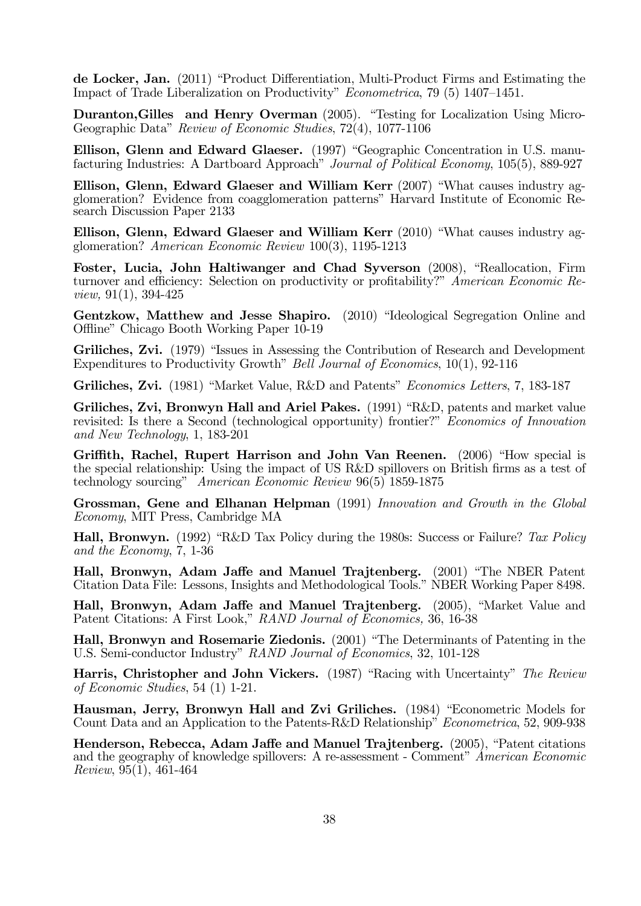de Locker, Jan. (2011) "Product Differentiation, Multi-Product Firms and Estimating the Impact of Trade Liberalization on Productivity" Econometrica, 79 (5) 1407—1451.

Duranton,Gilles and Henry Overman (2005). "Testing for Localization Using Micro-Geographic Data" Review of Economic Studies, 72(4), 1077-1106

Ellison, Glenn and Edward Glaeser. (1997) "Geographic Concentration in U.S. manufacturing Industries: A Dartboard Approach" Journal of Political Economy, 105(5), 889-927

Ellison, Glenn, Edward Glaeser and William Kerr (2007) "What causes industry agglomeration? Evidence from coagglomeration patterns" Harvard Institute of Economic Research Discussion Paper 2133

Ellison, Glenn, Edward Glaeser and William Kerr (2010) "What causes industry agglomeration? American Economic Review 100(3), 1195-1213

Foster, Lucia, John Haltiwanger and Chad Syverson (2008), "Reallocation, Firm turnover and efficiency: Selection on productivity or profitability?" American Economic Review, 91(1), 394-425

Gentzkow, Matthew and Jesse Shapiro. (2010) "Ideological Segregation Online and Offline" Chicago Booth Working Paper 10-19

Griliches, Zvi. (1979) "Issues in Assessing the Contribution of Research and Development Expenditures to Productivity Growth" Bell Journal of Economics, 10(1), 92-116

Griliches, Zvi. (1981) "Market Value, R&D and Patents" Economics Letters, 7, 183-187

Griliches, Zvi, Bronwyn Hall and Ariel Pakes. (1991) "R&D, patents and market value revisited: Is there a Second (technological opportunity) frontier?" Economics of Innovation and New Technology, 1, 183-201

Griffith, Rachel, Rupert Harrison and John Van Reenen. (2006) "How special is the special relationship: Using the impact of US R&D spillovers on British firms as a test of technology sourcing" American Economic Review 96(5) 1859-1875

Grossman, Gene and Elhanan Helpman (1991) Innovation and Growth in the Global Economy, MIT Press, Cambridge MA

Hall, Bronwyn. (1992) "R&D Tax Policy during the 1980s: Success or Failure? Tax Policy and the Economy, 7, 1-36

Hall, Bronwyn, Adam Jaffe and Manuel Trajtenberg. (2001) "The NBER Patent Citation Data File: Lessons, Insights and Methodological Tools." NBER Working Paper 8498.

Hall, Bronwyn, Adam Jaffe and Manuel Trajtenberg. (2005), "Market Value and Patent Citations: A First Look," RAND Journal of Economics, 36, 16-38

Hall, Bronwyn and Rosemarie Ziedonis. (2001) "The Determinants of Patenting in the U.S. Semi-conductor Industry" RAND Journal of Economics, 32, 101-128

Harris, Christopher and John Vickers. (1987) "Racing with Uncertainty" The Review of Economic Studies, 54 (1) 1-21.

Hausman, Jerry, Bronwyn Hall and Zvi Griliches. (1984) "Econometric Models for Count Data and an Application to the Patents-R&D Relationship" Econometrica, 52, 909-938

Henderson, Rebecca, Adam Jaffe and Manuel Trajtenberg. (2005), "Patent citations and the geography of knowledge spillovers: A re-assessment - Comment" American Economic Review, 95(1), 461-464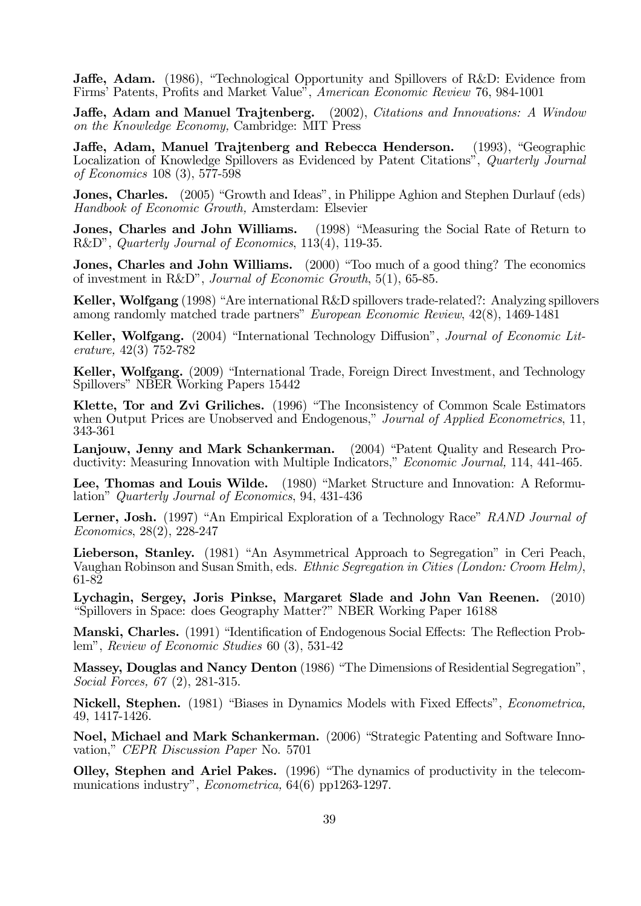Jaffe, Adam. (1986), "Technological Opportunity and Spillovers of R&D: Evidence from Firms' Patents, Profits and Market Value", American Economic Review 76, 984-1001

Jaffe, Adam and Manuel Trajtenberg. (2002), Citations and Innovations: A Window on the Knowledge Economy, Cambridge: MIT Press

Jaffe, Adam, Manuel Trajtenberg and Rebecca Henderson. (1993), "Geographic Localization of Knowledge Spillovers as Evidenced by Patent Citations", Quarterly Journal of Economics 108 (3), 577-598

Jones, Charles. (2005) "Growth and Ideas", in Philippe Aghion and Stephen Durlauf (eds) Handbook of Economic Growth, Amsterdam: Elsevier

Jones, Charles and John Williams. (1998) "Measuring the Social Rate of Return to R&D", Quarterly Journal of Economics, 113(4), 119-35.

Jones, Charles and John Williams. (2000) "Too much of a good thing? The economics of investment in R&D", Journal of Economic Growth, 5(1), 65-85.

Keller, Wolfgang (1998) "Are international R&D spillovers trade-related?: Analyzing spillovers among randomly matched trade partners" European Economic Review, 42(8), 1469-1481

Keller, Wolfgang. (2004) "International Technology Diffusion", Journal of Economic Literature, 42(3) 752-782

Keller, Wolfgang. (2009) "International Trade, Foreign Direct Investment, and Technology Spillovers" NBER Working Papers 15442

Klette, Tor and Zvi Griliches. (1996) "The Inconsistency of Common Scale Estimators when Output Prices are Unobserved and Endogenous," Journal of Applied Econometrics, 11, 343-361

Lanjouw, Jenny and Mark Schankerman. (2004) "Patent Quality and Research Productivity: Measuring Innovation with Multiple Indicators," Economic Journal, 114, 441-465.

Lee, Thomas and Louis Wilde. (1980) "Market Structure and Innovation: A Reformulation" Quarterly Journal of Economics, 94, 431-436

Lerner, Josh. (1997) "An Empirical Exploration of a Technology Race" RAND Journal of Economics, 28(2), 228-247

Lieberson, Stanley. (1981) "An Asymmetrical Approach to Segregation" in Ceri Peach, Vaughan Robinson and Susan Smith, eds. Ethnic Segregation in Cities (London: Croom Helm), 61-82

Lychagin, Sergey, Joris Pinkse, Margaret Slade and John Van Reenen. (2010) "Spillovers in Space: does Geography Matter?" NBER Working Paper 16188

Manski, Charles. (1991) "Identification of Endogenous Social Effects: The Reflection Problem", Review of Economic Studies 60 (3), 531-42

Massey, Douglas and Nancy Denton (1986) "The Dimensions of Residential Segregation", Social Forces, 67 (2), 281-315.

Nickell, Stephen. (1981) "Biases in Dynamics Models with Fixed Effects", Econometrica, 49, 1417-1426.

Noel, Michael and Mark Schankerman. (2006) "Strategic Patenting and Software Innovation," CEPR Discussion Paper No. 5701

Olley, Stephen and Ariel Pakes. (1996) "The dynamics of productivity in the telecommunications industry", Econometrica, 64(6) pp1263-1297.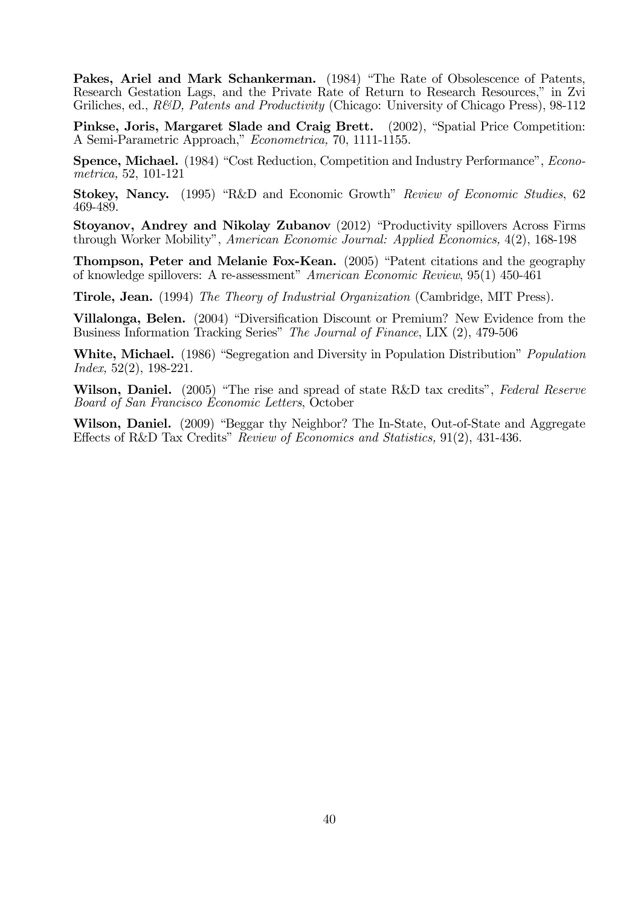Pakes, Ariel and Mark Schankerman. (1984) "The Rate of Obsolescence of Patents, Research Gestation Lags, and the Private Rate of Return to Research Resources," in Zvi Griliches, ed., R&D, Patents and Productivity (Chicago: University of Chicago Press), 98-112

Pinkse, Joris, Margaret Slade and Craig Brett. (2002), "Spatial Price Competition: A Semi-Parametric Approach," Econometrica, 70, 1111-1155.

Spence, Michael. (1984) "Cost Reduction, Competition and Industry Performance", *Econo*metrica, 52, 101-121

Stokey, Nancy. (1995) "R&D and Economic Growth" Review of Economic Studies, 62 469-489.

Stoyanov, Andrey and Nikolay Zubanov (2012) "Productivity spillovers Across Firms through Worker Mobility", American Economic Journal: Applied Economics, 4(2), 168-198

Thompson, Peter and Melanie Fox-Kean. (2005) "Patent citations and the geography of knowledge spillovers: A re-assessment" American Economic Review, 95(1) 450-461

Tirole, Jean. (1994) The Theory of Industrial Organization (Cambridge, MIT Press).

Villalonga, Belen. (2004) "Diversification Discount or Premium? New Evidence from the Business Information Tracking Series" The Journal of Finance, LIX (2), 479-506

White, Michael. (1986) "Segregation and Diversity in Population Distribution" Population Index, 52(2), 198-221.

Wilson, Daniel. (2005) "The rise and spread of state R&D tax credits", Federal Reserve Board of San Francisco Economic Letters, October

Wilson, Daniel. (2009) "Beggar thy Neighbor? The In-State, Out-of-State and Aggregate Effects of R&D Tax Credits" Review of Economics and Statistics, 91(2), 431-436.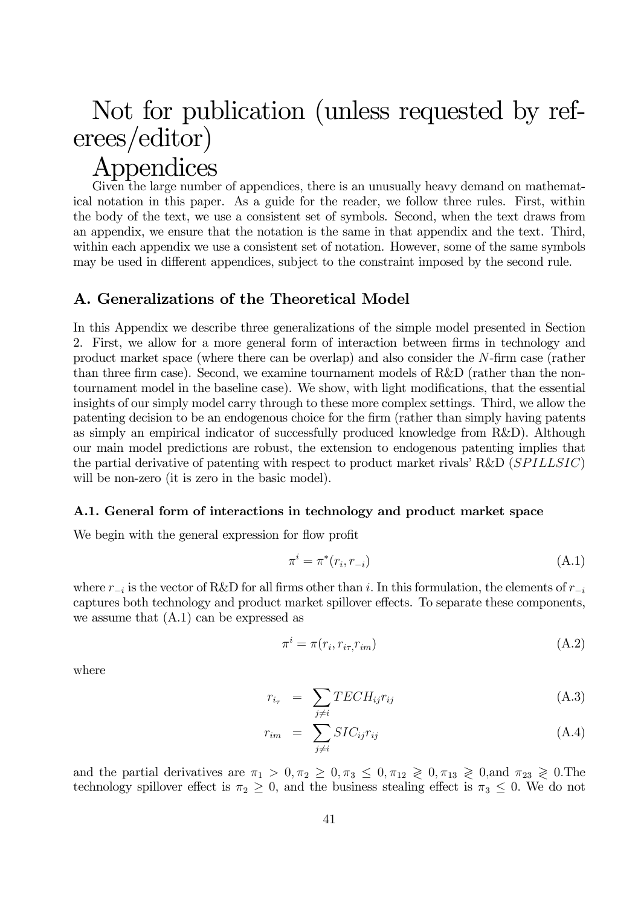# Not for publication (unless requested by referees/editor)

# Appendices

Given the large number of appendices, there is an unusually heavy demand on mathematical notation in this paper. As a guide for the reader, we follow three rules. First, within the body of the text, we use a consistent set of symbols. Second, when the text draws from an appendix, we ensure that the notation is the same in that appendix and the text. Third, within each appendix we use a consistent set of notation. However, some of the same symbols may be used in different appendices, subject to the constraint imposed by the second rule.

# A. Generalizations of the Theoretical Model

In this Appendix we describe three generalizations of the simple model presented in Section 2. First, we allow for a more general form of interaction between firms in technology and product market space (where there can be overlap) and also consider the  $N$ -firm case (rather than three firm case). Second, we examine tournament models of R&D (rather than the nontournament model in the baseline case). We show, with light modifications, that the essential insights of our simply model carry through to these more complex settings. Third, we allow the patenting decision to be an endogenous choice for the firm (rather than simply having patents as simply an empirical indicator of successfully produced knowledge from R&D). Although our main model predictions are robust, the extension to endogenous patenting implies that the partial derivative of patenting with respect to product market rivals' R&D  $(SPILLSIC)$ will be non-zero (it is zero in the basic model).

# A.1. General form of interactions in technology and product market space

We begin with the general expression for flow profit

$$
\pi^i = \pi^*(r_i, r_{-i})
$$
\n(A.1)

where  $r_{-i}$  is the vector of R&D for all firms other than i. In this formulation, the elements of  $r_{-i}$ captures both technology and product market spillover effects. To separate these components, we assume that (A.1) can be expressed as

$$
\pi^i = \pi(r_i, r_{i\tau}, r_{im})\tag{A.2}
$$

where

$$
r_{i_{\tau}} = \sum_{j \neq i} TECH_{ij}r_{ij} \tag{A.3}
$$

$$
r_{im} = \sum_{j \neq i} SIC_{ij}r_{ij} \tag{A.4}
$$

and the partial derivatives are  $\pi_1 > 0, \pi_2 \geq 0, \pi_3 \leq 0, \pi_{12} \geq 0, \pi_{13} \geq 0$ , and  $\pi_{23} \geq 0$ . The technology spillover effect is  $\pi_2 \geq 0$ , and the business stealing effect is  $\pi_3 \leq 0$ . We do not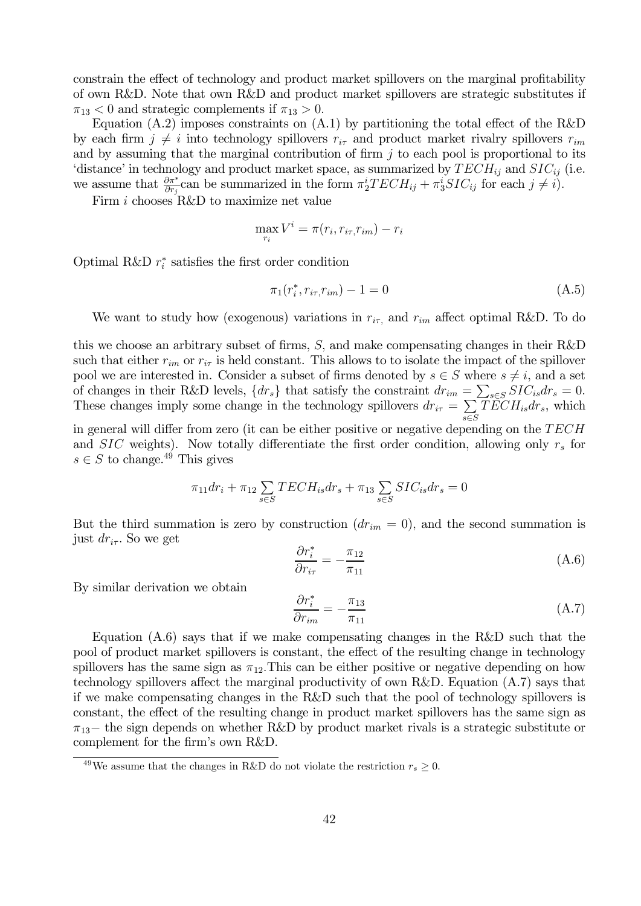constrain the effect of technology and product market spillovers on the marginal profitability of own R&D. Note that own R&D and product market spillovers are strategic substitutes if  $\pi_{13}$  < 0 and strategic complements if  $\pi_{13} > 0$ .

Equation  $(A.2)$  imposes constraints on  $(A.1)$  by partitioning the total effect of the R&D by each firm  $j \neq i$  into technology spillovers  $r_{i\tau}$  and product market rivalry spillovers  $r_{im}$ and by assuming that the marginal contribution of firm  $j$  to each pool is proportional to its 'distance' in technology and product market space, as summarized by  $TECH_{ij}$  and  $SIC_{ij}$  (i.e. we assume that  $\frac{\partial \pi^*}{\partial r_j}$  can be summarized in the form  $\pi_2^i TECH_{ij} + \pi_3^i SIC_{ij}$  for each  $j \neq i$ .

Firm  $i$  chooses R&D to maximize net value

$$
\max_{r_i} V^i = \pi(r_i, r_{i\tau}, r_{im}) - r_i
$$

Optimal R&D  $r_i^*$  satisfies the first order condition

$$
\pi_1(r_i^*, r_{i\tau}, r_{im}) - 1 = 0 \tag{A.5}
$$

We want to study how (exogenous) variations in  $r_{i\tau}$ , and  $r_{im}$  affect optimal R&D. To do

this we choose an arbitrary subset of firms,  $S$ , and make compensating changes in their R&D such that either  $r_{im}$  or  $r_{i\tau}$  is held constant. This allows to to isolate the impact of the spillover pool we are interested in. Consider a subset of firms denoted by  $s \in S$  where  $s \neq i$ , and a set of changes in their R&D levels,  $\{dr_s\}$  that satisfy the constraint  $dr_{im} = \sum_{s \in S} SIC_{is}dr_s = 0$ . These changes imply some change in the technology spillovers  $dr_{i\tau} = \sum$ ∈  $TECH<sub>is</sub>dr<sub>s</sub>$ , which

in general will differ from zero (it can be either positive or negative depending on the  $TECH$ and  $SIC$  weights). Now totally differentiate the first order condition, allowing only  $r<sub>s</sub>$  for  $s \in S$  to change.<sup>49</sup> This gives

$$
\pi_{11} dr_i + \pi_{12} \sum_{s \in S} TECH_{is} dr_s + \pi_{13} \sum_{s \in S} SIC_{is} dr_s = 0
$$

But the third summation is zero by construction  $(dr_{im} = 0)$ , and the second summation is just  $dr_{i\tau}$ . So we get

$$
\frac{\partial r_i^*}{\partial r_{i\tau}} = -\frac{\pi_{12}}{\pi_{11}}\tag{A.6}
$$

By similar derivation we obtain

$$
\frac{\partial r_i^*}{\partial r_{im}} = -\frac{\pi_{13}}{\pi_{11}}\tag{A.7}
$$

Equation (A.6) says that if we make compensating changes in the R&D such that the pool of product market spillovers is constant, the effect of the resulting change in technology spillovers has the same sign as  $\pi_{12}$ . This can be either positive or negative depending on how technology spillovers affect the marginal productivity of own R&D. Equation (A.7) says that if we make compensating changes in the R&D such that the pool of technology spillovers is constant, the effect of the resulting change in product market spillovers has the same sign as  $\pi_{13}$  the sign depends on whether R&D by product market rivals is a strategic substitute or complement for the firm's own R&D.

<sup>&</sup>lt;sup>49</sup>We assume that the changes in R&D do not violate the restriction  $r_s \geq 0$ .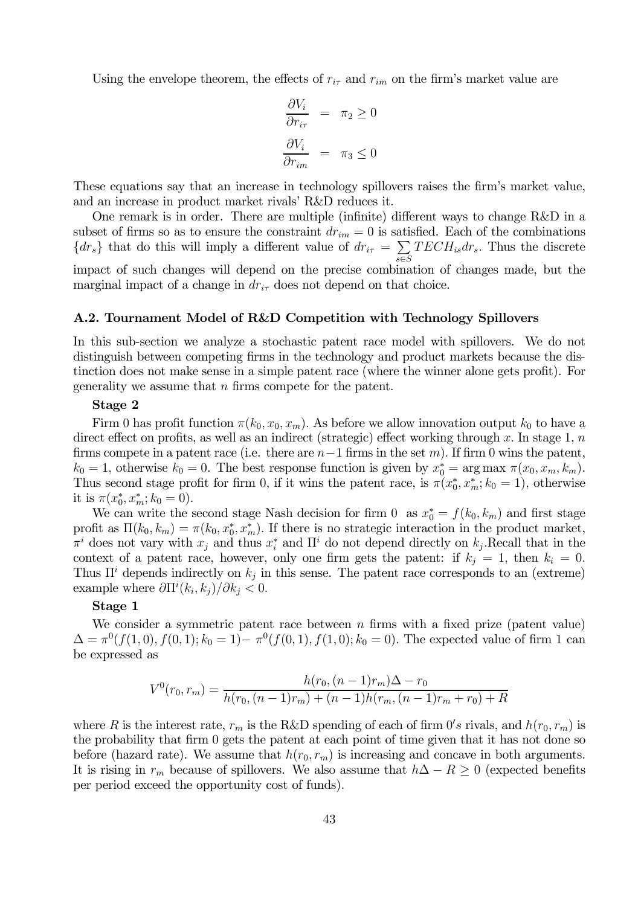Using the envelope theorem, the effects of  $r_{i\tau}$  and  $r_{im}$  on the firm's market value are

$$
\frac{\partial V_i}{\partial r_{i\tau}} = \pi_2 \ge 0
$$

$$
\frac{\partial V_i}{\partial r_{im}} = \pi_3 \le 0
$$

These equations say that an increase in technology spillovers raises the firm's market value, and an increase in product market rivals' R&D reduces it.

One remark is in order. There are multiple (infinite) different ways to change R&D in a subset of firms so as to ensure the constraint  $dr_{im} = 0$  is satisfied. Each of the combinations  ${dr_s}$  that do this will imply a different value of  $dr_{i\tau} = \sum_{\tau \in \mathcal{L}}$ ∈  $TECH<sub>is</sub>dr<sub>s</sub>$ . Thus the discrete impact of such changes will depend on the precise combination of changes made, but the marginal impact of a change in  $dr_{i\tau}$  does not depend on that choice.

## A.2. Tournament Model of R&D Competition with Technology Spillovers

In this sub-section we analyze a stochastic patent race model with spillovers. We do not distinguish between competing firms in the technology and product markets because the distinction does not make sense in a simple patent race (where the winner alone gets profit). For generality we assume that  $n$  firms compete for the patent.

## Stage 2

Firm 0 has profit function  $\pi(k_0, x_0, x_m)$ . As before we allow innovation output  $k_0$  to have a direct effect on profits, as well as an indirect (strategic) effect working through  $x$ . In stage 1,  $n$ firms compete in a patent race (i.e. there are  $n-1$  firms in the set m). If firm 0 wins the patent,  $k_0 = 1$ , otherwise  $k_0 = 0$ . The best response function is given by  $x_0^* = \arg \max \pi(x_0, x_m, k_m)$ . Thus second stage profit for firm 0, if it wins the patent race, is  $\pi(x_0^*, x_m^*, k_0 = 1)$ , otherwise it is  $\pi(x_0^*, x_m^*; k_0 = 0)$ .

We can write the second stage Nash decision for firm 0 as  $x_0^* = f(k_0, k_m)$  and first stage profit as  $\Pi(k_0, k_m) = \pi(k_0, x_0^*, x_m^*)$ . If there is no strategic interaction in the product market,  $\pi^i$  does not vary with  $x_j$  and thus  $x_i^*$  and  $\Pi^i$  do not depend directly on  $k_j$ . Recall that in the context of a patent race, however, only one firm gets the patent: if  $k_i = 1$ , then  $k_i = 0$ . Thus  $\Pi^i$  depends indirectly on  $k_i$  in this sense. The patent race corresponds to an (extreme) example where  $\partial \Pi^{i}(k_i, k_j)/\partial k_j < 0$ .

## Stage 1

We consider a symmetric patent race between  $n$  firms with a fixed prize (patent value)  $\Delta = \pi^0(f(1,0), f(0,1); k_0 = 1) - \pi^0(f(0,1), f(1,0); k_0 = 0)$ . The expected value of firm 1 can be expressed as

$$
V^{0}(r_{0}, r_{m}) = \frac{h(r_{0}, (n-1)r_{m})\Delta - r_{0}}{h(r_{0}, (n-1)r_{m}) + (n-1)h(r_{m}, (n-1)r_{m} + r_{0}) + R}
$$

where R is the interest rate,  $r_m$  is the R&D spending of each of firm  $0's$  rivals, and  $h(r_0, r_m)$  is the probability that firm 0 gets the patent at each point of time given that it has not done so before (hazard rate). We assume that  $h(r_0, r_m)$  is increasing and concave in both arguments. It is rising in  $r_m$  because of spillovers. We also assume that  $h\Delta - R \geq 0$  (expected benefits per period exceed the opportunity cost of funds).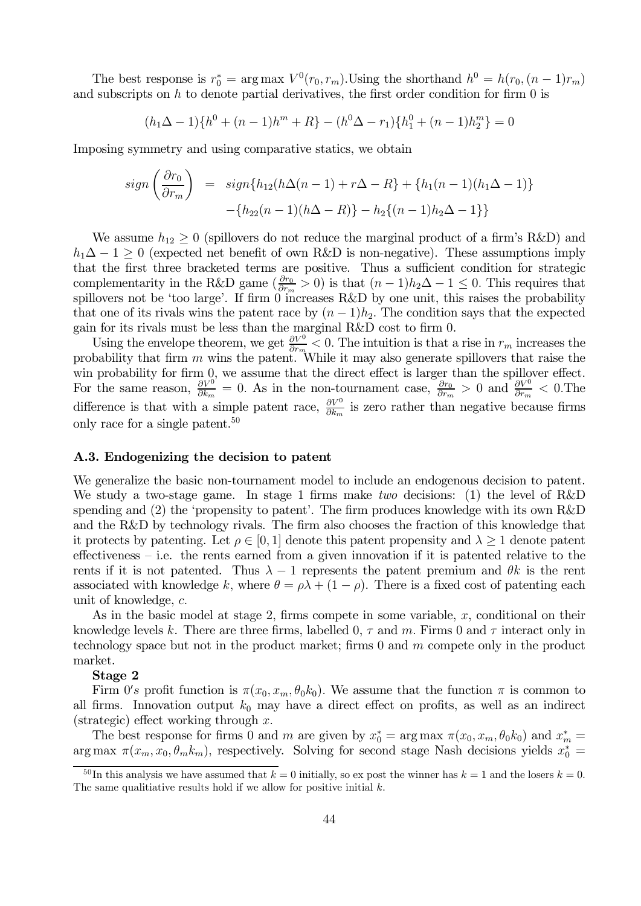The best response is  $r_0^* = \arg \max V^0(r_0, r_m)$ . Using the shorthand  $h^0 = h(r_0, (n-1)r_m)$ and subscripts on  $h$  to denote partial derivatives, the first order condition for firm  $0$  is

$$
(h_1 \Delta - 1)\{h^0 + (n-1)h^m + R\} - (h^0 \Delta - r_1)\{h_1^0 + (n-1)h_2^m\} = 0
$$

Imposing symmetry and using comparative statics, we obtain

$$
sign\left(\frac{\partial r_0}{\partial r_m}\right) = sign\{h_{12}(h\Delta(n-1) + r\Delta - R\} + \{h_1(n-1)(h_1\Delta - 1)\} - \{h_{22}(n-1)(h\Delta - R)\} - h_2\{(n-1)h_2\Delta - 1\}\}
$$

We assume  $h_{12} \geq 0$  (spillovers do not reduce the marginal product of a firm's R&D) and  $h_1\Delta - 1 \geq 0$  (expected net benefit of own R&D is non-negative). These assumptions imply that the first three bracketed terms are positive. Thus a sufficient condition for strategic complementarity in the R&D game  $(\frac{\partial r_0}{\partial r_m} > 0)$  is that  $(n-1)h_2\Delta - 1 \leq 0$ . This requires that spillovers not be 'too large'. If firm 0 increases R&D by one unit, this raises the probability that one of its rivals wins the patent race by  $(n-1)h_2$ . The condition says that the expected gain for its rivals must be less than the marginal R&D cost to firm 0.

Using the envelope theorem, we get  $\frac{\partial V^0}{\partial r_m} < 0$ . The intuition is that a rise in  $r_m$  increases the probability that firm  $m$  wins the patent. While it may also generate spillovers that raise the win probability for firm 0, we assume that the direct effect is larger than the spillover effect. For the same reason,  $\frac{\partial V^0}{\partial k_m} = 0$ . As in the non-tournament case,  $\frac{\partial r_0}{\partial r_m} > 0$  and  $\frac{\partial V^0}{\partial r_m} < 0$ . The difference is that with a simple patent race,  $\frac{\partial V^0}{\partial k_m}$  is zero rather than negative because firms only race for a single patent.<sup>50</sup>

#### A.3. Endogenizing the decision to patent

We generalize the basic non-tournament model to include an endogenous decision to patent. We study a two-stage game. In stage 1 firms make two decisions: (1) the level of R&D spending and (2) the 'propensity to patent'. The firm produces knowledge with its own R&D and the R&D by technology rivals. The firm also chooses the fraction of this knowledge that it protects by patenting. Let  $\rho \in [0,1]$  denote this patent propensity and  $\lambda \geq 1$  denote patent effectiveness — i.e. the rents earned from a given innovation if it is patented relative to the rents if it is not patented. Thus  $\lambda - 1$  represents the patent premium and  $\theta k$  is the rent associated with knowledge k, where  $\theta = \rho \lambda + (1 - \rho)$ . There is a fixed cost of patenting each unit of knowledge,  $c$ .

As in the basic model at stage 2, firms compete in some variable,  $x$ , conditional on their knowledge levels k. There are three firms, labelled 0,  $\tau$  and  $m$ . Firms 0 and  $\tau$  interact only in technology space but not in the product market; firms  $0$  and  $m$  compete only in the product market.

### Stage 2

Firm 0's profit function is  $\pi(x_0, x_m, \theta_0 k_0)$ . We assume that the function  $\pi$  is common to all firms. Innovation output  $k_0$  may have a direct effect on profits, as well as an indirect (strategic) effect working through  $x$ .

The best response for firms 0 and m are given by  $x_0^* = \arg \max \pi(x_0, x_m, \theta_0 k_0)$  and  $x_m^* =$ arg max  $\pi(x_m, x_0, \theta_m k_m)$ , respectively. Solving for second stage Nash decisions yields  $x_0^* =$ 

 $\frac{50}{\ln \theta}$  this analysis we have assumed that  $k = 0$  initially, so ex post the winner has  $k = 1$  and the losers  $k = 0$ . The same qualitiative results hold if we allow for positive initial  $k$ .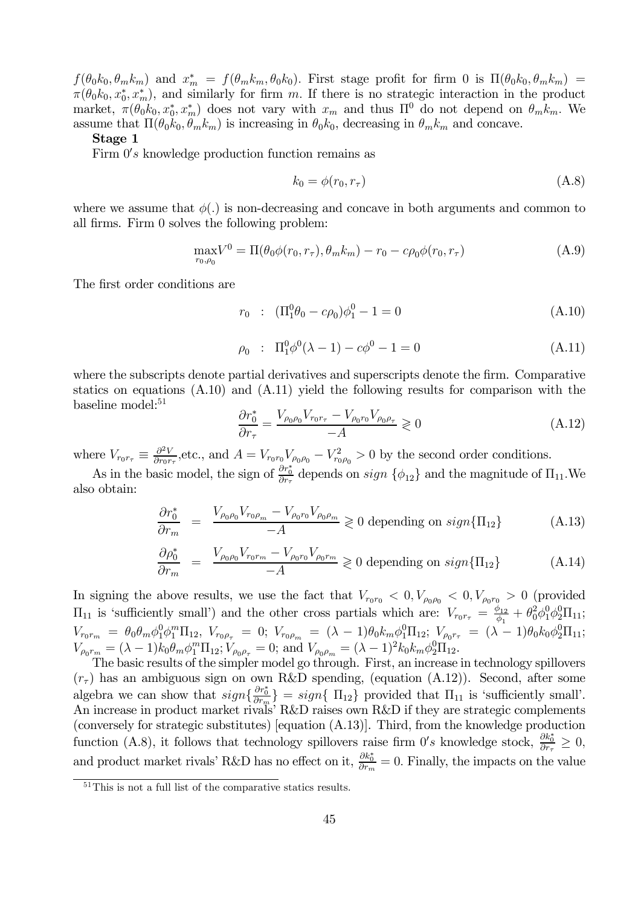$f(\theta_0 k_0, \theta_m k_m)$  and  $x_m^* = f(\theta_m k_m, \theta_0 k_0)$ . First stage profit for firm 0 is  $\Pi(\theta_0 k_0, \theta_m k_m)$  =  $\pi(\theta_0 k_0, x_0^*, x_m^*)$ , and similarly for firm m. If there is no strategic interaction in the product market,  $\pi(\theta_0 k_0, x_0^*, x_m^*)$  does not vary with  $x_m$  and thus  $\Pi^0$  do not depend on  $\theta_m k_m$ . We assume that  $\Pi(\theta_0 k_0, \theta_m k_m)$  is increasing in  $\theta_0 k_0$ , decreasing in  $\theta_m k_m$  and concave.

#### Stage 1

Firm  $0's$  knowledge production function remains as

$$
k_0 = \phi(r_0, r_\tau) \tag{A.8}
$$

where we assume that  $\phi(.)$  is non-decreasing and concave in both arguments and common to all firms. Firm 0 solves the following problem:

$$
\max_{r_0, \rho_0} V^0 = \Pi(\theta_0 \phi(r_0, r_\tau), \theta_m k_m) - r_0 - c\rho_0 \phi(r_0, r_\tau)
$$
\n(A.9)

The first order conditions are

$$
r_0 : (\Pi_1^0 \theta_0 - c\rho_0) \phi_1^0 - 1 = 0 \tag{A.10}
$$

$$
\rho_0 : \Pi_1^0 \phi^0 (\lambda - 1) - c\phi^0 - 1 = 0 \tag{A.11}
$$

where the subscripts denote partial derivatives and superscripts denote the firm. Comparative statics on equations (A.10) and (A.11) yield the following results for comparison with the baseline model:<sup>51</sup>

$$
\frac{\partial r_0^*}{\partial r_\tau} = \frac{V_{\rho_0 \rho_0} V_{r_0 r_\tau} - V_{\rho_0 r_0} V_{\rho_0 \rho_\tau}}{-A} \geq 0 \tag{A.12}
$$

where  $V_{r_0r_{\tau}} \equiv \frac{\partial^2 V}{\partial r_0r_{\tau}}$ , etc., and  $A = V_{r_0r_0}V_{\rho_0\rho_0} - V_{r_0\rho_0}^2 > 0$  by the second order conditions.

As in the basic model, the sign of  $\frac{\partial r_0^*}{\partial r_{\tau}}$  depends on  $sign\{\phi_{12}\}\$  and the magnitude of  $\Pi_{11}$ . We also obtain:

$$
\frac{\partial r_0^*}{\partial r_m} = \frac{V_{\rho_0 \rho_0} V_{r_0 \rho_m} - V_{\rho_0 r_0} V_{\rho_0 \rho_m}}{-A} \ge 0 \text{ depending on } sign\{\Pi_{12}\}
$$
\n(A.13)

$$
\frac{\partial \rho_0^*}{\partial r_m} = \frac{V_{\rho_0 \rho_0} V_{r_0 r_m} - V_{\rho_0 r_0} V_{\rho_0 r_m}}{-A} \ge 0 \text{ depending on } sign{\{\Pi_{12}\}}
$$
(A.14)

In signing the above results, we use the fact that  $V_{r_0r_0} < 0, V_{\rho_0\rho_0} < 0, V_{\rho_0r_0} > 0$  (provided  $\Pi_{11}$  is 'sufficiently small') and the other cross partials which are:  $V_{r_0r_\tau} = \frac{\phi_{12}}{\phi_1} + \theta_0^2 \phi_1^0 \phi_2^0 \Pi_{11}$ ;  $V_{r_0r_m} = \theta_0\theta_m\phi_1^0\phi_1^m\Pi_{12},\; V_{r_0\rho_\tau} = 0;\; V_{r_0\rho_m} = (\lambda - 1)\theta_0k_m\phi_1^0\Pi_{12};\; V_{\rho_0r_\tau} = (\lambda - 1)\theta_0k_0\phi_2^0\Pi_{11};$  $V_{\rho_0 r_m} = (\lambda - 1) k_0 \theta_m \phi_1^m \Pi_{12}; V_{\rho_0 \rho_\tau} = 0; \text{ and } V_{\rho_0 \rho_m} = (\lambda - 1)^2 k_0 k_m \phi_2^0 \Pi_{12}.$ 

The basic results of the simpler model go through. First, an increase in technology spillovers  $(r<sub>\tau</sub>)$  has an ambiguous sign on own R&D spending, (equation (A.12)). Second, after some algebra we can show that  $sign\{\frac{\partial r_0^*}{\partial r_m}\} = sign\{\Pi_{12}\}$  provided that  $\Pi_{11}$  is 'sufficiently small'. An increase in product market rivals' R&D raises own R&D if they are strategic complements (conversely for strategic substitutes) [equation (A.13)]. Third, from the knowledge production function (A.8), it follows that technology spillovers raise firm  $0's$  knowledge stock,  $\frac{\partial k_0^*}{\partial r_\tau} \geq 0$ , and product market rivals' R&D has no effect on it,  $\frac{\partial k_0^*}{\partial r_m} = 0$ . Finally, the impacts on the value

<sup>51</sup>This is not a full list of the comparative statics results.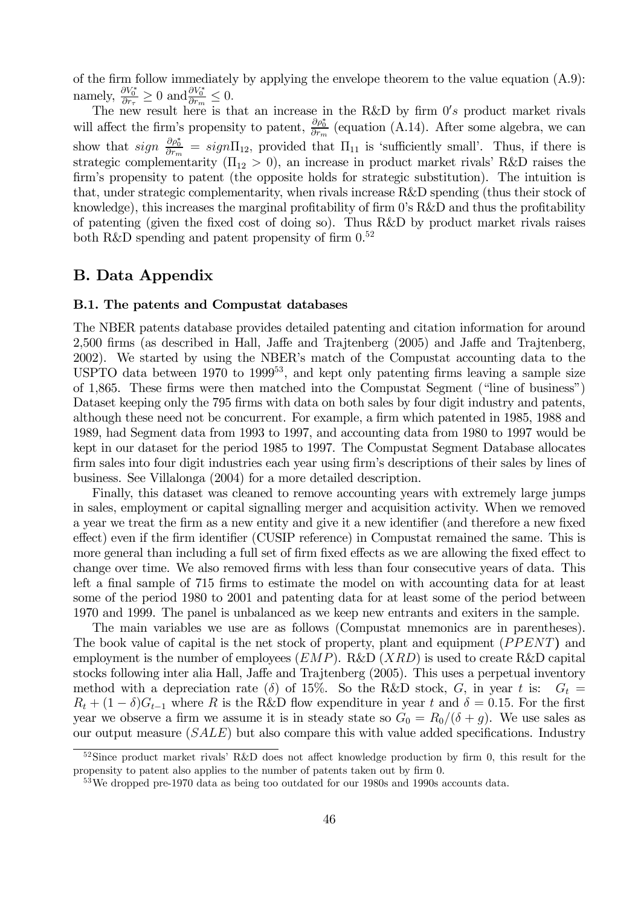of the firm follow immediately by applying the envelope theorem to the value equation (A.9): namely,  $\frac{\partial V_0^*}{\partial r_{\tau}} \ge 0$  and  $\frac{\partial V_0^*}{\partial r_m} \le 0$ .

The new result here is that an increase in the R&D by firm  $0's$  product market rivals will affect the firm's propensity to patent,  $\frac{\partial \rho_0^*}{\partial r_m}$  (equation (A.14). After some algebra, we can show that  $sign \frac{\partial \rho_0^*}{\partial r_m} = sign\Pi_{12}$ , provided that  $\Pi_{11}$  is 'sufficiently small'. Thus, if there is strategic complementarity  $(\Pi_{12} > 0)$ , an increase in product market rivals' R&D raises the firm's propensity to patent (the opposite holds for strategic substitution). The intuition is that, under strategic complementarity, when rivals increase R&D spending (thus their stock of knowledge), this increases the marginal profitability of firm 0's R&D and thus the profitability of patenting (given the fixed cost of doing so). Thus R&D by product market rivals raises both R&D spending and patent propensity of firm  $0.52$ 

# B. Data Appendix

### B.1. The patents and Compustat databases

The NBER patents database provides detailed patenting and citation information for around 2,500 firms (as described in Hall, Jaffe and Trajtenberg (2005) and Jaffe and Trajtenberg, 2002). We started by using the NBER's match of the Compustat accounting data to the USPTO data between  $1970$  to  $1999^{53}$ , and kept only patenting firms leaving a sample size of 1,865. These firms were then matched into the Compustat Segment ("line of business") Dataset keeping only the 795 firms with data on both sales by four digit industry and patents, although these need not be concurrent. For example, a firm which patented in 1985, 1988 and 1989, had Segment data from 1993 to 1997, and accounting data from 1980 to 1997 would be kept in our dataset for the period 1985 to 1997. The Compustat Segment Database allocates firm sales into four digit industries each year using firm's descriptions of their sales by lines of business. See Villalonga (2004) for a more detailed description.

Finally, this dataset was cleaned to remove accounting years with extremely large jumps in sales, employment or capital signalling merger and acquisition activity. When we removed a year we treat the firm as a new entity and give it a new identifier (and therefore a new fixed effect) even if the firm identifier (CUSIP reference) in Compustat remained the same. This is more general than including a full set of firm fixed effects as we are allowing the fixed effect to change over time. We also removed firms with less than four consecutive years of data. This left a final sample of 715 firms to estimate the model on with accounting data for at least some of the period 1980 to 2001 and patenting data for at least some of the period between 1970 and 1999. The panel is unbalanced as we keep new entrants and exiters in the sample.

The main variables we use are as follows (Compustat mnemonics are in parentheses). The book value of capital is the net stock of property, plant and equipment  $(PPENT)$  and employment is the number of employees  $(EMP)$ . R&D  $(XRD)$  is used to create R&D capital stocks following inter alia Hall, Jaffe and Trajtenberg (2005). This uses a perpetual inventory method with a depreciation rate ( $\delta$ ) of 15%. So the R&D stock, G, in year t is:  $G_t =$  $R_t + (1 - \delta)G_{t-1}$  where R is the R&D flow expenditure in year t and  $\delta = 0.15$ . For the first year we observe a firm we assume it is in steady state so  $G_0 = R_0/(\delta + g)$ . We use sales as our output measure  $(SALE)$  but also compare this with value added specifications. Industry

 $52$ Since product market rivals' R&D does not affect knowledge production by firm 0, this result for the propensity to patent also applies to the number of patents taken out by firm 0

<sup>&</sup>lt;sup>53</sup>We dropped pre-1970 data as being too outdated for our 1980s and 1990s accounts data.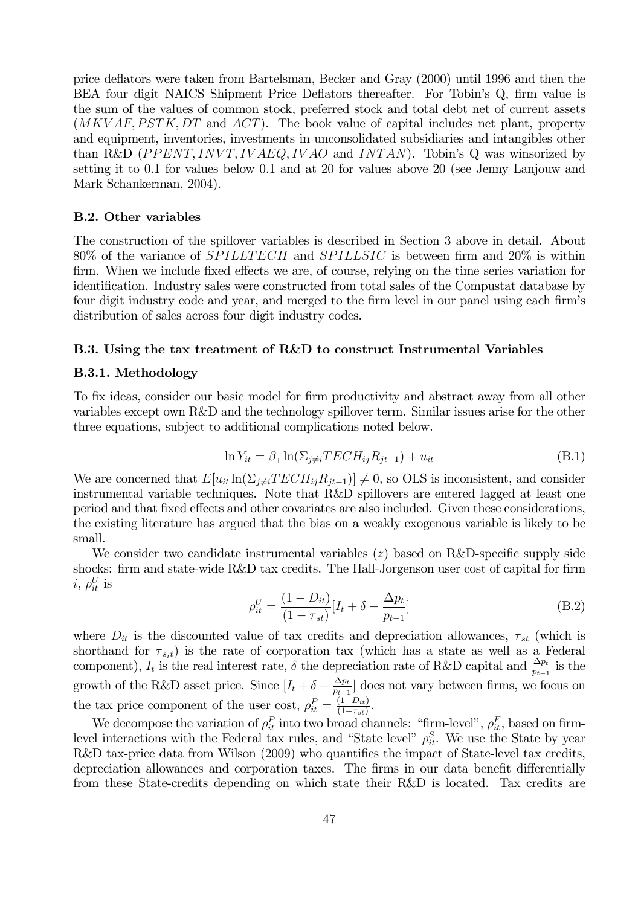price deflators were taken from Bartelsman, Becker and Gray (2000) until 1996 and then the BEA four digit NAICS Shipment Price Deflators thereafter. For Tobin's Q, firm value is the sum of the values of common stock, preferred stock and total debt net of current assets  $(MKVAF, PSTK, DT)$  and  $ACT$ ). The book value of capital includes net plant, property and equipment, inventories, investments in unconsolidated subsidiaries and intangibles other than R&D ( $PPENT, INVT, IVAEQ, IVAO$  and  $INTAN$ ). Tobin's Q was winsorized by setting it to 0.1 for values below 0.1 and at 20 for values above 20 (see Jenny Lanjouw and Mark Schankerman, 2004).

## B.2. Other variables

The construction of the spillover variables is described in Section 3 above in detail. About 80% of the variance of  $SPILLTECH$  and  $SPILLSIC$  is between firm and 20% is within firm. When we include fixed effects we are, of course, relying on the time series variation for identification. Industry sales were constructed from total sales of the Compustat database by four digit industry code and year, and merged to the firm level in our panel using each firm's distribution of sales across four digit industry codes.

#### B.3. Using the tax treatment of R&D to construct Instrumental Variables

## B.3.1. Methodology

To fix ideas, consider our basic model for firm productivity and abstract away from all other variables except own R&D and the technology spillover term. Similar issues arise for the other three equations, subject to additional complications noted below.

$$
\ln Y_{it} = \beta_1 \ln(\Sigma_{j \neq i} TECH_{ij}R_{jt-1}) + u_{it} \tag{B.1}
$$

We are concerned that  $E[u_{it} \ln(\Sigma_{j\neq i} TECH_{ij}R_{jt-1})] \neq 0$ , so OLS is inconsistent, and consider instrumental variable techniques. Note that R&D spillovers are entered lagged at least one period and that fixed effects and other covariates are also included. Given these considerations, the existing literature has argued that the bias on a weakly exogenous variable is likely to be small.

We consider two candidate instrumental variables  $(z)$  based on R&D-specific supply side shocks: firm and state-wide R&D tax credits. The Hall-Jorgenson user cost of capital for firm  $i, \, \rho^U_{it}$  is

$$
\rho_{it}^U = \frac{(1 - D_{it})}{(1 - \tau_{st})} [I_t + \delta - \frac{\Delta p_t}{p_{t-1}}]
$$
(B.2)

where  $D_{it}$  is the discounted value of tax credits and depreciation allowances,  $\tau_{st}$  (which is shorthand for  $\tau_{s_i t}$ ) is the rate of corporation tax (which has a state as well as a Federal component),  $I_t$  is the real interest rate,  $\delta$  the depreciation rate of R&D capital and  $\frac{\Delta p_t}{p_{t-1}}$  is the growth of the R&D asset price. Since  $[I_t + \delta - \frac{\Delta p_t}{p_{t-1}}]$  does not vary between firms, we focus on the tax price component of the user cost,  $\rho_{it}^P = \frac{(1 - D_{it})}{(1 - \tau_{st})}$ .

We decompose the variation of  $\rho_{it}^P$  into two broad channels: "firm-level",  $\rho_{it}^F$ , based on firmlevel interactions with the Federal tax rules, and "State level"  $\rho_{it}^S$ . We use the State by year R&D tax-price data from Wilson (2009) who quantifies the impact of State-level tax credits, depreciation allowances and corporation taxes. The firms in our data benefit differentially from these State-credits depending on which state their R&D is located. Tax credits are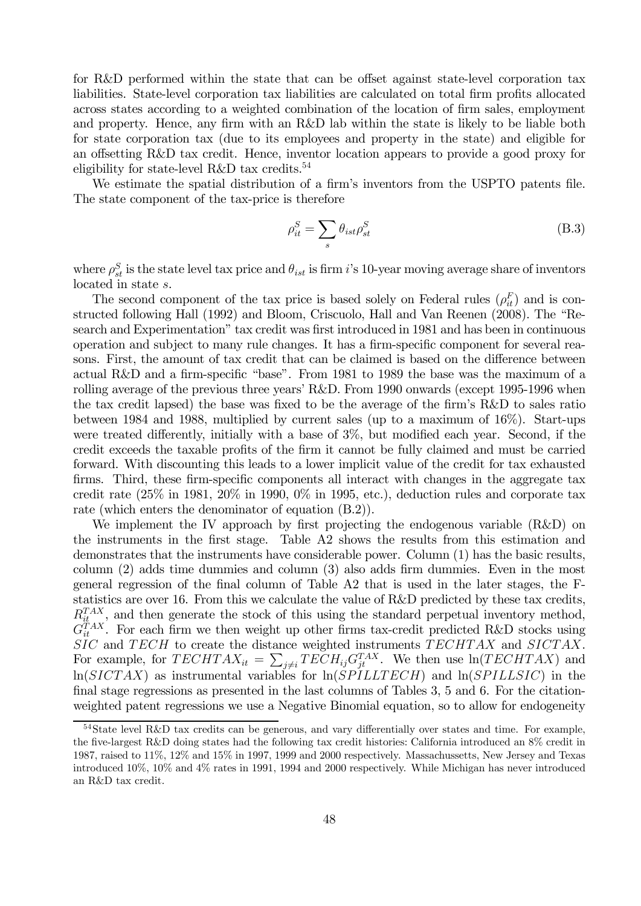for R&D performed within the state that can be offset against state-level corporation tax liabilities. State-level corporation tax liabilities are calculated on total firm profits allocated across states according to a weighted combination of the location of firm sales, employment and property. Hence, any firm with an R&D lab within the state is likely to be liable both for state corporation tax (due to its employees and property in the state) and eligible for an offsetting R&D tax credit. Hence, inventor location appears to provide a good proxy for eligibility for state-level R&D tax credits.<sup>54</sup>

We estimate the spatial distribution of a firm's inventors from the USPTO patents file. The state component of the tax-price is therefore

$$
\rho_{it}^S = \sum_s \theta_{ist} \rho_{st}^S \tag{B.3}
$$

where  $\rho_{st}^S$  is the state level tax price and  $\theta_{ist}$  is firm i's 10-year moving average share of inventors located in state s.

The second component of the tax price is based solely on Federal rules  $(\rho_{it}^F)$  and is constructed following Hall (1992) and Bloom, Criscuolo, Hall and Van Reenen (2008). The "Research and Experimentation" tax credit was first introduced in 1981 and has been in continuous operation and subject to many rule changes. It has a firm-specific component for several reasons. First, the amount of tax credit that can be claimed is based on the difference between actual R&D and a firm-specific "base". From 1981 to 1989 the base was the maximum of a rolling average of the previous three years' R&D. From 1990 onwards (except 1995-1996 when the tax credit lapsed) the base was fixed to be the average of the firm's R&D to sales ratio between 1984 and 1988, multiplied by current sales (up to a maximum of 16%). Start-ups were treated differently, initially with a base of 3%, but modified each year. Second, if the credit exceeds the taxable profits of the firm it cannot be fully claimed and must be carried forward. With discounting this leads to a lower implicit value of the credit for tax exhausted firms. Third, these firm-specific components all interact with changes in the aggregate tax credit rate (25% in 1981, 20% in 1990, 0% in 1995, etc.), deduction rules and corporate tax rate (which enters the denominator of equation (B.2)).

We implement the IV approach by first projecting the endogenous variable (R&D) on the instruments in the first stage. Table A2 shows the results from this estimation and demonstrates that the instruments have considerable power. Column (1) has the basic results, column (2) adds time dummies and column (3) also adds firm dummies. Even in the most general regression of the final column of Table A2 that is used in the later stages, the Fstatistics are over 16. From this we calculate the value of R&D predicted by these tax credits,  $R_{it}^{TAX}$ , and then generate the stock of this using the standard perpetual inventory method,  $G_{it}^{TAX}$ . For each firm we then weight up other firms tax-credit predicted R&D stocks using  $SIC$  and  $TECH$  to create the distance weighted instruments  $TECHTAX$  and  $SICTAX$ . For example, for  $TECHTAX_{it} = \sum_{j\neq i} TECH_{ij}G_{jt}^{TAX}$ . We then use  $\ln(TECHTAX)$  and  $\ln(SICTAX)$  as instrumental variables for  $\ln(SPILLTECH)$  and  $\ln(SPILLSIC)$  in the final stage regressions as presented in the last columns of Tables 3, 5 and 6. For the citationweighted patent regressions we use a Negative Binomial equation, so to allow for endogeneity

<sup>54</sup>State level R&D tax credits can be generous, and vary differentially over states and time. For example, the five-largest R&D doing states had the following tax credit histories: California introduced an 8% credit in 1987, raised to 11%, 12% and 15% in 1997, 1999 and 2000 respectively. Massachussetts, New Jersey and Texas introduced 10%, 10% and 4% rates in 1991, 1994 and 2000 respectively. While Michigan has never introduced an R&D tax credit.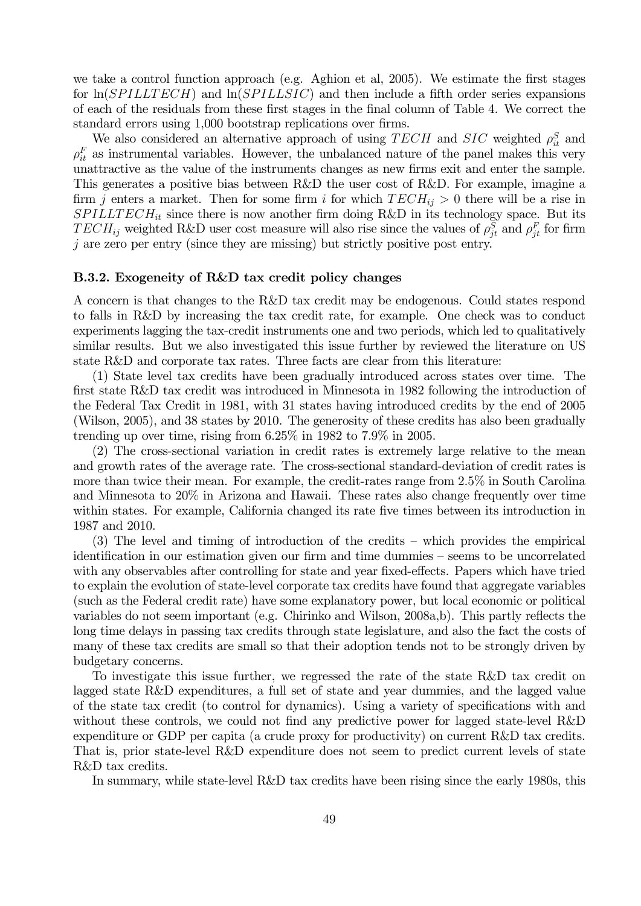we take a control function approach (e.g. Aghion et al, 2005). We estimate the first stages for  $\ln(SPILLTECH)$  and  $\ln(SPILLSIC)$  and then include a fifth order series expansions of each of the residuals from these first stages in the final column of Table 4. We correct the standard errors using 1,000 bootstrap replications over firms.

We also considered an alternative approach of using  $TECH$  and  $SIC$  weighted  $\rho_{it}^S$  and  $\rho_{it}^F$  as instrumental variables. However, the unbalanced nature of the panel makes this very unattractive as the value of the instruments changes as new firms exit and enter the sample. This generates a positive bias between R&D the user cost of R&D. For example, imagine a firm *j* enters a market. Then for some firm *i* for which  $TECH_{ij} > 0$  there will be a rise in  $SPILLTECH_{it}$  since there is now another firm doing R&D in its technology space. But its  $TECH_{ij}$  weighted R&D user cost measure will also rise since the values of  $\rho_{jt}^S$  and  $\rho_{jt}^F$  for firm  $j$  are zero per entry (since they are missing) but strictly positive post entry.

#### B.3.2. Exogeneity of R&D tax credit policy changes

A concern is that changes to the R&D tax credit may be endogenous. Could states respond to falls in R&D by increasing the tax credit rate, for example. One check was to conduct experiments lagging the tax-credit instruments one and two periods, which led to qualitatively similar results. But we also investigated this issue further by reviewed the literature on US state R&D and corporate tax rates. Three facts are clear from this literature:

(1) State level tax credits have been gradually introduced across states over time. The first state R&D tax credit was introduced in Minnesota in 1982 following the introduction of the Federal Tax Credit in 1981, with 31 states having introduced credits by the end of 2005 (Wilson, 2005), and 38 states by 2010. The generosity of these credits has also been gradually trending up over time, rising from 6.25% in 1982 to 7.9% in 2005.

(2) The cross-sectional variation in credit rates is extremely large relative to the mean and growth rates of the average rate. The cross-sectional standard-deviation of credit rates is more than twice their mean. For example, the credit-rates range from 2.5% in South Carolina and Minnesota to 20% in Arizona and Hawaii. These rates also change frequently over time within states. For example, California changed its rate five times between its introduction in 1987 and 2010.

(3) The level and timing of introduction of the credits — which provides the empirical identification in our estimation given our firm and time dummies — seems to be uncorrelated with any observables after controlling for state and year fixed-effects. Papers which have tried to explain the evolution of state-level corporate tax credits have found that aggregate variables (such as the Federal credit rate) have some explanatory power, but local economic or political variables do not seem important (e.g. Chirinko and Wilson, 2008a,b). This partly reflects the long time delays in passing tax credits through state legislature, and also the fact the costs of many of these tax credits are small so that their adoption tends not to be strongly driven by budgetary concerns.

To investigate this issue further, we regressed the rate of the state R&D tax credit on lagged state R&D expenditures, a full set of state and year dummies, and the lagged value of the state tax credit (to control for dynamics). Using a variety of specifications with and without these controls, we could not find any predictive power for lagged state-level R&D expenditure or GDP per capita (a crude proxy for productivity) on current R&D tax credits. That is, prior state-level R&D expenditure does not seem to predict current levels of state R&D tax credits.

In summary, while state-level R&D tax credits have been rising since the early 1980s, this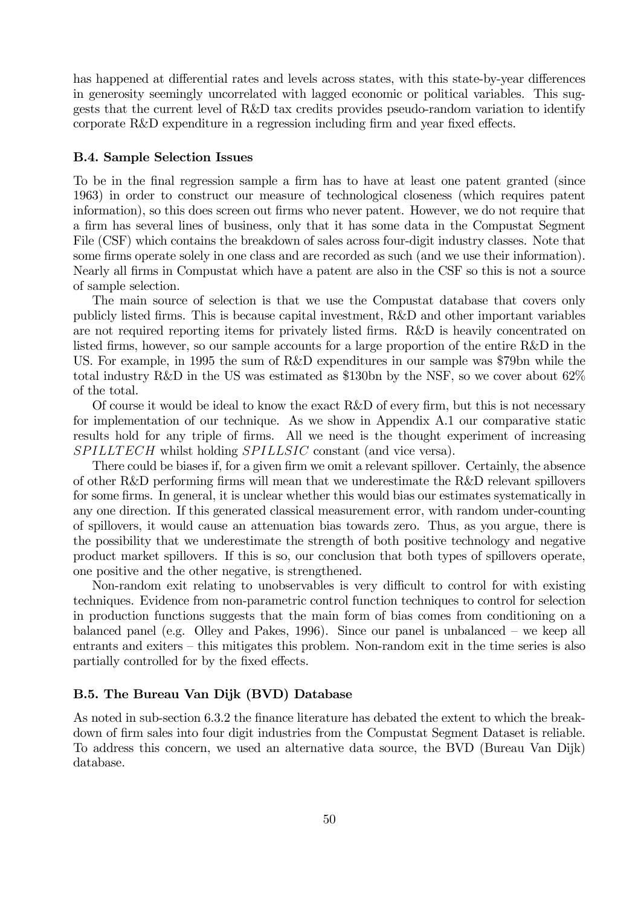has happened at differential rates and levels across states, with this state-by-year differences in generosity seemingly uncorrelated with lagged economic or political variables. This suggests that the current level of R&D tax credits provides pseudo-random variation to identify corporate R&D expenditure in a regression including firm and year fixed effects.

## B.4. Sample Selection Issues

To be in the final regression sample a firm has to have at least one patent granted (since 1963) in order to construct our measure of technological closeness (which requires patent information), so this does screen out firms who never patent. However, we do not require that a firm has several lines of business, only that it has some data in the Compustat Segment File (CSF) which contains the breakdown of sales across four-digit industry classes. Note that some firms operate solely in one class and are recorded as such (and we use their information). Nearly all firms in Compustat which have a patent are also in the CSF so this is not a source of sample selection.

The main source of selection is that we use the Compustat database that covers only publicly listed firms. This is because capital investment, R&D and other important variables are not required reporting items for privately listed firms. R&D is heavily concentrated on listed firms, however, so our sample accounts for a large proportion of the entire R&D in the US. For example, in 1995 the sum of R&D expenditures in our sample was \$79bn while the total industry R&D in the US was estimated as \$130bn by the NSF, so we cover about 62% of the total.

Of course it would be ideal to know the exact R&D of every firm, but this is not necessary for implementation of our technique. As we show in Appendix A.1 our comparative static results hold for any triple of firms. All we need is the thought experiment of increasing SPILLTECH whilst holding SPILLSIC constant (and vice versa).

There could be biases if, for a given firm we omit a relevant spillover. Certainly, the absence of other R&D performing firms will mean that we underestimate the R&D relevant spillovers for some firms. In general, it is unclear whether this would bias our estimates systematically in any one direction. If this generated classical measurement error, with random under-counting of spillovers, it would cause an attenuation bias towards zero. Thus, as you argue, there is the possibility that we underestimate the strength of both positive technology and negative product market spillovers. If this is so, our conclusion that both types of spillovers operate, one positive and the other negative, is strengthened.

Non-random exit relating to unobservables is very difficult to control for with existing techniques. Evidence from non-parametric control function techniques to control for selection in production functions suggests that the main form of bias comes from conditioning on a balanced panel (e.g. Olley and Pakes, 1996). Since our panel is unbalanced — we keep all entrants and exiters — this mitigates this problem. Non-random exit in the time series is also partially controlled for by the fixed effects.

### B.5. The Bureau Van Dijk (BVD) Database

As noted in sub-section 6.3.2 the finance literature has debated the extent to which the breakdown of firm sales into four digit industries from the Compustat Segment Dataset is reliable. To address this concern, we used an alternative data source, the BVD (Bureau Van Dijk) database.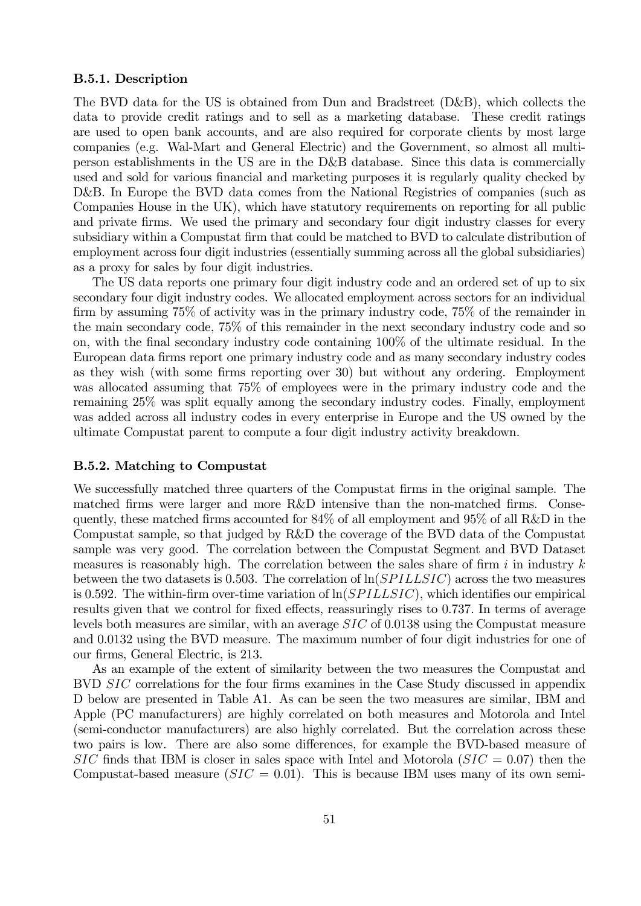## B.5.1. Description

The BVD data for the US is obtained from Dun and Bradstreet (D&B), which collects the data to provide credit ratings and to sell as a marketing database. These credit ratings are used to open bank accounts, and are also required for corporate clients by most large companies (e.g. Wal-Mart and General Electric) and the Government, so almost all multiperson establishments in the US are in the D&B database. Since this data is commercially used and sold for various financial and marketing purposes it is regularly quality checked by D&B. In Europe the BVD data comes from the National Registries of companies (such as Companies House in the UK), which have statutory requirements on reporting for all public and private firms. We used the primary and secondary four digit industry classes for every subsidiary within a Compustat firm that could be matched to BVD to calculate distribution of employment across four digit industries (essentially summing across all the global subsidiaries) as a proxy for sales by four digit industries.

The US data reports one primary four digit industry code and an ordered set of up to six secondary four digit industry codes. We allocated employment across sectors for an individual firm by assuming 75% of activity was in the primary industry code, 75% of the remainder in the main secondary code, 75% of this remainder in the next secondary industry code and so on, with the final secondary industry code containing 100% of the ultimate residual. In the European data firms report one primary industry code and as many secondary industry codes as they wish (with some firms reporting over 30) but without any ordering. Employment was allocated assuming that 75% of employees were in the primary industry code and the remaining 25% was split equally among the secondary industry codes. Finally, employment was added across all industry codes in every enterprise in Europe and the US owned by the ultimate Compustat parent to compute a four digit industry activity breakdown.

## B.5.2. Matching to Compustat

We successfully matched three quarters of the Compustat firms in the original sample. The matched firms were larger and more R&D intensive than the non-matched firms. Consequently, these matched firms accounted for 84% of all employment and 95% of all R&D in the Compustat sample, so that judged by R&D the coverage of the BVD data of the Compustat sample was very good. The correlation between the Compustat Segment and BVD Dataset measures is reasonably high. The correlation between the sales share of firm  $i$  in industry  $k$ between the two datasets is 0.503. The correlation of  $\ln(SPILLSIC)$  across the two measures is 0.592. The within-firm over-time variation of  $\ln(SPILLSIC)$ , which identifies our empirical results given that we control for fixed effects, reassuringly rises to 0.737. In terms of average levels both measures are similar, with an average  $SIC$  of 0.0138 using the Compustat measure and 0.0132 using the BVD measure. The maximum number of four digit industries for one of our firms, General Electric, is 213.

As an example of the extent of similarity between the two measures the Compustat and BVD SIC correlations for the four firms examines in the Case Study discussed in appendix D below are presented in Table A1. As can be seen the two measures are similar, IBM and Apple (PC manufacturers) are highly correlated on both measures and Motorola and Intel (semi-conductor manufacturers) are also highly correlated. But the correlation across these two pairs is low. There are also some differences, for example the BVD-based measure of  $SIC$  finds that IBM is closer in sales space with Intel and Motorola  $(SIC = 0.07)$  then the Compustat-based measure  $(SIC = 0.01)$ . This is because IBM uses many of its own semi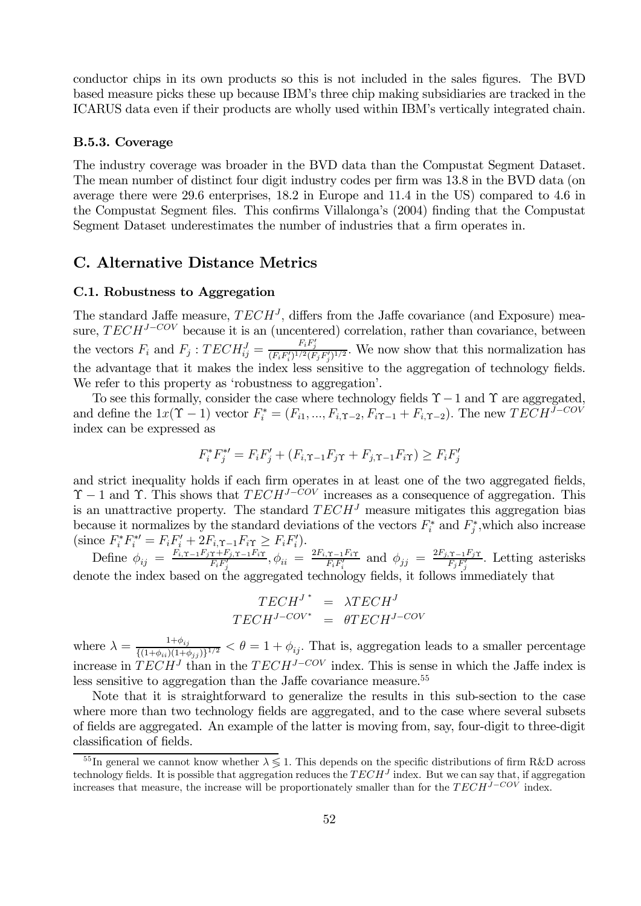conductor chips in its own products so this is not included in the sales figures. The BVD based measure picks these up because IBM's three chip making subsidiaries are tracked in the ICARUS data even if their products are wholly used within IBM's vertically integrated chain.

## B.5.3. Coverage

The industry coverage was broader in the BVD data than the Compustat Segment Dataset. The mean number of distinct four digit industry codes per firm was 13.8 in the BVD data (on average there were 29.6 enterprises, 18.2 in Europe and 11.4 in the US) compared to 4.6 in the Compustat Segment files. This confirms Villalonga's (2004) finding that the Compustat Segment Dataset underestimates the number of industries that a firm operates in.

# C. Alternative Distance Metrics

## C.1. Robustness to Aggregation

The standard Jaffe measure,  $TECH<sup>J</sup>$ , differs from the Jaffe covariance (and Exposure) measure,  $TECH^{J-COV}$  because it is an (uncentered) correlation, rather than covariance, between the vectors  $F_i$  and  $F_j$ :  $TECH_{ij}^J = \frac{F_i F'_j}{(F_i F'_i)^{1/2} (F_j F'_j)^{1/2}}$ . We now show that this normalization has the advantage that it makes the index less sensitive to the aggregation of technology fields. We refer to this property as 'robustness to aggregation'.

To see this formally, consider the case where technology fields  $\Upsilon - 1$  and  $\Upsilon$  are aggregated, and define the  $1x(\Upsilon - 1)$  vector  $F_i^* = (F_{i1}, ..., F_{i,\Upsilon - 2}, F_{i\Upsilon - 1} + F_{i,\Upsilon - 2})$ . The new  $TECH^{J-COV}$ index can be expressed as

$$
F_i^* F_j^{*\prime} = F_i F_j' + (F_{i,\Upsilon-1} F_j \Upsilon + F_{j,\Upsilon-1} F_i \Upsilon) \ge F_i F_j'
$$

and strict inequality holds if each firm operates in at least one of the two aggregated fields,  $\Upsilon$  − 1 and  $\Upsilon$ . This shows that  $TECH^{J-COV}$  increases as a consequence of aggregation. This is an unattractive property. The standard  $TECH<sup>J</sup>$  measure mitigates this aggregation bias because it normalizes by the standard deviations of the vectors  $F_i^*$  and  $F_j^*$ , which also increase  $(\text{since } F_i^* F_i^{*\prime} = F_i F_i' + 2F_{i,\Upsilon-1} F_i \gamma \geq F_i F_i').$ 

Define  $\phi_{ij} = \frac{F_{i,\Upsilon-1}F_{j\Upsilon}+F_{j,\Upsilon-1}F_{i\Upsilon}}{F_iF'_j}, \phi_{ii} = \frac{2F_{i,\Upsilon-1}F_{i\Upsilon}}{F_iF'_i}$  and  $\phi_{jj} = \frac{2F_{j,\Upsilon-1}F_{j\Upsilon}}{F_jF'_j}$ . Letting asterisks denote the index based on the aggregated technology fields, it follows immediately that

$$
\begin{array}{rcl} TECH^{J\,*} & = & \lambda TECH^{J} \\ TECH^{J-COV*} & = & \theta TECH^{J-COV} \end{array}
$$

where  $\lambda = \frac{1+\phi_{ij}}{\{(1+\phi_{ii})(1+\phi_{jj})\}^{1/2}} < \theta = 1+\phi_{ij}$ . That is, aggregation leads to a smaller percentage increase in  $TECH<sup>J</sup>$  than in the  $TECH<sup>J-COV</sup>$  index. This is sense in which the Jaffe index is less sensitive to aggregation than the Jaffe covariance measure.<sup>55</sup>

Note that it is straightforward to generalize the results in this sub-section to the case where more than two technology fields are aggregated, and to the case where several subsets of fields are aggregated. An example of the latter is moving from, say, four-digit to three-digit classification of fields.

<sup>&</sup>lt;sup>55</sup>In general we cannot know whether  $\lambda \leq 1$ . This depends on the specific distributions of firm R&D across technology fields. It is possible that aggregation reduces the  $TECH<sup>J</sup>$  index. But we can say that, if aggregation increases that measure, the increase will be proportionately smaller than for the  $TECH^{\check{j}-CO\check{V}}$  index.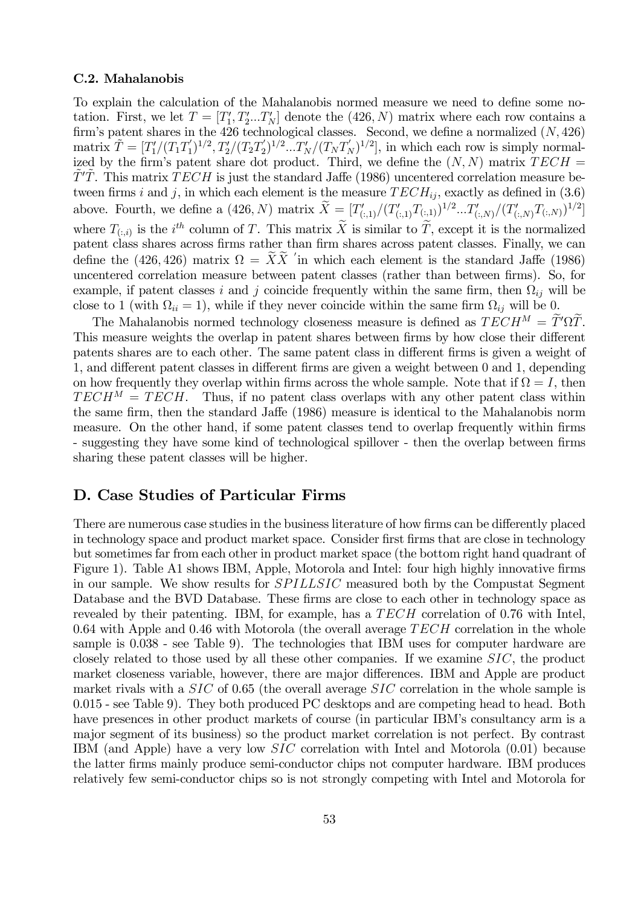## C.2. Mahalanobis

To explain the calculation of the Mahalanobis normed measure we need to define some notation. First, we let  $T = [T'_1, T'_2...T'_N]$  denote the  $(426, N)$  matrix where each row contains a firm's patent shares in the 426 technological classes. Second, we define a normalized  $(N, 426)$  $\text{matrix } \tilde{T} = [T_1'/(T_1T_1')^{1/2}, T_2'/(T_2T_2')^{1/2}...T_N'/(T_NT_N')^{1/2}],$  in which each row is simply normalized by the firm's patent share dot product. Third, we define the  $(N, N)$  matrix  $TECH =$  $\tilde{T}'\tilde{T}$ . This matrix  $\tilde{T}ECH$  is just the standard Jaffe (1986) uncentered correlation measure between firms *i* and *j*, in which each element is the measure  $TECH_{ij}$ , exactly as defined in (3.6) above. Fourth, we define a  $(426, N)$  matrix  $\tilde{X} = [T'_{(:,1)}/(T'_{(:,1)}T_{(:,1)})^{1/2}...T'_{(:,N)}/(T'_{(:,N)}T_{(:,N)})^{1/2}]$ where  $T_{(:,i)}$  is the *i*<sup>th</sup> column of T. This matrix X is similar to T, except it is the normalized patent class shares across firms rather than firm shares across patent classes. Finally, we can define the (426, 426) matrix  $\Omega = XX$  in which each element is the standard Jaffe (1986) uncentered correlation measure between patent classes (rather than between firms). So, for example, if patent classes *i* and *j* coincide frequently within the same firm, then  $\Omega_{ij}$  will be close to 1 (with  $\Omega_{ii} = 1$ ), while if they never coincide within the same firm  $\Omega_{ij}$  will be 0.

The Mahalanobis normed technology closeness measure is defined as  $TECH^M = T'\Omega T$ . This measure weights the overlap in patent shares between firms by how close their different patents shares are to each other. The same patent class in different firms is given a weight of 1, and different patent classes in different firms are given a weight between 0 and 1, depending on how frequently they overlap within firms across the whole sample. Note that if  $\Omega = I$ , then  $TECH<sup>M</sup> = TECH$ . Thus, if no patent class overlaps with any other patent class within the same firm, then the standard Jaffe (1986) measure is identical to the Mahalanobis norm measure. On the other hand, if some patent classes tend to overlap frequently within firms - suggesting they have some kind of technological spillover - then the overlap between firms sharing these patent classes will be higher.

# D. Case Studies of Particular Firms

There are numerous case studies in the business literature of how firms can be differently placed in technology space and product market space. Consider first firms that are close in technology but sometimes far from each other in product market space (the bottom right hand quadrant of Figure 1). Table A1 shows IBM, Apple, Motorola and Intel: four high highly innovative firms in our sample. We show results for *SPILLSIC* measured both by the Compustat Segment Database and the BVD Database. These firms are close to each other in technology space as revealed by their patenting. IBM, for example, has a  $TECH$  correlation of 0.76 with Intel, 0.64 with Apple and 0.46 with Motorola (the overall average  $TECH$  correlation in the whole sample is 0.038 - see Table 9). The technologies that IBM uses for computer hardware are closely related to those used by all these other companies. If we examine  $SIC$ , the product market closeness variable, however, there are major differences. IBM and Apple are product market rivals with a  $SIC$  of 0.65 (the overall average  $SIC$  correlation in the whole sample is 0.015 - see Table 9). They both produced PC desktops and are competing head to head. Both have presences in other product markets of course (in particular IBM's consultancy arm is a major segment of its business) so the product market correlation is not perfect. By contrast IBM (and Apple) have a very low  $SIC$  correlation with Intel and Motorola  $(0.01)$  because the latter firms mainly produce semi-conductor chips not computer hardware. IBM produces relatively few semi-conductor chips so is not strongly competing with Intel and Motorola for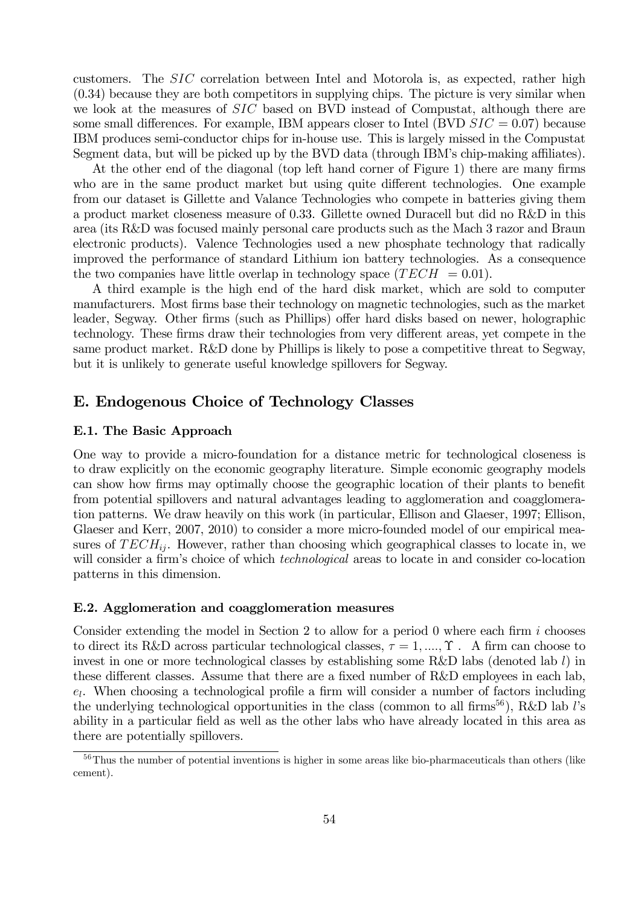customers. The  $SIC$  correlation between Intel and Motorola is, as expected, rather high (0.34) because they are both competitors in supplying chips. The picture is very similar when we look at the measures of  $SIC$  based on BVD instead of Compustat, although there are some small differences. For example, IBM appears closer to Intel (BVD  $SIC = 0.07$ ) because IBM produces semi-conductor chips for in-house use. This is largely missed in the Compustat Segment data, but will be picked up by the BVD data (through IBM's chip-making affiliates).

At the other end of the diagonal (top left hand corner of Figure 1) there are many firms who are in the same product market but using quite different technologies. One example from our dataset is Gillette and Valance Technologies who compete in batteries giving them a product market closeness measure of 0.33. Gillette owned Duracell but did no R&D in this area (its R&D was focused mainly personal care products such as the Mach 3 razor and Braun electronic products). Valence Technologies used a new phosphate technology that radically improved the performance of standard Lithium ion battery technologies. As a consequence the two companies have little overlap in technology space  $(TECH = 0.01)$ .

A third example is the high end of the hard disk market, which are sold to computer manufacturers. Most firms base their technology on magnetic technologies, such as the market leader, Segway. Other firms (such as Phillips) offer hard disks based on newer, holographic technology. These firms draw their technologies from very different areas, yet compete in the same product market. R&D done by Phillips is likely to pose a competitive threat to Segway, but it is unlikely to generate useful knowledge spillovers for Segway.

# E. Endogenous Choice of Technology Classes

## E.1. The Basic Approach

One way to provide a micro-foundation for a distance metric for technological closeness is to draw explicitly on the economic geography literature. Simple economic geography models can show how firms may optimally choose the geographic location of their plants to benefit from potential spillovers and natural advantages leading to agglomeration and coagglomeration patterns. We draw heavily on this work (in particular, Ellison and Glaeser, 1997; Ellison, Glaeser and Kerr, 2007, 2010) to consider a more micro-founded model of our empirical measures of  $TECH_{ii}$ . However, rather than choosing which geographical classes to locate in, we will consider a firm's choice of which *technological* areas to locate in and consider co-location patterns in this dimension.

## E.2. Agglomeration and coagglomeration measures

Consider extending the model in Section 2 to allow for a period 0 where each firm  $i$  chooses to direct its R&D across particular technological classes,  $\tau = 1, ..., \Upsilon$ . A firm can choose to invest in one or more technological classes by establishing some R&D labs (denoted lab  $l$ ) in these different classes. Assume that there are a fixed number of R&D employees in each lab,  $e_l$ . When choosing a technological profile a firm will consider a number of factors including the underlying technological opportunities in the class (common to all firms<sup>56</sup>), R&D lab  $l$ 's ability in a particular field as well as the other labs who have already located in this area as there are potentially spillovers.

<sup>&</sup>lt;sup>56</sup>Thus the number of potential inventions is higher in some areas like bio-pharmaceuticals than others (like cement).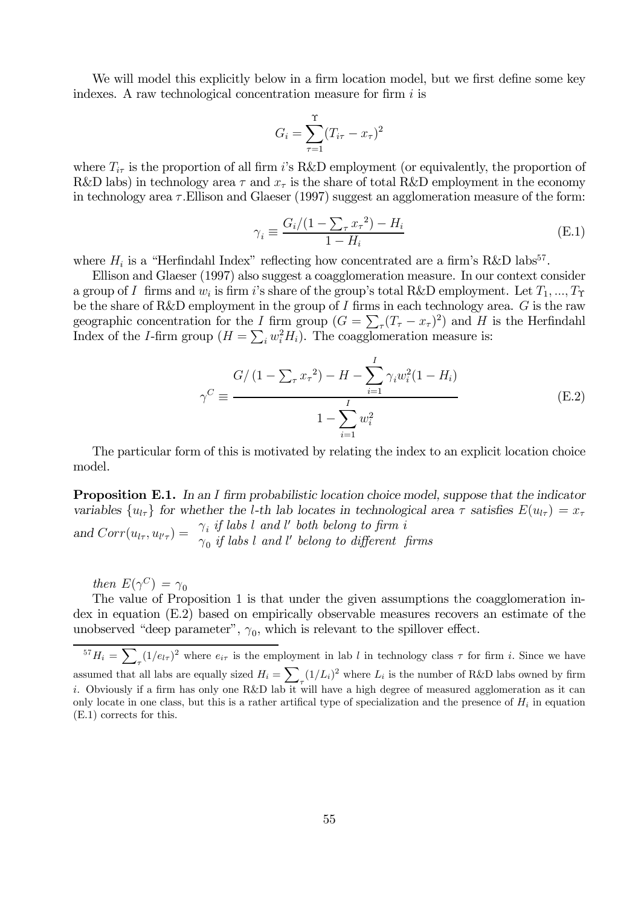We will model this explicitly below in a firm location model, but we first define some key indexes. A raw technological concentration measure for firm  $i$  is

$$
G_i = \sum_{\tau=1}^{\Upsilon} (T_{i\tau} - x_{\tau})^2
$$

where  $T_{i\tau}$  is the proportion of all firm i's R&D employment (or equivalently, the proportion of R&D labs) in technology area  $\tau$  and  $x_{\tau}$  is the share of total R&D employment in the economy in technology area  $\tau$ . Ellison and Glaeser (1997) suggest an agglomeration measure of the form:

$$
\gamma_i \equiv \frac{G_i/(1 - \sum_{\tau} x_{\tau}^2) - H_i}{1 - H_i}
$$
(E.1)

where  $H_i$  is a "Herfindahl Index" reflecting how concentrated are a firm's R&D labs<sup>57</sup>.

Ellison and Glaeser (1997) also suggest a coagglomeration measure. In our context consider a group of I firms and  $w_i$  is firm i's share of the group's total R&D employment. Let  $T_1, ..., T_{\Upsilon}$ be the share of R&D employment in the group of  $I$  firms in each technology area.  $G$  is the raw geographic concentration for the *I* firm group  $(G = \sum_{\tau} (T_{\tau} - x_{\tau})^2)$  and *H* is the Herfindahl Index of the *I*-firm group  $(H = \sum_i w_i^2 H_i)$ . The coagglomeration measure is:

$$
\gamma^C \equiv \frac{G/(1 - \sum_{\tau} x_{\tau}^2) - H - \sum_{i=1}^I \gamma_i w_i^2 (1 - H_i)}{1 - \sum_{i=1}^I w_i^2}
$$
(E.2)

The particular form of this is motivated by relating the index to an explicit location choice model.

**Proposition E.1.** In an I firm probabilistic location choice model, suppose that the indicator variables  ${u_{l\tau}}$  for whether the *l*-th lab locates in technological area  $\tau$  satisfies  $E(u_{l\tau}) = x_\tau$ and  $Corr(u_{l\tau}, u_{l'\tau}) = \gamma_i$  if labs l and l' both belong to firm i  $\gamma_0$  if labs l and l' belong to different firms

then  $E(\gamma^C) = \gamma_0$ 

The value of Proposition 1 is that under the given assumptions the coagglomeration index in equation (E.2) based on empirically observable measures recovers an estimate of the unobserved "deep parameter",  $\gamma_0$ , which is relevant to the spillover effect.

<sup>57</sup> $H_i = \sum_{\tau} (1/e_{l\tau})^2$  where  $e_{i\tau}$  is the employment in lab l in technology class  $\tau$  for firm i. Since we have assumed that all labs are equally sized  $H_i = \sum_{\tau} (1/L_i)^2$  where  $L_i$  is the number of R&D labs owned by firm i. Obviously if a firm has only one R&D lab it will have a high degree of measured agglomeration as it can only locate in one class, but this is a rather artifical type of specialization and the presence of  $H_i$  in equation (E.1) corrects for this.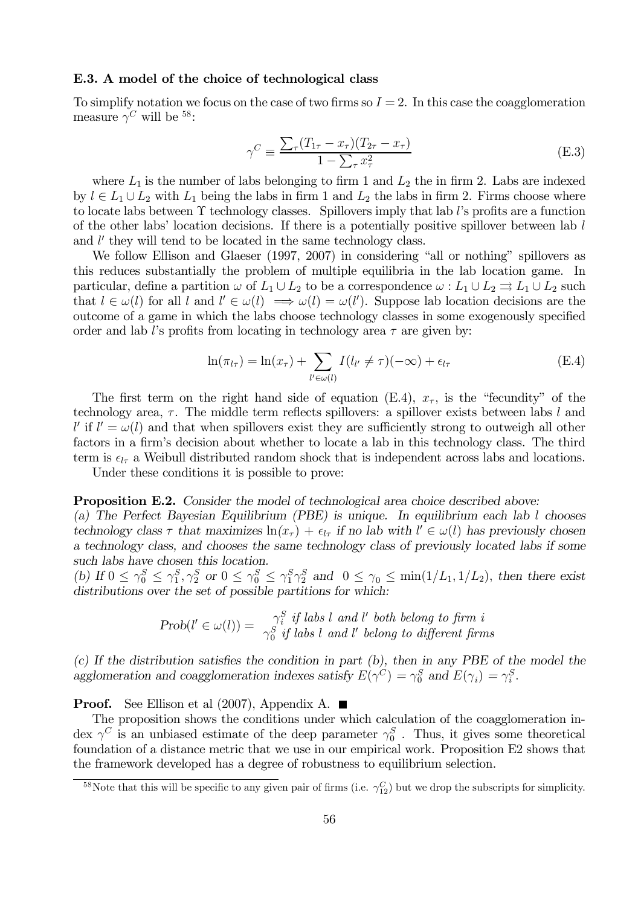## E.3. A model of the choice of technological class

To simplify notation we focus on the case of two firms so  $I = 2$ . In this case the coagglomeration measure  $\gamma^C$  will be <sup>58</sup>:

$$
\gamma^C \equiv \frac{\sum_{\tau} (T_{1\tau} - x_{\tau})(T_{2\tau} - x_{\tau})}{1 - \sum_{\tau} x_{\tau}^2}
$$
(E.3)

where  $L_1$  is the number of labs belonging to firm 1 and  $L_2$  the in firm 2. Labs are indexed by  $l \in L_1 \cup L_2$  with  $L_1$  being the labs in firm 1 and  $L_2$  the labs in firm 2. Firms choose where to locate labs between  $\Upsilon$  technology classes. Spillovers imply that lab *l*'s profits are a function of the other labs' location decisions. If there is a potentially positive spillover between lab  $l$ and  $l'$  they will tend to be located in the same technology class.

We follow Ellison and Glaeser (1997, 2007) in considering "all or nothing" spillovers as this reduces substantially the problem of multiple equilibria in the lab location game. In particular, define a partition  $\omega$  of  $L_1 \cup L_2$  to be a correspondence  $\omega : L_1 \cup L_2 \rightrightarrows L_1 \cup L_2$  such that  $l \in \omega(l)$  for all  $l$  and  $l' \in \omega(l) \implies \omega(l) = \omega(l')$ . Suppose lab location decisions are the outcome of a game in which the labs choose technology classes in some exogenously specified order and lab l's profits from locating in technology area  $\tau$  are given by:

$$
\ln(\pi_{l\tau}) = \ln(x_{\tau}) + \sum_{l' \in \omega(l)} I(l_{l'} \neq \tau)(-\infty) + \epsilon_{l\tau}
$$
 (E.4)

The first term on the right hand side of equation (E.4),  $x_{\tau}$ , is the "fecundity" of the technology area,  $\tau$ . The middle term reflects spillovers: a spillover exists between labs  $l$  and  $l'$  if  $l' = \omega(l)$  and that when spillovers exist they are sufficiently strong to outweigh all other factors in a firm's decision about whether to locate a lab in this technology class. The third term is  $\epsilon_{l\tau}$  a Weibull distributed random shock that is independent across labs and locations.

Under these conditions it is possible to prove:

#### Proposition E.2. Consider the model of technological area choice described above:

(a) The Perfect Bayesian Equilibrium (PBE) is unique. In equilibrium each lab  $l$  chooses technology class  $\tau$  that maximizes  $\ln(x_{\tau}) + \epsilon_{l\tau}$  if no lab with  $l' \in \omega(l)$  has previously chosen a technology class, and chooses the same technology class of previously located labs if some such labs have chosen this location.

(b) If  $0 \leq \gamma_0^S \leq \gamma_1^S$ ,  $\gamma_2^S$  or  $0 \leq \gamma_0^S \leq \gamma_1^S$  and  $0 \leq \gamma_0 \leq \min(1/L_1, 1/L_2)$ , then there exist distributions over the set of possible partitions for which:

$$
Prob(l' \in \omega(l)) = \frac{\gamma_i^S}{\gamma_0^S} \text{ if } \text{ labs } l \text{ and } l' \text{ both belong to firm } i
$$

(c) If the distribution satisfies the condition in part (b), then in any PBE of the model the agglomeration and coagglomeration indexes satisfy  $E(\gamma^C) = \gamma_0^S$  and  $E(\gamma_i) = \gamma_i^S$ .

**Proof.** See Ellison et al  $(2007)$ , Appendix A.

The proposition shows the conditions under which calculation of the coagglomeration index  $\gamma^C$  is an unbiased estimate of the deep parameter  $\gamma_0^S$ . Thus, it gives some theoretical foundation of a distance metric that we use in our empirical work. Proposition E2 shows that the framework developed has a degree of robustness to equilibrium selection.

<sup>&</sup>lt;sup>58</sup>Note that this will be specific to any given pair of firms (i.e.  $\gamma_{12}^C$ ) but we drop the subscripts for simplicity.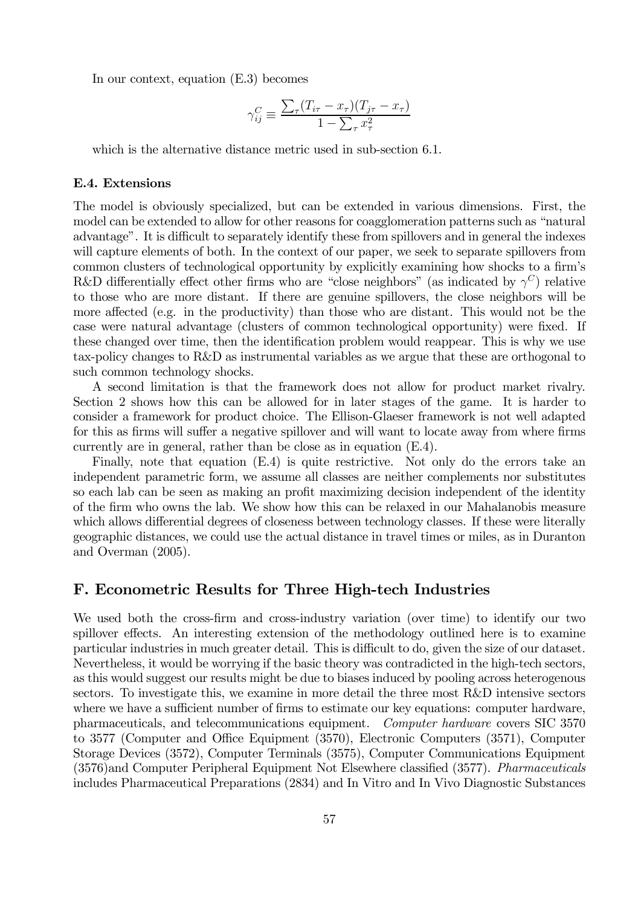In our context, equation (E.3) becomes

$$
\gamma_{ij}^C \equiv \frac{\sum_{\tau} (T_{i\tau} - x_{\tau})(T_{j\tau} - x_{\tau})}{1 - \sum_{\tau} x_{\tau}^2}
$$

which is the alternative distance metric used in sub-section 6.1.

## E.4. Extensions

The model is obviously specialized, but can be extended in various dimensions. First, the model can be extended to allow for other reasons for coagglomeration patterns such as "natural advantage". It is difficult to separately identify these from spillovers and in general the indexes will capture elements of both. In the context of our paper, we seek to separate spillovers from common clusters of technological opportunity by explicitly examining how shocks to a firm's R&D differentially effect other firms who are "close neighbors" (as indicated by  $\gamma^C$ ) relative to those who are more distant. If there are genuine spillovers, the close neighbors will be more affected (e.g. in the productivity) than those who are distant. This would not be the case were natural advantage (clusters of common technological opportunity) were fixed. If these changed over time, then the identification problem would reappear. This is why we use tax-policy changes to R&D as instrumental variables as we argue that these are orthogonal to such common technology shocks.

A second limitation is that the framework does not allow for product market rivalry. Section 2 shows how this can be allowed for in later stages of the game. It is harder to consider a framework for product choice. The Ellison-Glaeser framework is not well adapted for this as firms will suffer a negative spillover and will want to locate away from where firms currently are in general, rather than be close as in equation (E.4).

Finally, note that equation (E.4) is quite restrictive. Not only do the errors take an independent parametric form, we assume all classes are neither complements nor substitutes so each lab can be seen as making an profit maximizing decision independent of the identity of the firm who owns the lab. We show how this can be relaxed in our Mahalanobis measure which allows differential degrees of closeness between technology classes. If these were literally geographic distances, we could use the actual distance in travel times or miles, as in Duranton and Overman (2005).

# F. Econometric Results for Three High-tech Industries

We used both the cross-firm and cross-industry variation (over time) to identify our two spillover effects. An interesting extension of the methodology outlined here is to examine particular industries in much greater detail. This is difficult to do, given the size of our dataset. Nevertheless, it would be worrying if the basic theory was contradicted in the high-tech sectors, as this would suggest our results might be due to biases induced by pooling across heterogenous sectors. To investigate this, we examine in more detail the three most R&D intensive sectors where we have a sufficient number of firms to estimate our key equations: computer hardware, pharmaceuticals, and telecommunications equipment. Computer hardware covers SIC 3570 to 3577 (Computer and Office Equipment (3570), Electronic Computers (3571), Computer Storage Devices (3572), Computer Terminals (3575), Computer Communications Equipment (3576)and Computer Peripheral Equipment Not Elsewhere classified (3577). Pharmaceuticals includes Pharmaceutical Preparations (2834) and In Vitro and In Vivo Diagnostic Substances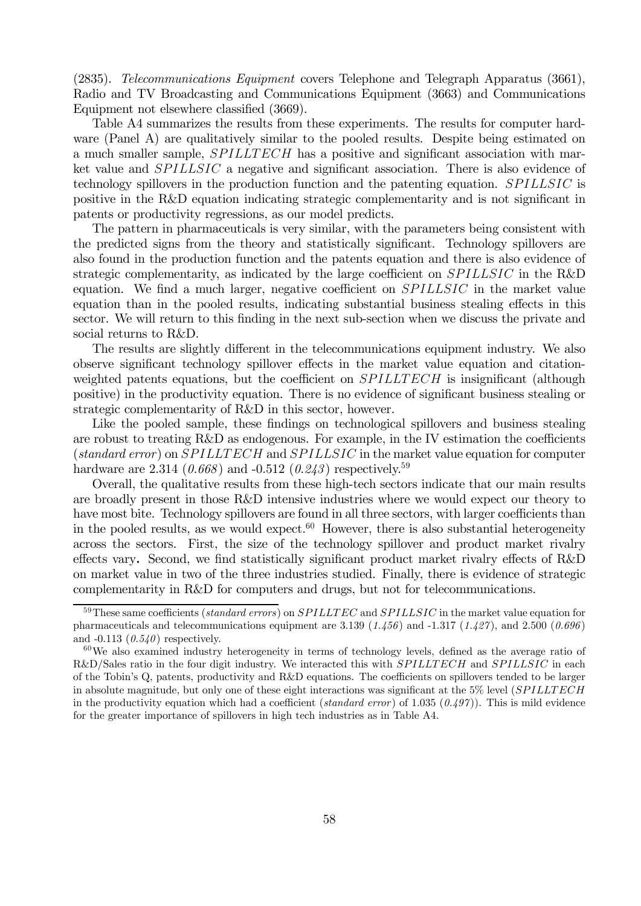(2835). Telecommunications Equipment covers Telephone and Telegraph Apparatus (3661), Radio and TV Broadcasting and Communications Equipment (3663) and Communications Equipment not elsewhere classified (3669).

Table A4 summarizes the results from these experiments. The results for computer hardware (Panel A) are qualitatively similar to the pooled results. Despite being estimated on a much smaller sample,  $SPILLTECH$  has a positive and significant association with market value and  $SPILLSIC$  a negative and significant association. There is also evidence of technology spillovers in the production function and the patenting equation.  $SPILLSIC$  is positive in the R&D equation indicating strategic complementarity and is not significant in patents or productivity regressions, as our model predicts.

The pattern in pharmaceuticals is very similar, with the parameters being consistent with the predicted signs from the theory and statistically significant. Technology spillovers are also found in the production function and the patents equation and there is also evidence of strategic complementarity, as indicated by the large coefficient on  $SPILLSIC$  in the R&D equation. We find a much larger, negative coefficient on  $SPILLSIC$  in the market value equation than in the pooled results, indicating substantial business stealing effects in this sector. We will return to this finding in the next sub-section when we discuss the private and social returns to R&D.

The results are slightly different in the telecommunications equipment industry. We also observe significant technology spillover effects in the market value equation and citationweighted patents equations, but the coefficient on  $SPILLTECH$  is insignificant (although positive) in the productivity equation. There is no evidence of significant business stealing or strategic complementarity of R&D in this sector, however.

Like the pooled sample, these findings on technological spillovers and business stealing are robust to treating R&D as endogenous. For example, in the IV estimation the coefficients (standard error) on  $SPILLTECH$  and  $SPILLSIC$  in the market value equation for computer hardware are 2.314 (0.668) and -0.512 (0.243) respectively.<sup>59</sup>

Overall, the qualitative results from these high-tech sectors indicate that our main results are broadly present in those R&D intensive industries where we would expect our theory to have most bite. Technology spillovers are found in all three sectors, with larger coefficients than in the pooled results, as we would expect.<sup>60</sup> However, there is also substantial heterogeneity across the sectors. First, the size of the technology spillover and product market rivalry effects vary. Second, we find statistically significant product market rivalry effects of R&D on market value in two of the three industries studied. Finally, there is evidence of strategic complementarity in R&D for computers and drugs, but not for telecommunications.

 $59$ These same coefficients (standard errors) on  $SPILLTEC$  and  $SPILLSIC$  in the market value equation for pharmaceuticals and telecommunications equipment are 3.139 (1.456) and -1.317 (1.427), and 2.500 (0.696) and  $-0.113$   $(0.540)$  respectively.

<sup>&</sup>lt;sup>60</sup>We also examined industry heterogeneity in terms of technology levels, defined as the average ratio of R&D/Sales ratio in the four digit industry. We interacted this with SPILLTECH and SPILLSIC in each of the Tobin's Q, patents, productivity and R&D equations. The coefficients on spillovers tended to be larger in absolute magnitude, but only one of these eight interactions was significant at the  $5\%$  level ( $SPILLTECH$ in the productivity equation which had a coefficient (standard error) of 1.035 (0.497)). This is mild evidence for the greater importance of spillovers in high tech industries as in Table A4.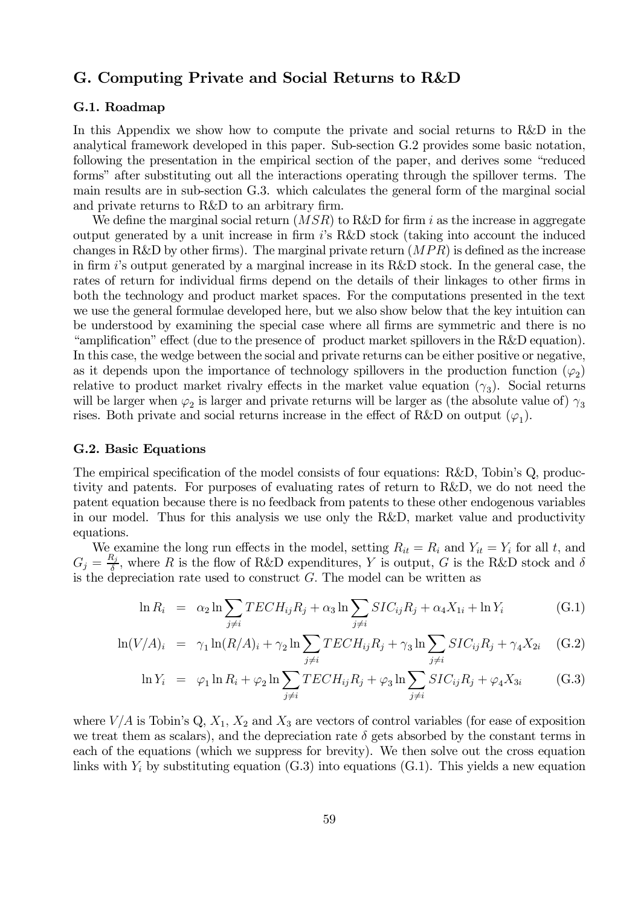# G. Computing Private and Social Returns to R&D

## G.1. Roadmap

In this Appendix we show how to compute the private and social returns to R&D in the analytical framework developed in this paper. Sub-section G.2 provides some basic notation, following the presentation in the empirical section of the paper, and derives some "reduced forms" after substituting out all the interactions operating through the spillover terms. The main results are in sub-section G.3. which calculates the general form of the marginal social and private returns to R&D to an arbitrary firm.

We define the marginal social return  $(MSR)$  to R&D for firm i as the increase in aggregate output generated by a unit increase in firm 's R&D stock (taking into account the induced changes in R&D by other firms). The marginal private return  $(MPR)$  is defined as the increase in firm is output generated by a marginal increase in its R&D stock. In the general case, the rates of return for individual firms depend on the details of their linkages to other firms in both the technology and product market spaces. For the computations presented in the text we use the general formulae developed here, but we also show below that the key intuition can be understood by examining the special case where all firms are symmetric and there is no "amplification" effect (due to the presence of product market spillovers in the R&D equation). In this case, the wedge between the social and private returns can be either positive or negative, as it depends upon the importance of technology spillovers in the production function  $(\varphi_2)$ relative to product market rivalry effects in the market value equation  $(\gamma_3)$ . Social returns will be larger when  $\varphi_2$  is larger and private returns will be larger as (the absolute value of)  $\gamma_3$ rises. Both private and social returns increase in the effect of R&D on output  $(\varphi_1)$ .

#### G.2. Basic Equations

The empirical specification of the model consists of four equations: R&D, Tobin's Q, productivity and patents. For purposes of evaluating rates of return to R&D, we do not need the patent equation because there is no feedback from patents to these other endogenous variables in our model. Thus for this analysis we use only the R&D, market value and productivity equations.

We examine the long run effects in the model, setting  $R_{it} = R_i$  and  $Y_{it} = Y_i$  for all t, and  $G_j = \frac{R_j}{\delta}$ , where R is the flow of R&D expenditures, Y is output, G is the R&D stock and  $\delta$ is the depreciation rate used to construct  $G$ . The model can be written as

$$
\ln R_i = \alpha_2 \ln \sum_{j \neq i} TECH_{ij}R_j + \alpha_3 \ln \sum_{j \neq i} SIC_{ij}R_j + \alpha_4 X_{1i} + \ln Y_i \tag{G.1}
$$

$$
\ln(V/A)_i = \gamma_1 \ln(R/A)_i + \gamma_2 \ln \sum_{j \neq i} TECH_{ij}R_j + \gamma_3 \ln \sum_{j \neq i} SIC_{ij}R_j + \gamma_4 X_{2i} \quad (G.2)
$$

$$
\ln Y_i = \varphi_1 \ln R_i + \varphi_2 \ln \sum_{j \neq i} TECH_{ij}R_j + \varphi_3 \ln \sum_{j \neq i} SIC_{ij}R_j + \varphi_4 X_{3i}
$$
 (G.3)

where  $V/A$  is Tobin's Q,  $X_1$ ,  $X_2$  and  $X_3$  are vectors of control variables (for ease of exposition we treat them as scalars), and the depreciation rate  $\delta$  gets absorbed by the constant terms in each of the equations (which we suppress for brevity). We then solve out the cross equation links with  $Y_i$  by substituting equation  $(G.3)$  into equations  $(G.1)$ . This yields a new equation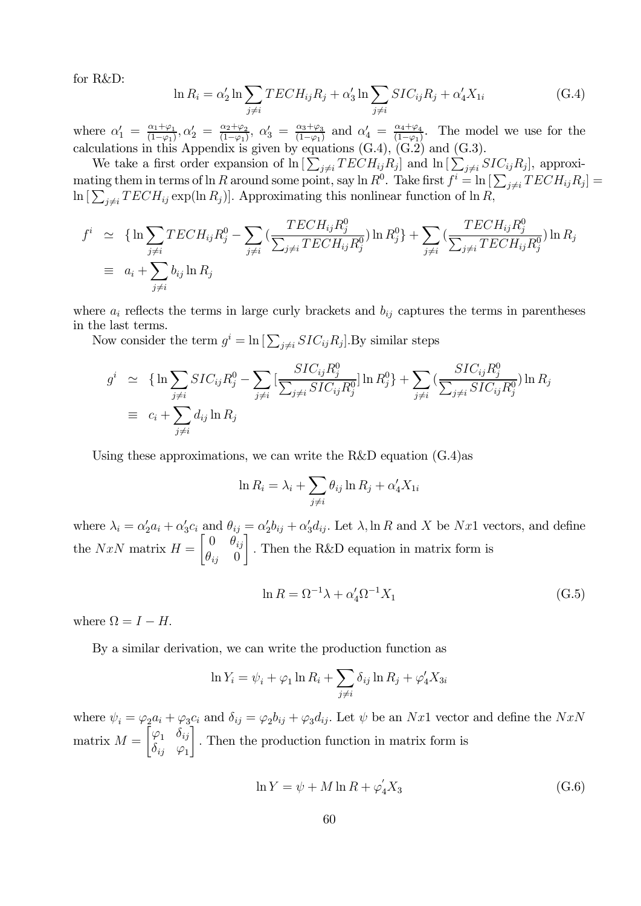for R&D:

$$
\ln R_i = \alpha'_2 \ln \sum_{j \neq i} TECH_{ij}R_j + \alpha'_3 \ln \sum_{j \neq i} SIC_{ij}R_j + \alpha'_4 X_{1i}
$$
 (G.4)

where  $\alpha'_1 = \frac{\alpha_1 + \varphi_1}{(1-\varphi_1)}, \alpha'_2 = \frac{\alpha_2 + \varphi_2}{(1-\varphi_1)}, \alpha'_3 = \frac{\alpha_3 + \varphi_3}{(1-\varphi_1)}$  and  $\alpha'_4 = \frac{\alpha_4 + \varphi_4}{(1-\varphi_1)}.$  The model we use for the calculations in this Appendix is given by equations  $(G.4)$ ,  $(G.2)$  and  $(G.3)$ .

We take a first order expansion of  $\ln \left[ \sum_{j\neq i} TECH_{ij}R_j \right]$  and  $\ln \left[ \sum_{j\neq i} SIC_{ij}R_j \right]$ , approximating them in terms of ln R around some point, say ln  $R^0$ . Take first  $f^i = \ln \left[\sum_{j\neq i} TECH_{ij}R_j\right] =$  $\ln\left[\sum_{j\neq i} TECH_{ij} \exp(\ln R_j)\right]$ . Approximating this nonlinear function of  $\ln R$ ,

$$
f^i \simeq \{ \ln \sum_{j \neq i} TECH_{ij}R_j^0 - \sum_{j \neq i} \left( \frac{TECH_{ij}R_j^0}{\sum_{j \neq i} TECH_{ij}R_j^0} \right) \ln R_j^0 \} + \sum_{j \neq i} \left( \frac{TECH_{ij}R_j^0}{\sum_{j \neq i} TECH_{ij}R_j^0} \right) \ln R_j
$$
  
\n
$$
\equiv a_i + \sum_{j \neq i} b_{ij} \ln R_j
$$

where  $a_i$  reflects the terms in large curly brackets and  $b_{ij}$  captures the terms in parentheses in the last terms.

Now consider the term  $g^i = \ln \left[ \sum_{j \neq i} SIC_{ij}R_j \right]$ . By similar steps

$$
g^{i} \simeq \{ \ln \sum_{j \neq i} SIC_{ij} R_{j}^{0} - \sum_{j \neq i} \left[ \frac{SIC_{ij} R_{j}^{0}}{\sum_{j \neq i} SIC_{ij} R_{j}^{0}} \right] \ln R_{j}^{0} \} + \sum_{j \neq i} \left( \frac{SIC_{ij} R_{j}^{0}}{\sum_{j \neq i} SIC_{ij} R_{j}^{0}} \right) \ln R_{j}
$$
  
\n
$$
\equiv c_{i} + \sum_{j \neq i} d_{ij} \ln R_{j}
$$

Using these approximations, we can write the R&D equation  $(G.4)$ as

$$
\ln R_i = \lambda_i + \sum_{j \neq i} \theta_{ij} \ln R_j + \alpha'_4 X_{1i}
$$

where  $\lambda_i = \alpha'_2 a_i + \alpha'_3 c_i$  and  $\theta_{ij} = \alpha'_2 b_{ij} + \alpha'_3 d_{ij}$ . Let  $\lambda$ , ln R and X be Nx1 vectors, and define the NxN matrix  $H = \begin{bmatrix} 0 & \theta_{ij} \\ a & 0 \end{bmatrix}$  $\theta_{ij}$  0 ¸ Then the R&D equation in matrix form is

$$
\ln R = \Omega^{-1} \lambda + \alpha_4' \Omega^{-1} X_1 \tag{G.5}
$$

where  $\Omega = I - H$ .

By a similar derivation, we can write the production function as

$$
\ln Y_i = \psi_i + \varphi_1 \ln R_i + \sum_{j \neq i} \delta_{ij} \ln R_j + \varphi_4' X_{3i}
$$

where  $\psi_i = \varphi_2 a_i + \varphi_3 c_i$  and  $\delta_{ij} = \varphi_2 b_{ij} + \varphi_3 d_{ij}$ . Let  $\psi$  be an Nx1 vector and define the NxN matrix  $M =$  $\begin{bmatrix} \varphi_1 & \delta_{ij} \end{bmatrix}$  $\delta_{ij}$   $\varphi_1$ ้ำ Then the production function in matrix form is

$$
\ln Y = \psi + M \ln R + \varphi_4' X_3 \tag{G.6}
$$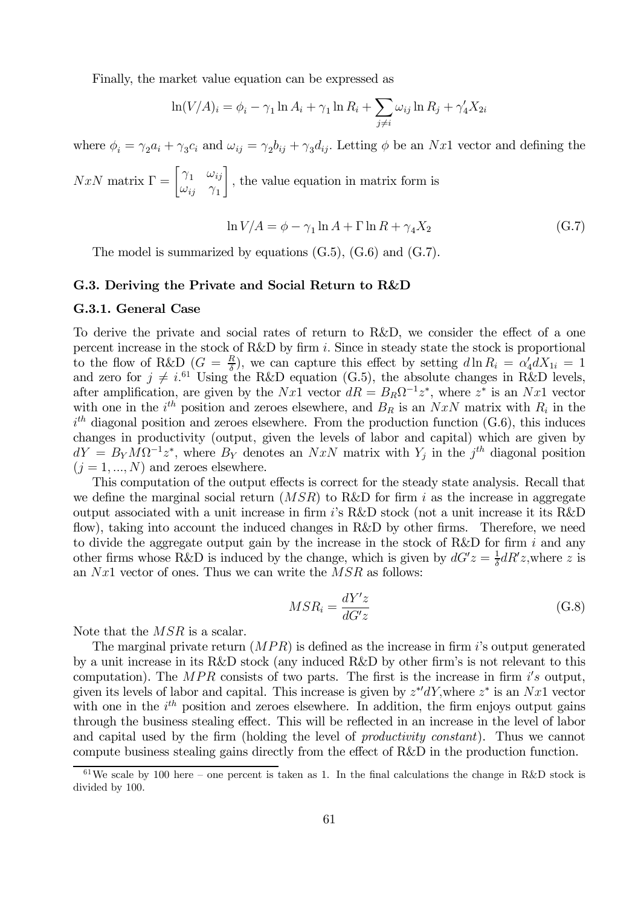Finally, the market value equation can be expressed as

$$
\ln(V/A)_i = \phi_i - \gamma_1 \ln A_i + \gamma_1 \ln R_i + \sum_{j \neq i} \omega_{ij} \ln R_j + \gamma'_4 X_{2i}
$$

where  $\phi_i = \gamma_2 a_i + \gamma_3 c_i$  and  $\omega_{ij} = \gamma_2 b_{ij} + \gamma_3 d_{ij}$ . Letting  $\phi$  be an Nx1 vector and defining the

$$
NxN
$$
 matrix  $\Gamma = \begin{bmatrix} \gamma_1 & \omega_{ij} \\ \omega_{ij} & \gamma_1 \end{bmatrix}$ , the value equation in matrix form is

$$
\ln V/A = \phi - \gamma_1 \ln A + \Gamma \ln R + \gamma_4 X_2 \tag{G.7}
$$

The model is summarized by equations  $(G.5)$ ,  $(G.6)$  and  $(G.7)$ .

## G.3. Deriving the Private and Social Return to R&D

#### G.3.1. General Case

To derive the private and social rates of return to R&D, we consider the effect of a one percent increase in the stock of  $R\&D$  by firm *i*. Since in steady state the stock is proportional to the flow of R&D  $(G = \frac{R}{\delta})$ , we can capture this effect by setting  $d\ln R_i = \alpha'_4 dX_{1i} = 1$ and zero for  $j \neq i$ <sup>61</sup> Using the R&D equation (G.5), the absolute changes in R&D levels, after amplification, are given by the  $Nx1$  vector  $dR = B_R\Omega^{-1}z^*$ , where  $z^*$  is an  $Nx1$  vector with one in the  $i^{th}$  position and zeroes elsewhere, and  $B_R$  is an  $NxN$  matrix with  $R_i$  in the  $i<sup>th</sup>$  diagonal position and zeroes elsewhere. From the production function (G.6), this induces changes in productivity (output, given the levels of labor and capital) which are given by  $dY = B_Y M \Omega^{-1} z^*$ , where  $B_Y$  denotes an  $N x N$  matrix with  $Y_i$  in the  $j<sup>th</sup>$  diagonal position  $(i = 1, ..., N)$  and zeroes elsewhere.

This computation of the output effects is correct for the steady state analysis. Recall that we define the marginal social return  $(MSR)$  to R&D for firm i as the increase in aggregate output associated with a unit increase in firm 's R&D stock (not a unit increase it its R&D flow), taking into account the induced changes in R&D by other firms. Therefore, we need to divide the aggregate output gain by the increase in the stock of R&D for firm  $i$  and any other firms whose R&D is induced by the change, which is given by  $dG'z = \frac{1}{\delta}dR'z$ , where z is an  $Nx1$  vector of ones. Thus we can write the  $MSR$  as follows:

$$
MSR_i = \frac{dY'z}{dG'z} \tag{G.8}
$$

Note that the  $MSR$  is a scalar.

The marginal private return  $(MPR)$  is defined as the increase in firm i's output generated by a unit increase in its R&D stock (any induced R&D by other firm's is not relevant to this computation). The  $MPR$  consists of two parts. The first is the increase in firm  $i's$  output, given its levels of labor and capital. This increase is given by  $z^*dY$ , where  $z^*$  is an  $Nx1$  vector with one in the  $i<sup>th</sup>$  position and zeroes elsewhere. In addition, the firm enjoys output gains through the business stealing effect. This will be reflected in an increase in the level of labor and capital used by the firm (holding the level of productivity constant). Thus we cannot compute business stealing gains directly from the effect of R&D in the production function.

 $61\,\text{We scale by }100\,\text{here}$  – one percent is taken as 1. In the final calculations the change in R&D stock is divided by 100.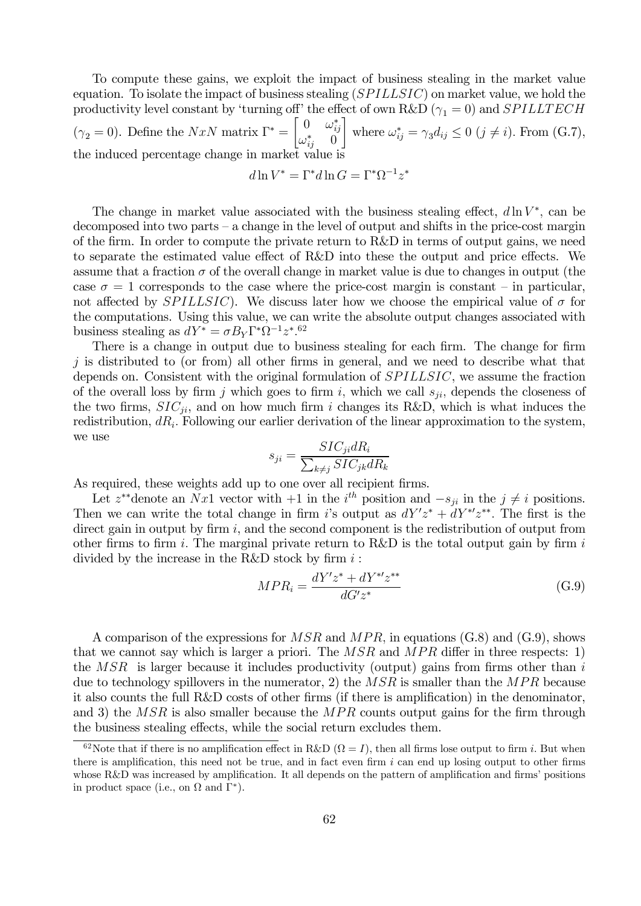To compute these gains, we exploit the impact of business stealing in the market value equation. To isolate the impact of business stealing  $(SPILLSIC)$  on market value, we hold the productivity level constant by 'turning off' the effect of own R&D ( $\gamma_1 = 0$ ) and *SPILLTECH*  $(\gamma_2 = 0)$ . Define the  $NxN$  matrix  $\Gamma^* =$  $\begin{bmatrix} 0 & \omega_{ij}^* \end{bmatrix}$  $\omega_{ij}^* = 0$  $\overline{\phantom{a}}$ where  $\omega_{ij}^* = \gamma_3 d_{ij} \leq 0 \ (j \neq i)$ . From (G.7), the induced percentage change in market value i

$$
d\ln V^* = \Gamma^* d\ln G = \Gamma^* \Omega^{-1} z^*
$$

The change in market value associated with the business stealing effect,  $d \ln V^*$ , can be decomposed into two parts — a change in the level of output and shifts in the price-cost margin of the firm. In order to compute the private return to R&D in terms of output gains, we need to separate the estimated value effect of R&D into these the output and price effects. We assume that a fraction  $\sigma$  of the overall change in market value is due to changes in output (the case  $\sigma = 1$  corresponds to the case where the price-cost margin is constant – in particular, not affected by  $SPILLSIC$ . We discuss later how we choose the empirical value of  $\sigma$  for the computations. Using this value, we can write the absolute output changes associated with business stealing as  $dY^* = \sigma B_Y \Gamma^* \Omega^{-1} z^*$ .<sup>62</sup>

There is a change in output due to business stealing for each firm. The change for firm  $i$  is distributed to (or from) all other firms in general, and we need to describe what that depends on. Consistent with the original formulation of  $SPILLSIC$ , we assume the fraction of the overall loss by firm *j* which goes to firm *i*, which we call  $s_{ji}$ , depends the closeness of the two firms,  $SIC_{ii}$ , and on how much firm *i* changes its R&D, which is what induces the redistribution,  $dR_i$ . Following our earlier derivation of the linear approximation to the system, we use

$$
s_{ji} = \frac{SIC_{ji} dR_i}{\sum_{k \neq j} SIC_{jk} dR_k}
$$

As required, these weights add up to one over all recipient firms.

Let  $z^{**}$  denote an  $Nx1$  vector with  $+1$  in the  $i^{th}$  position and  $-s_{ji}$  in the  $j \neq i$  positions. Then we can write the total change in firm i's output as  $dY'z^* + dY^{*'}z^{**}$ . The first is the direct gain in output by firm  $i$ , and the second component is the redistribution of output from other firms to firm  $i$ . The marginal private return to R&D is the total output gain by firm  $i$ divided by the increase in the R&D stock by firm  $i$ :

$$
MPR_i = \frac{dY'z^* + dY^{*'}z^{**}}{dG'z^*}
$$
(G.9)

A comparison of the expressions for  $MSR$  and  $MPR$ , in equations (G.8) and (G.9), shows that we cannot say which is larger a priori. The  $MSR$  and  $MPR$  differ in three respects: 1) the  $MSR$  is larger because it includes productivity (output) gains from firms other than i due to technology spillovers in the numerator, 2) the  $MSR$  is smaller than the  $MPR$  because it also counts the full R&D costs of other firms (if there is amplification) in the denominator, and 3) the  $MSR$  is also smaller because the  $MPR$  counts output gains for the firm through the business stealing effects, while the social return excludes them.

<sup>&</sup>lt;sup>62</sup>Note that if there is no amplification effect in R&D ( $\Omega = I$ ), then all firms lose output to firm *i*. But when there is amplification, this need not be true, and in fact even firm  $i$  can end up losing output to other firms whose R&D was increased by amplification. It all depends on the pattern of amplification and firms' positions in product space (i.e., on  $\Omega$  and  $\Gamma^*$ ).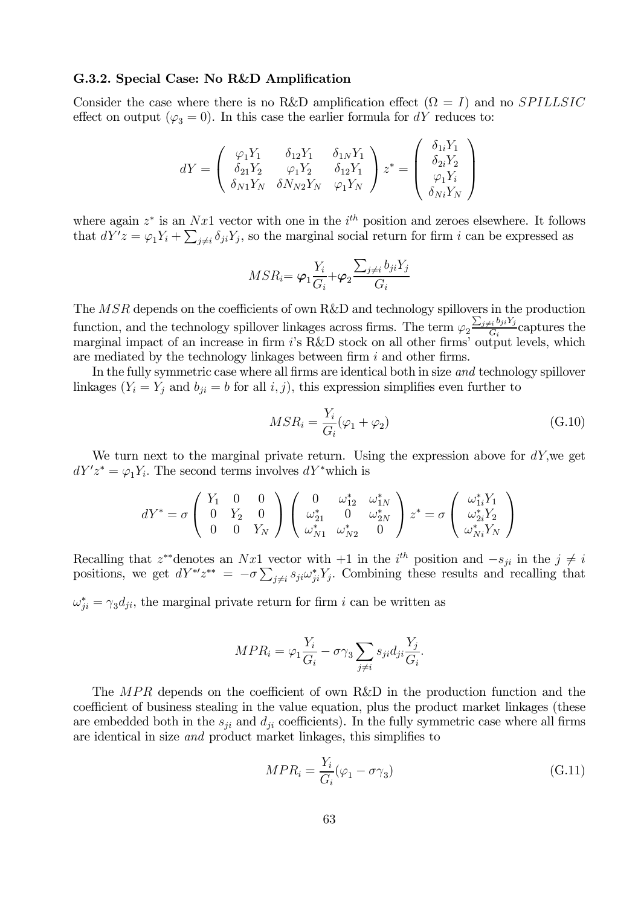## G.3.2. Special Case: No R&D Amplification

Consider the case where there is no R&D amplification effect  $(\Omega = I)$  and no SPILLSIC effect on output ( $\varphi_3 = 0$ ). In this case the earlier formula for dY reduces to:

$$
dY = \left( \begin{array}{ccc} \varphi_1 Y_1 & \delta_{12} Y_1 & \delta_{1N} Y_1 \\ \delta_{21} Y_2 & \varphi_1 Y_2 & \delta_{12} Y_1 \\ \delta_{N1} Y_N & \delta N_{N2} Y_N & \varphi_1 Y_N \end{array} \right) z^* = \left( \begin{array}{c} \delta_{1i} Y_1 \\ \delta_{2i} Y_2 \\ \varphi_1 Y_i \\ \delta_{Ni} Y_N \end{array} \right)
$$

where again  $z^*$  is an  $Nx1$  vector with one in the  $i^{th}$  position and zeroes elsewhere. It follows that  $dY'z = \varphi_1 Y_i + \sum_{j \neq i} \delta_{ji} Y_j$ , so the marginal social return for firm i can be expressed as

$$
MSR_i = \varphi_1 \frac{Y_i}{G_i} + \varphi_2 \frac{\sum_{j \neq i} b_{ji} Y_j}{G_i}
$$

The  $MSR$  depends on the coefficients of own R&D and technology spillovers in the production function, and the technology spillover linkages across firms. The term  $\varphi_2 \frac{\sum_{j\neq i} b_{ji} Y_j}{G_i}$  captures the marginal impact of an increase in firm i's R&D stock on all other firms' output levels, which are mediated by the technology linkages between firm  $i$  and other firms.

In the fully symmetric case where all firms are identical both in size and technology spillover linkages  $(Y_i = Y_j$  and  $b_{ji} = b$  for all  $i, j$ , this expression simplifies even further to

$$
MSR_i = \frac{Y_i}{G_i}(\varphi_1 + \varphi_2)
$$
\n(G.10)

We turn next to the marginal private return. Using the expression above for  $dY$ , we get  $dY'z^* = \varphi_1 Y_i$ . The second terms involves  $dY^*$  which is

$$
dY^* = \sigma \left( \begin{array}{ccc} Y_1 & 0 & 0 \\ 0 & Y_2 & 0 \\ 0 & 0 & Y_N \end{array} \right) \left( \begin{array}{ccc} 0 & \omega_{12}^* & \omega_{1N}^* \\ \omega_{21}^* & 0 & \omega_{2N}^* \\ \omega_{N1}^* & \omega_{N2}^* & 0 \end{array} \right) z^* = \sigma \left( \begin{array}{c} \omega_{1i}^*Y_1 \\ \omega_{2i}^*Y_2 \\ \omega_{Ni}^*Y_N \end{array} \right)
$$

Recalling that  $z^{**}$ denotes an  $Nx1$  vector with  $+1$  in the  $i^{th}$  position and  $-s_{ji}$  in the  $j \neq i$ positions, we get  $dY^{*\prime}z^{**} = -\sigma\sum_{j\neq i} s_{ji}\omega_{ji}^*Y_j$ . Combining these results and recalling that

 $\omega_{ji}^* = \gamma_3 d_{ji}$ , the marginal private return for firm *i* can be written as

$$
MPR_i = \varphi_1 \frac{Y_i}{G_i} - \sigma \gamma_3 \sum_{j \neq i} s_{ji} d_{ji} \frac{Y_j}{G_i}.
$$

The  $MPR$  depends on the coefficient of own R&D in the production function and the coefficient of business stealing in the value equation, plus the product market linkages (these are embedded both in the  $s_{ji}$  and  $d_{ji}$  coefficients). In the fully symmetric case where all firms are identical in size and product market linkages, this simplifies to

$$
MPR_i = \frac{Y_i}{G_i}(\varphi_1 - \sigma \gamma_3)
$$
\n(G.11)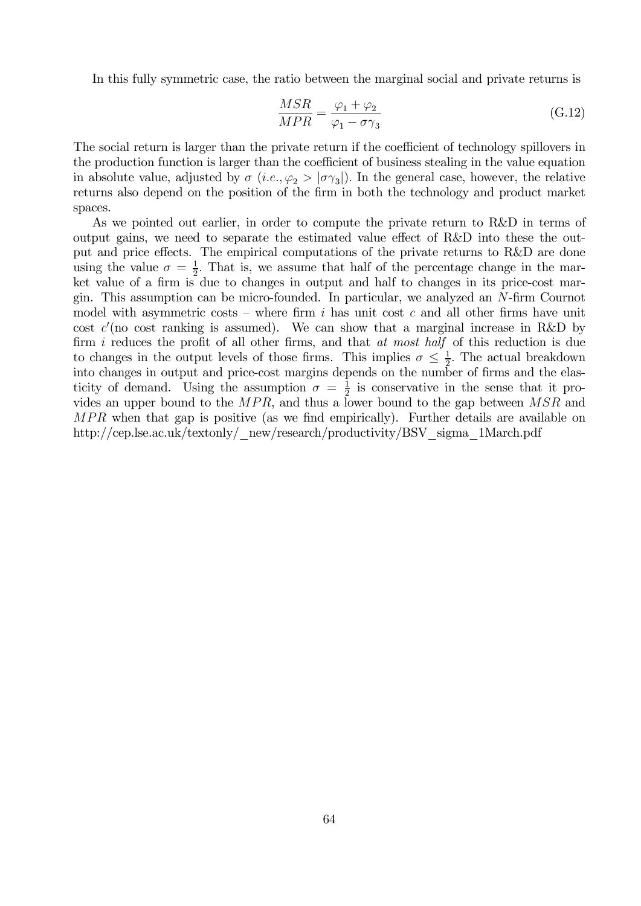In this fully symmetric case, the ratio between the marginal social and private returns is

$$
\frac{MSR}{MPR} = \frac{\varphi_1 + \varphi_2}{\varphi_1 - \sigma \gamma_3} \tag{G.12}
$$

The social return is larger than the private return if the coefficient of technology spillovers in the production function is larger than the coefficient of business stealing in the value equation in absolute value, adjusted by  $\sigma$  (*i.e.*,  $\varphi_2 > |\sigma \gamma_3|$ ). In the general case, however, the relative returns also depend on the position of the firm in both the technology and product market spaces.

As we pointed out earlier, in order to compute the private return to R&D in terms of output gains, we need to separate the estimated value effect of R&D into these the output and price effects. The empirical computations of the private returns to R&D are done using the value  $\sigma = \frac{1}{2}$ . That is, we assume that half of the percentage change in the market value of a firm is due to changes in output and half to changes in its price-cost margin. This assumption can be micro-founded. In particular, we analyzed an  $N$ -firm Cournot model with asymmetric costs – where firm  $i$  has unit cost  $c$  and all other firms have unit cost  $c'$  (no cost ranking is assumed). We can show that a marginal increase in R&D by firm i reduces the profit of all other firms, and that at most half of this reduction is due to changes in the output levels of those firms. This implies  $\sigma \leq \frac{1}{2}$ . The actual breakdown into changes in output and price-cost margins depends on the number of firms and the elasticity of demand. Using the assumption  $\sigma = \frac{1}{2}$  is conservative in the sense that it provides an upper bound to the  $MPR$ , and thus a lower bound to the gap between  $MSR$  and MPR when that gap is positive (as we find empirically). Further details are available on http://cep.lse.ac.uk/textonly/\_new/research/productivity/BSV\_sigma\_1March.pdf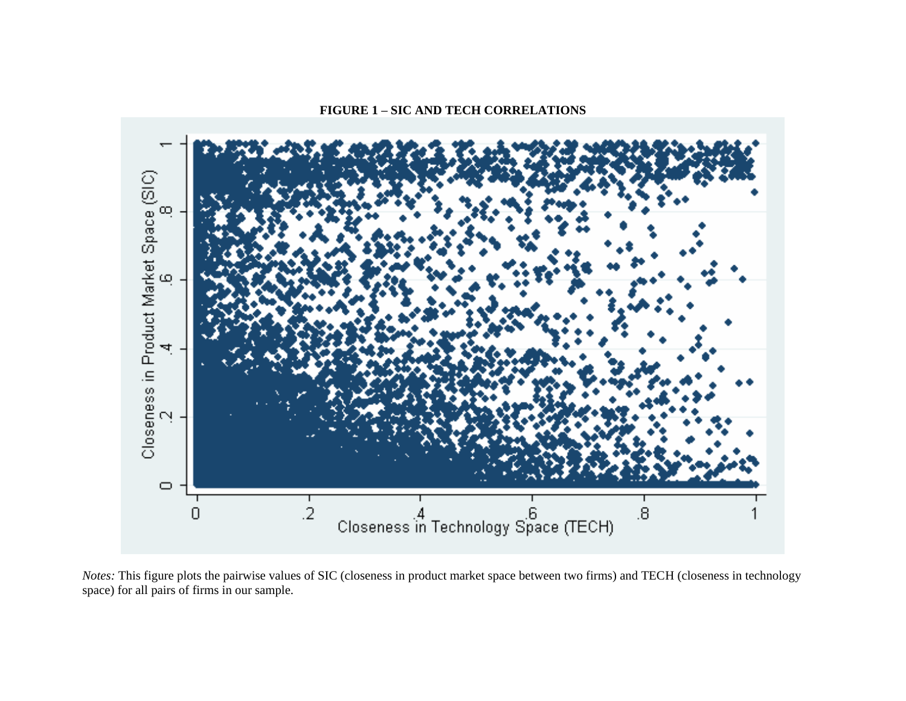# **FIGURE 1 – SIC AND TECH CORRELATIONS**



*Notes:* This figure plots the pairwise values of SIC (closeness in product market space between two firms) and TECH (closeness in technology space) for all pairs of firms in our sample.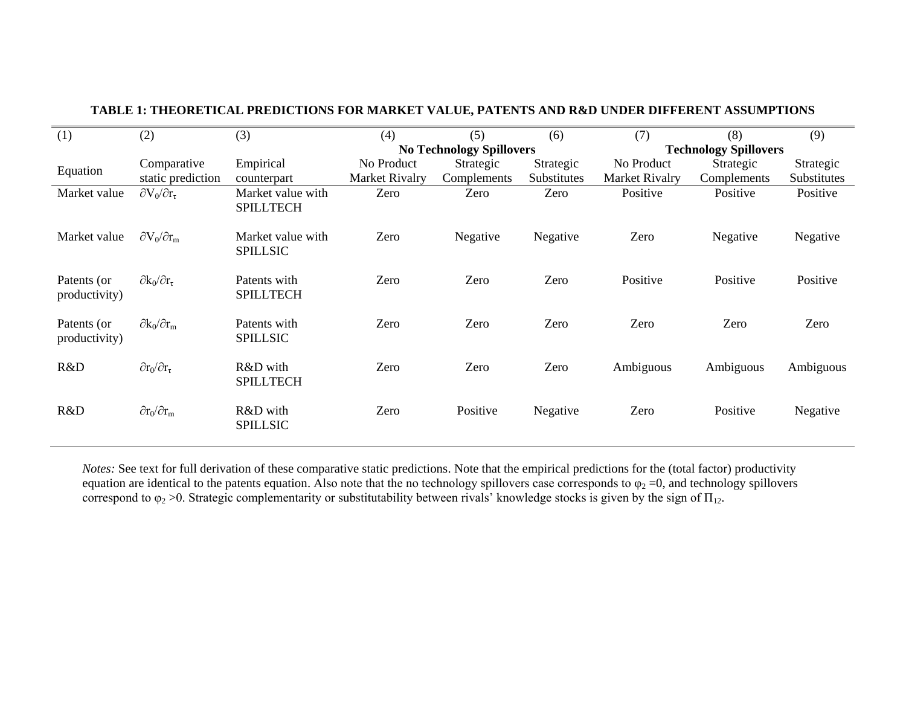| (1)                          | (2)                            | (3)                                   | (4)            | (5)                             | (6)         | (7)                          | (8)         | (9)         |  |
|------------------------------|--------------------------------|---------------------------------------|----------------|---------------------------------|-------------|------------------------------|-------------|-------------|--|
|                              |                                |                                       |                | <b>No Technology Spillovers</b> |             | <b>Technology Spillovers</b> |             |             |  |
| Equation                     | Comparative                    | Empirical                             | No Product     | Strategic                       | Strategic   | No Product                   | Strategic   | Strategic   |  |
|                              | static prediction              | counterpart                           | Market Rivalry | Complements                     | Substitutes | Market Rivalry               | Complements | Substitutes |  |
| Market value                 | $\partial V_0/\partial r_\tau$ | Market value with<br><b>SPILLTECH</b> | Zero           | Zero                            | Zero        | Positive                     | Positive    | Positive    |  |
| Market value                 | $\partial V_0/\partial r_m$    | Market value with<br><b>SPILLSIC</b>  | Zero           | Negative                        | Negative    | Zero                         | Negative    | Negative    |  |
| Patents (or<br>productivity) | $\partial k_0/\partial r_\tau$ | Patents with<br><b>SPILLTECH</b>      | Zero           | Zero                            | Zero        | Positive                     | Positive    | Positive    |  |
| Patents (or<br>productivity) | $\partial k_0/\partial r_m$    | Patents with<br><b>SPILLSIC</b>       | Zero           | Zero                            | Zero        | Zero                         | Zero        | Zero        |  |
| R&D                          | $\partial r_0/\partial r_\tau$ | R&D with<br><b>SPILLTECH</b>          | Zero           | Zero                            | Zero        | Ambiguous                    | Ambiguous   | Ambiguous   |  |
| R&D                          | $\partial r_0/\partial r_m$    | R&D with<br><b>SPILLSIC</b>           | Zero           | Positive                        | Negative    | Zero                         | Positive    | Negative    |  |

# **TABLE 1: THEORETICAL PREDICTIONS FOR MARKET VALUE, PATENTS AND R&D UNDER DIFFERENT ASSUMPTIONS**

*Notes:* See text for full derivation of these comparative static predictions. Note that the empirical predictions for the (total factor) productivity equation are identical to the patents equation. Also note that the no technology spillovers case corresponds to  $\varphi_2 = 0$ , and technology spillovers correspond to  $\varphi_2 > 0$ . Strategic complementarity or substitutability between rivals' knowledge stocks is given by the sign of  $\Pi_{12}$ .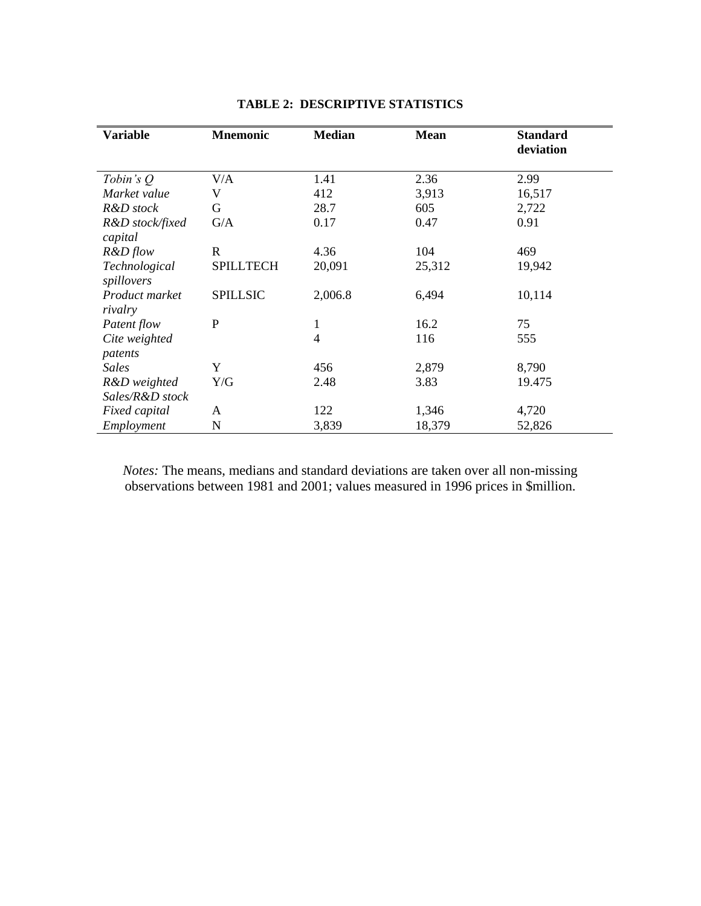| <b>Variable</b>             | <b>Mnemonic</b>  | <b>Median</b>  | <b>Mean</b> | <b>Standard</b><br>deviation |
|-----------------------------|------------------|----------------|-------------|------------------------------|
| Tobin's $Q$                 | V/A              | 1.41           | 2.36        | 2.99                         |
| Market value                | V                | 412            | 3,913       | 16,517                       |
| R&D stock                   | G                | 28.7           | 605         | 2,722                        |
| R&D stock/fixed<br>capital  | G/A              | 0.17           | 0.47        | 0.91                         |
| $R&D$ flow                  | R                | 4.36           | 104         | 469                          |
| Technological<br>spillovers | <b>SPILLTECH</b> | 20,091         | 25,312      | 19,942                       |
| Product market<br>rivalry   | <b>SPILLSIC</b>  | 2,006.8        | 6,494       | 10,114                       |
| Patent flow                 | P                | 1              | 16.2        | 75                           |
| Cite weighted<br>patents    |                  | $\overline{4}$ | 116         | 555                          |
| <b>Sales</b>                | Y                | 456            | 2,879       | 8,790                        |
| R&D weighted                | Y/G              | 2.48           | 3.83        | 19.475                       |
| Sales/R&D stock             |                  |                |             |                              |
| Fixed capital               | A                | 122            | 1,346       | 4,720                        |
| Employment                  | N                | 3,839          | 18,379      | 52,826                       |

# **TABLE 2: DESCRIPTIVE STATISTICS**

*Notes:* The means, medians and standard deviations are taken over all non-missing observations between 1981 and 2001; values measured in 1996 prices in \$million.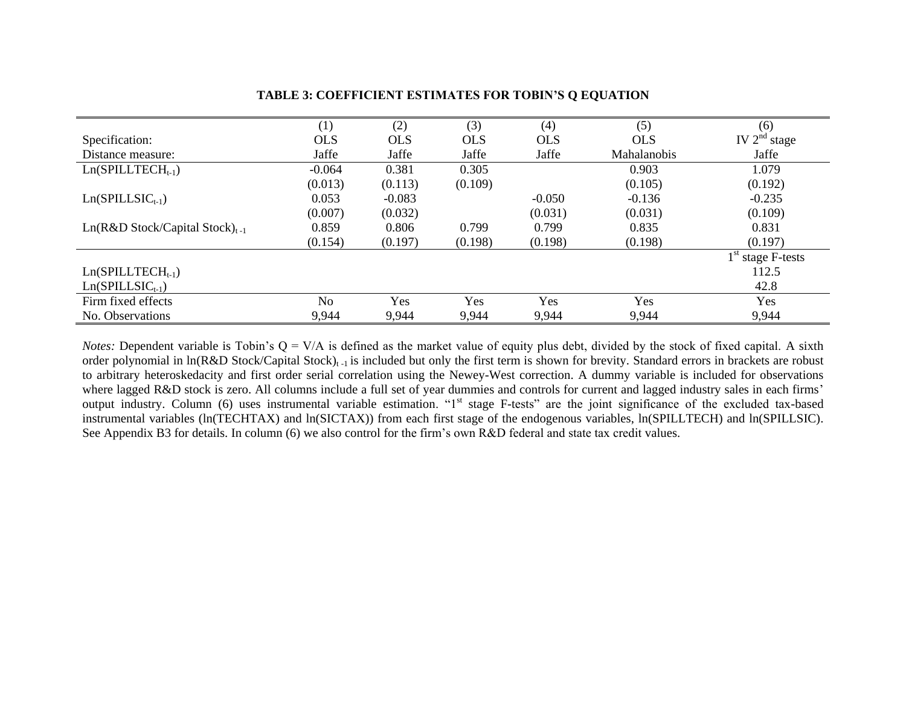|                                     | (1)            | (2)        | (3)        | (4)        | (5)                | (6)                 |
|-------------------------------------|----------------|------------|------------|------------|--------------------|---------------------|
| Specification:                      | <b>OLS</b>     | <b>OLS</b> | <b>OLS</b> | <b>OLS</b> | <b>OLS</b>         | IV $2^{nd}$ stage   |
| Distance measure:                   | Jaffe          | Jaffe      | Jaffe      | Jaffe      | <b>Mahalanobis</b> | Jaffe               |
| $Ln(SPILLTECHt-1)$                  | $-0.064$       | 0.381      | 0.305      |            | 0.903              | 1.079               |
|                                     | (0.013)        | (0.113)    | (0.109)    |            | (0.105)            | (0.192)             |
| $Ln(SPILLSIC_{t-1})$                | 0.053          | $-0.083$   |            | $-0.050$   | $-0.136$           | $-0.235$            |
|                                     | (0.007)        | (0.032)    |            | (0.031)    | (0.031)            | (0.109)             |
| $Ln(R&D Stock/Capital Stock)_{t-1}$ | 0.859          | 0.806      | 0.799      | 0.799      | 0.835              | 0.831               |
|                                     | (0.154)        | (0.197)    | (0.198)    | (0.198)    | (0.198)            | (0.197)             |
|                                     |                |            |            |            |                    | $1st$ stage F-tests |
| $Ln(SPILLTECHt-1)$                  |                |            |            |            |                    | 112.5               |
| $Ln(SPILLSIC_{t-1})$                |                |            |            |            |                    | 42.8                |
| Firm fixed effects                  | N <sub>o</sub> | Yes        | Yes        | Yes        | Yes                | <b>Yes</b>          |
| No. Observations                    | 9,944          | 9,944      | 9,944      | 9,944      | 9,944              | 9,944               |

# **TABLE 3: COEFFICIENT ESTIMATES FOR TOBIN'S Q EQUATION**

*Notes:* Dependent variable is Tobin's  $Q = V/A$  is defined as the market value of equity plus debt, divided by the stock of fixed capital. A sixth order polynomial in ln(R&D Stock/Capital Stock)<sub>t-1</sub> is included but only the first term is shown for brevity. Standard errors in brackets are robust to arbitrary heteroskedacity and first order serial correlation using the Newey-West correction. A dummy variable is included for observations where lagged R&D stock is zero. All columns include a full set of year dummies and controls for current and lagged industry sales in each firms' output industry. Column (6) uses instrumental variable estimation. "1st stage F-tests" are the joint significance of the excluded tax-based instrumental variables (ln(TECHTAX) and ln(SICTAX)) from each first stage of the endogenous variables, ln(SPILLTECH) and ln(SPILLSIC). See Appendix B3 for details. In column (6) we also control for the firm's own R&D federal and state tax credit values.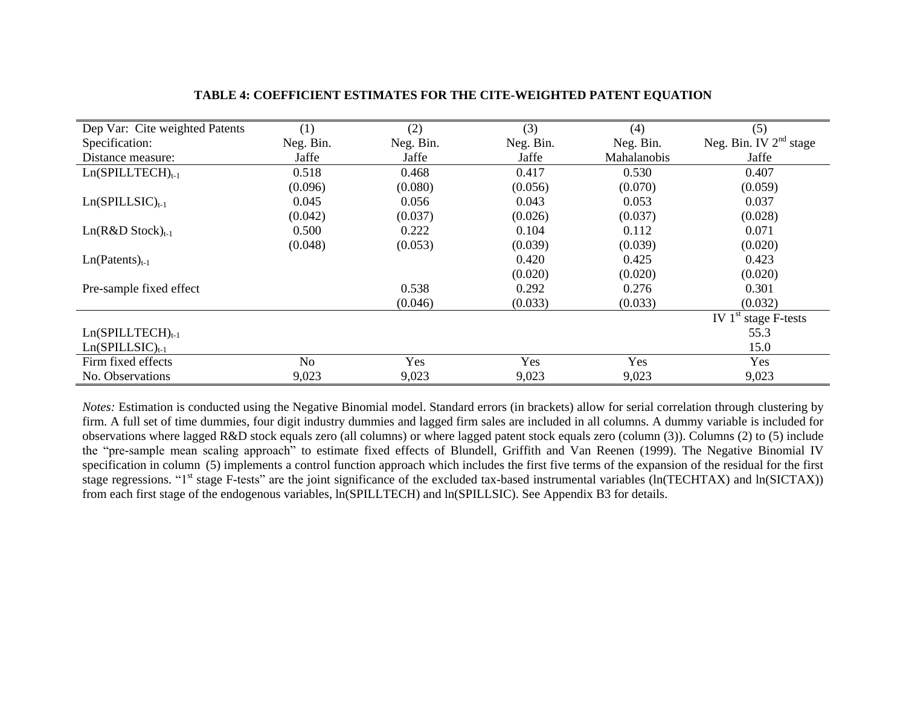| Dep Var: Cite weighted Patents | (1)       | (2)       | (3)       | (4)                | (5)                       |
|--------------------------------|-----------|-----------|-----------|--------------------|---------------------------|
| Specification:                 | Neg. Bin. | Neg. Bin. | Neg. Bin. | Neg. Bin.          | Neg. Bin. IV $2nd$ stage  |
| Distance measure:              | Jaffe     | Jaffe     | Jaffe     | <b>Mahalanobis</b> | Jaffe                     |
| $Ln(SPILLTECH)_{t-1}$          | 0.518     | 0.468     | 0.417     | 0.530              | 0.407                     |
|                                | (0.096)   | (0.080)   | (0.056)   | (0.070)            | (0.059)                   |
| $Ln(SPILLSIC)_{t-1}$           | 0.045     | 0.056     | 0.043     | 0.053              | 0.037                     |
|                                | (0.042)   | (0.037)   | (0.026)   | (0.037)            | (0.028)                   |
| $Ln(R&D Stock)_{t-1}$          | 0.500     | 0.222     | 0.104     | 0.112              | 0.071                     |
|                                | (0.048)   | (0.053)   | (0.039)   | (0.039)            | (0.020)                   |
| $Ln(Patents)_{t-1}$            |           |           | 0.420     | 0.425              | 0.423                     |
|                                |           |           | (0.020)   | (0.020)            | (0.020)                   |
| Pre-sample fixed effect        |           | 0.538     | 0.292     | 0.276              | 0.301                     |
|                                |           | (0.046)   | (0.033)   | (0.033)            | (0.032)                   |
|                                |           |           |           |                    | IV $1st$<br>stage F-tests |
| $Ln(SPILLTECH)_{t-1}$          |           |           |           |                    | 55.3                      |
| $Ln(SPILLSIC)_{t-1}$           |           |           |           |                    | 15.0                      |
| Firm fixed effects             | No        | Yes       | Yes       | Yes                | Yes                       |
| No. Observations               | 9,023     | 9,023     | 9,023     | 9,023              | 9,023                     |

# **TABLE 4: COEFFICIENT ESTIMATES FOR THE CITE-WEIGHTED PATENT EQUATION**

*Notes:* Estimation is conducted using the Negative Binomial model. Standard errors (in brackets) allow for serial correlation through clustering by firm. A full set of time dummies, four digit industry dummies and lagged firm sales are included in all columns. A dummy variable is included for observations where lagged R&D stock equals zero (all columns) or where lagged patent stock equals zero (column (3)). Columns (2) to (5) include the "pre-sample mean scaling approach" to estimate fixed effects of Blundell, Griffith and Van Reenen (1999). The Negative Binomial IV specification in column (5) implements a control function approach which includes the first five terms of the expansion of the residual for the first stage regressions. "1<sup>st</sup> stage F-tests" are the joint significance of the excluded tax-based instrumental variables  $(\ln(TECHTAX))$  and  $\ln(SICTAX))$ from each first stage of the endogenous variables, ln(SPILLTECH) and ln(SPILLSIC). See Appendix B3 for details.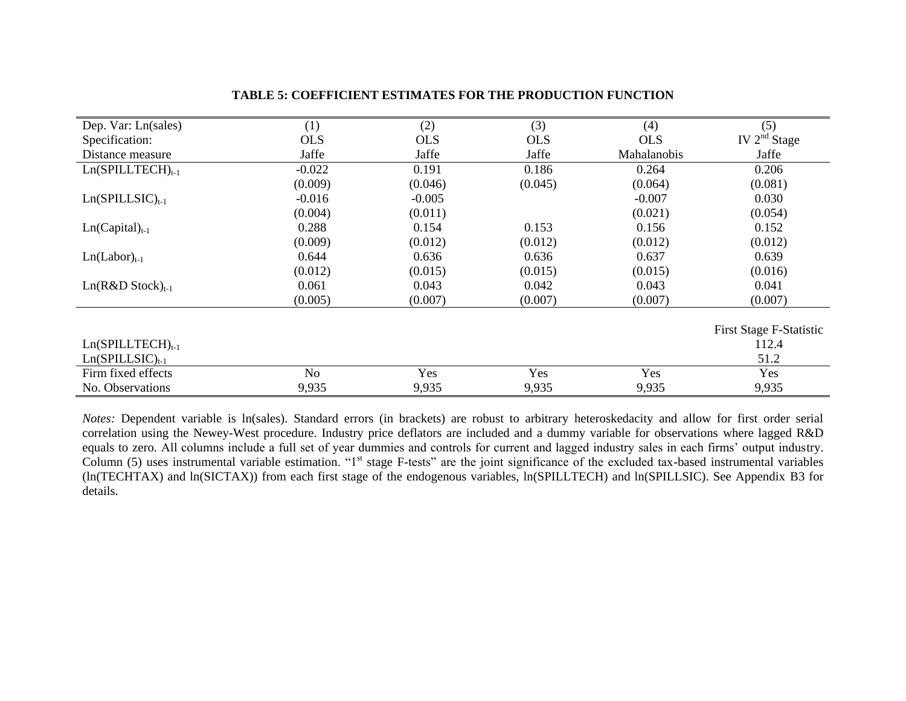| Dep. Var: Ln(sales)   | (1)            | (2)        | (3)        | (4)         | (5)                     |
|-----------------------|----------------|------------|------------|-------------|-------------------------|
| Specification:        | <b>OLS</b>     | <b>OLS</b> | <b>OLS</b> | <b>OLS</b>  | IV $2nd$ Stage          |
| Distance measure      | Jaffe          | Jaffe      | Jaffe      | Mahalanobis | Jaffe                   |
| $Ln(SPILLTECH)_{t-1}$ | $-0.022$       | 0.191      | 0.186      | 0.264       | 0.206                   |
|                       | (0.009)        | (0.046)    | (0.045)    | (0.064)     | (0.081)                 |
| $Ln(SPILLSIC)_{t-1}$  | $-0.016$       | $-0.005$   |            | $-0.007$    | 0.030                   |
|                       | (0.004)        | (0.011)    |            | (0.021)     | (0.054)                 |
| $Ln(Capital)_{t-1}$   | 0.288          | 0.154      | 0.153      | 0.156       | 0.152                   |
|                       | (0.009)        | (0.012)    | (0.012)    | (0.012)     | (0.012)                 |
| $Ln(Labor)_{t-1}$     | 0.644          | 0.636      | 0.636      | 0.637       | 0.639                   |
|                       | (0.012)        | (0.015)    | (0.015)    | (0.015)     | (0.016)                 |
| $Ln(R&D Stock)_{t-1}$ | 0.061          | 0.043      | 0.042      | 0.043       | 0.041                   |
|                       | (0.005)        | (0.007)    | (0.007)    | (0.007)     | (0.007)                 |
|                       |                |            |            |             | First Stage F-Statistic |
| $Ln(SPILLTECH)_{t-1}$ |                |            |            |             | 112.4                   |
| $Ln(SPILLSIC)_{t-1}$  |                |            |            |             | 51.2                    |
| Firm fixed effects    | N <sub>o</sub> | Yes        | Yes        | Yes         | Yes                     |
| No. Observations      | 9,935          | 9,935      | 9,935      | 9,935       | 9,935                   |

## **TABLE 5: COEFFICIENT ESTIMATES FOR THE PRODUCTION FUNCTION**

*Notes:* Dependent variable is ln(sales). Standard errors (in brackets) are robust to arbitrary heteroskedacity and allow for first order serial correlation using the Newey-West procedure. Industry price deflators are included and a dummy variable for observations where lagged R&D equals to zero. All columns include a full set of year dummies and controls for current and lagged industry sales in each firms' output industry. Column (5) uses instrumental variable estimation. "1<sup>st</sup> stage F-tests" are the joint significance of the excluded tax-based instrumental variables (ln(TECHTAX) and ln(SICTAX)) from each first stage of the endogenous variables, ln(SPILLTECH) and ln(SPILLSIC). See Appendix B3 for details.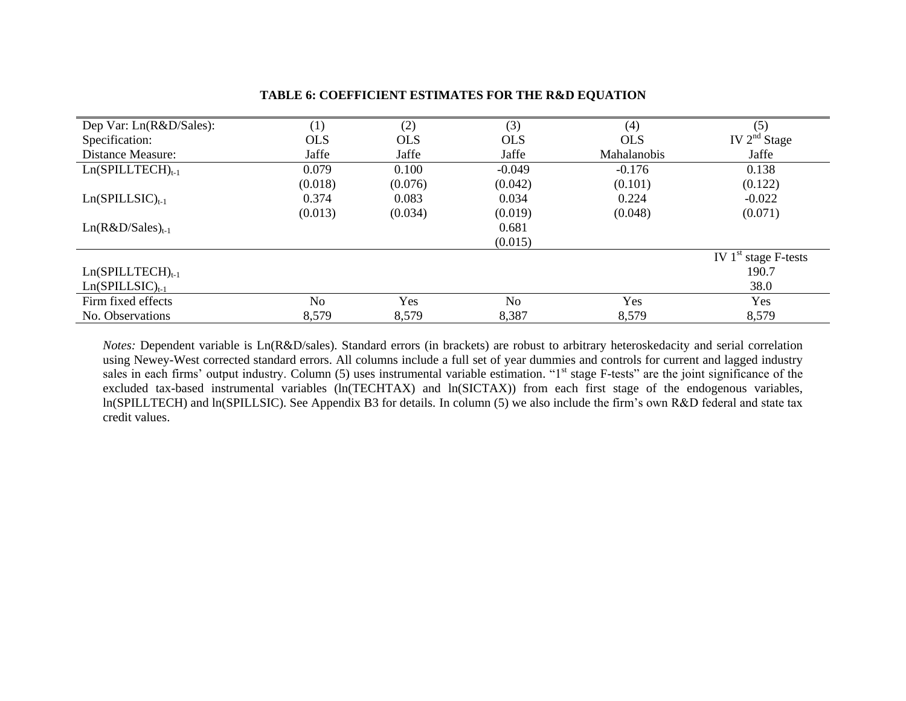| Dep Var: Ln(R&D/Sales):  | (1)        | (2)        | (3)        | (4)                | (5)                    |
|--------------------------|------------|------------|------------|--------------------|------------------------|
| Specification:           | <b>OLS</b> | <b>OLS</b> | <b>OLS</b> | <b>OLS</b>         | IV $2nd$ Stage         |
| <b>Distance Measure:</b> | Jaffe      | Jaffe      | Jaffe      | <b>Mahalanobis</b> | Jaffe                  |
| $Ln(SPILLTECH)_{t-1}$    | 0.079      | 0.100      | $-0.049$   | $-0.176$           | 0.138                  |
|                          | (0.018)    | (0.076)    | (0.042)    | (0.101)            | (0.122)                |
| $Ln(SPILLSIC)_{t-1}$     | 0.374      | 0.083      | 0.034      | 0.224              | $-0.022$               |
|                          | (0.013)    | (0.034)    | (0.019)    | (0.048)            | (0.071)                |
| $Ln(R&D/Sales)_{t-1}$    |            |            | 0.681      |                    |                        |
|                          |            |            | (0.015)    |                    |                        |
|                          |            |            |            |                    | IV $1st$ stage F-tests |
| $Ln(SPILLTECH)_{t-1}$    |            |            |            |                    | 190.7                  |
| $Ln(SPILLSIC)_{t-1}$     |            |            |            |                    | 38.0                   |
| Firm fixed effects       | No         | Yes        | No         | Yes                | <b>Yes</b>             |
| No. Observations         | 8,579      | 8,579      | 8,387      | 8,579              | 8,579                  |

# **TABLE 6: COEFFICIENT ESTIMATES FOR THE R&D EQUATION**

*Notes:* Dependent variable is Ln(R&D/sales). Standard errors (in brackets) are robust to arbitrary heteroskedacity and serial correlation using Newey-West corrected standard errors. All columns include a full set of year dummies and controls for current and lagged industry sales in each firms' output industry. Column (5) uses instrumental variable estimation. "1<sup>st</sup> stage F-tests" are the joint significance of the excluded tax-based instrumental variables (ln(TECHTAX) and ln(SICTAX)) from each first stage of the endogenous variables, ln(SPILLTECH) and ln(SPILLSIC). See Appendix B3 for details. In column (5) we also include the firm's own R&D federal and state tax credit values.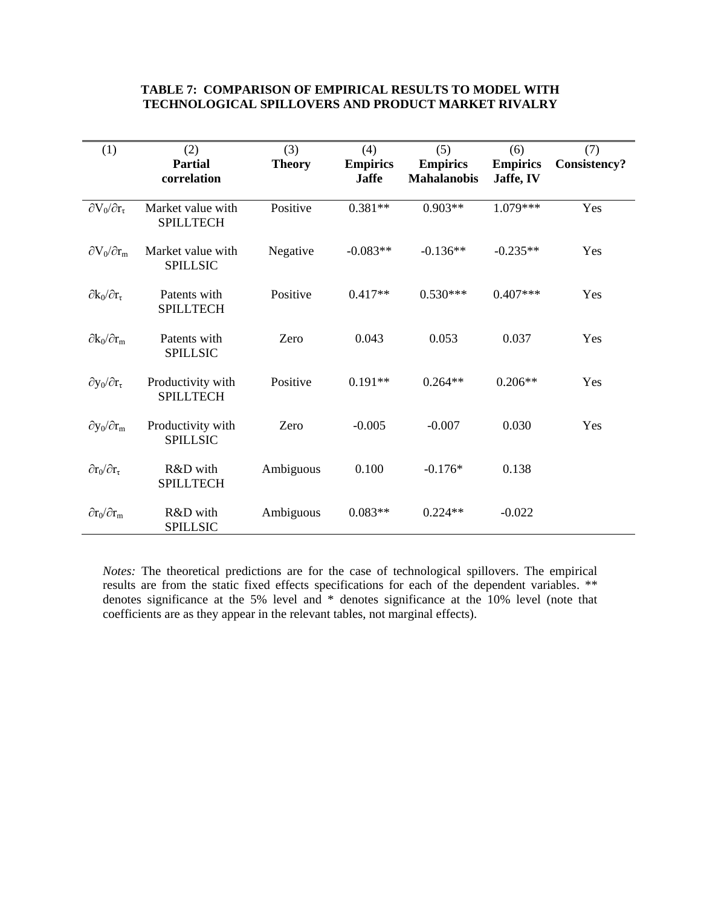## **TABLE 7: COMPARISON OF EMPIRICAL RESULTS TO MODEL WITH TECHNOLOGICAL SPILLOVERS AND PRODUCT MARKET RIVALRY**

| (1)                            | (2)<br><b>Partial</b><br>correlation  | (3)<br><b>Theory</b> | (4)<br><b>Empirics</b><br><b>Jaffe</b> | (5)<br><b>Empirics</b><br><b>Mahalanobis</b> | (6)<br><b>Empirics</b><br>Jaffe, IV | (7)<br><b>Consistency?</b> |
|--------------------------------|---------------------------------------|----------------------|----------------------------------------|----------------------------------------------|-------------------------------------|----------------------------|
| $\partial V_0/\partial r_\tau$ | Market value with<br><b>SPILLTECH</b> | Positive             | $0.381**$                              | $0.903**$                                    | 1.079***                            | Yes                        |
| $\partial V_0/\partial r_m$    | Market value with<br><b>SPILLSIC</b>  | Negative             | $-0.083**$                             | $-0.136**$                                   | $-0.235**$                          | Yes                        |
| $\partial k_0/\partial r_\tau$ | Patents with<br><b>SPILLTECH</b>      | Positive             | $0.417**$                              | $0.530***$                                   | $0.407***$                          | Yes                        |
| $\partial k_0/\partial r_m$    | Patents with<br><b>SPILLSIC</b>       | Zero                 | 0.043                                  | 0.053                                        | 0.037                               | Yes                        |
| $\partial y_0/\partial r_\tau$ | Productivity with<br><b>SPILLTECH</b> | Positive             | $0.191**$                              | $0.264**$                                    | $0.206**$                           | Yes                        |
| $\partial y_0/\partial r_m$    | Productivity with<br><b>SPILLSIC</b>  | Zero                 | $-0.005$                               | $-0.007$                                     | 0.030                               | Yes                        |
| $\partial r_0/\partial r_\tau$ | R&D with<br><b>SPILLTECH</b>          | Ambiguous            | 0.100                                  | $-0.176*$                                    | 0.138                               |                            |
| $\partial r_0/\partial r_m$    | R&D with<br><b>SPILLSIC</b>           | Ambiguous            | $0.083**$                              | $0.224**$                                    | $-0.022$                            |                            |

*Notes:* The theoretical predictions are for the case of technological spillovers. The empirical results are from the static fixed effects specifications for each of the dependent variables. \*\* denotes significance at the 5% level and \* denotes significance at the 10% level (note that coefficients are as they appear in the relevant tables, not marginal effects).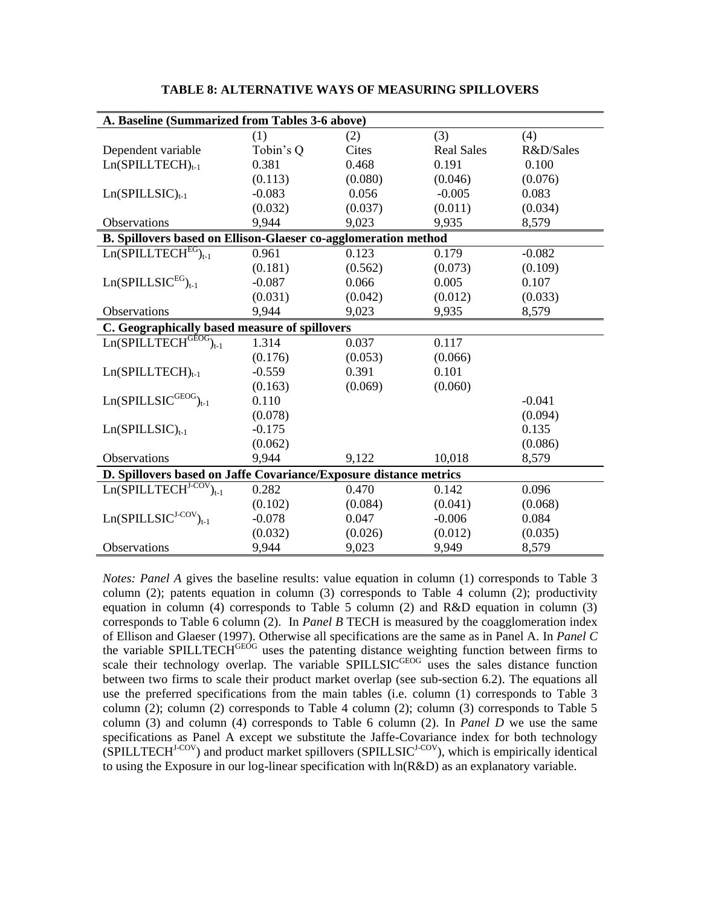| A. Baseline (Summarized from Tables 3-6 above)                    |           |         |                   |           |  |  |
|-------------------------------------------------------------------|-----------|---------|-------------------|-----------|--|--|
|                                                                   | (1)       | (2)     | (3)               | (4)       |  |  |
| Dependent variable                                                | Tobin's Q | Cites   | <b>Real Sales</b> | R&D/Sales |  |  |
| $Ln(SPILLTECH)_{t-1}$                                             | 0.381     | 0.468   | 0.191             | 0.100     |  |  |
|                                                                   | (0.113)   | (0.080) | (0.046)           | (0.076)   |  |  |
| $Ln(SPILLSIC)_{t-1}$                                              | $-0.083$  | 0.056   | $-0.005$          | 0.083     |  |  |
|                                                                   | (0.032)   | (0.037) | (0.011)           | (0.034)   |  |  |
| Observations                                                      | 9,944     | 9,023   | 9,935             | 8,579     |  |  |
| B. Spillovers based on Ellison-Glaeser co-agglomeration method    |           |         |                   |           |  |  |
| $Ln(SPILLTECHEG)t-1$                                              | 0.961     | 0.123   | 0.179             | $-0.082$  |  |  |
|                                                                   | (0.181)   | (0.562) | (0.073)           | (0.109)   |  |  |
| $Ln(SPILLSICEG)t-1$                                               | $-0.087$  | 0.066   | 0.005             | 0.107     |  |  |
|                                                                   | (0.031)   | (0.042) | (0.012)           | (0.033)   |  |  |
| Observations                                                      | 9,944     | 9,023   | 9,935             | 8,579     |  |  |
| C. Geographically based measure of spillovers                     |           |         |                   |           |  |  |
| $Ln(SPILLTECH^{GEOG})_{t-1}$                                      | 1.314     | 0.037   | 0.117             |           |  |  |
|                                                                   | (0.176)   | (0.053) | (0.066)           |           |  |  |
| $Ln(SPILLTECH)t-1$                                                | $-0.559$  | 0.391   | 0.101             |           |  |  |
|                                                                   | (0.163)   | (0.069) | (0.060)           |           |  |  |
| $Ln(SPILLSIC^{GEOG})_{t-1}$                                       | 0.110     |         |                   | $-0.041$  |  |  |
|                                                                   | (0.078)   |         |                   | (0.094)   |  |  |
| $Ln(SPILLSIC)_{t-1}$                                              | $-0.175$  |         |                   | 0.135     |  |  |
|                                                                   | (0.062)   |         |                   | (0.086)   |  |  |
| Observations                                                      | 9,944     | 9,122   | 10,018            | 8,579     |  |  |
| D. Spillovers based on Jaffe Covariance/Exposure distance metrics |           |         |                   |           |  |  |
| $Ln(SPILLTECH^{J-COV})_{t-1}$                                     | 0.282     | 0.470   | 0.142             | 0.096     |  |  |
|                                                                   | (0.102)   | (0.084) | (0.041)           | (0.068)   |  |  |
| $Ln(SPILLSICJ-COV)t-1$                                            | $-0.078$  | 0.047   | $-0.006$          | 0.084     |  |  |
|                                                                   | (0.032)   | (0.026) | (0.012)           | (0.035)   |  |  |
| <b>Observations</b>                                               | 9,944     | 9,023   | 9,949             | 8,579     |  |  |

**TABLE 8: ALTERNATIVE WAYS OF MEASURING SPILLOVERS**

*Notes: Panel A* gives the baseline results: value equation in column (1) corresponds to Table 3 column (2); patents equation in column (3) corresponds to Table 4 column (2); productivity equation in column (4) corresponds to Table 5 column (2) and R&D equation in column (3) corresponds to Table 6 column (2). In *Panel B* TECH is measured by the coagglomeration index of Ellison and Glaeser (1997). Otherwise all specifications are the same as in Panel A. In *Panel C* the variable SPILLTECH<sup>GEÓG</sup> uses the patenting distance weighting function between firms to scale their technology overlap. The variable SPILLSIC<sup>GEOG</sup> uses the sales distance function between two firms to scale their product market overlap (see sub-section 6.2). The equations all use the preferred specifications from the main tables (i.e. column (1) corresponds to Table 3 column (2); column (2) corresponds to Table 4 column (2); column (3) corresponds to Table 5 column (3) and column (4) corresponds to Table 6 column (2). In *Panel D* we use the same specifications as Panel A except we substitute the Jaffe-Covariance index for both technology  $(SPILLTECH<sup>J-COV</sup>)$  and product market spillovers (SPILLSIC<sup>J-COV</sup>), which is empirically identical to using the Exposure in our log-linear specification with ln(R&D) as an explanatory variable.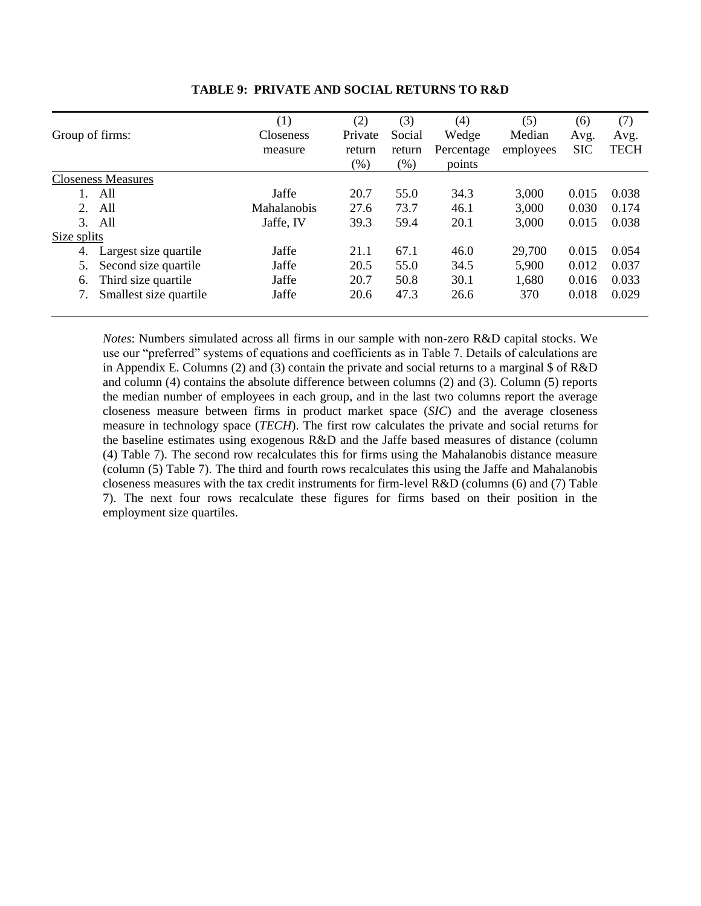|                             | (1)              | (2)     | (3)    | (4)        | (5)       | (6)        | (7)         |
|-----------------------------|------------------|---------|--------|------------|-----------|------------|-------------|
| Group of firms:             | <b>Closeness</b> | Private | Social | Wedge      | Median    | Avg.       | Avg.        |
|                             | measure          | return  | return | Percentage | employees | <b>SIC</b> | <b>TECH</b> |
|                             |                  | (%)     | $(\%)$ | points     |           |            |             |
| <b>Closeness Measures</b>   |                  |         |        |            |           |            |             |
| All                         | Jaffe            | 20.7    | 55.0   | 34.3       | 3,000     | 0.015      | 0.038       |
| All<br>2.                   | Mahalanobis      | 27.6    | 73.7   | 46.1       | 3,000     | 0.030      | 0.174       |
| All<br>3.                   | Jaffe, IV        | 39.3    | 59.4   | 20.1       | 3,000     | 0.015      | 0.038       |
| Size splits                 |                  |         |        |            |           |            |             |
| Largest size quartile<br>4. | Jaffe            | 21.1    | 67.1   | 46.0       | 29,700    | 0.015      | 0.054       |
| Second size quartile<br>5.  | Jaffe            | 20.5    | 55.0   | 34.5       | 5,900     | 0.012      | 0.037       |
| Third size quartile<br>6.   | Jaffe            | 20.7    | 50.8   | 30.1       | 1,680     | 0.016      | 0.033       |
| Smallest size quartile      | Jaffe            | 20.6    | 47.3   | 26.6       | 370       | 0.018      | 0.029       |

### **TABLE 9: PRIVATE AND SOCIAL RETURNS TO R&D**

*Notes*: Numbers simulated across all firms in our sample with non-zero R&D capital stocks. We use our "preferred" systems of equations and coefficients as in Table 7. Details of calculations are in Appendix E. Columns (2) and (3) contain the private and social returns to a marginal \$ of R&D and column (4) contains the absolute difference between columns (2) and (3). Column (5) reports the median number of employees in each group, and in the last two columns report the average closeness measure between firms in product market space (*SIC*) and the average closeness measure in technology space (*TECH*). The first row calculates the private and social returns for the baseline estimates using exogenous R&D and the Jaffe based measures of distance (column (4) Table 7). The second row recalculates this for firms using the Mahalanobis distance measure (column (5) Table 7). The third and fourth rows recalculates this using the Jaffe and Mahalanobis closeness measures with the tax credit instruments for firm-level R&D (columns (6) and (7) Table 7). The next four rows recalculate these figures for firms based on their position in the employment size quartiles.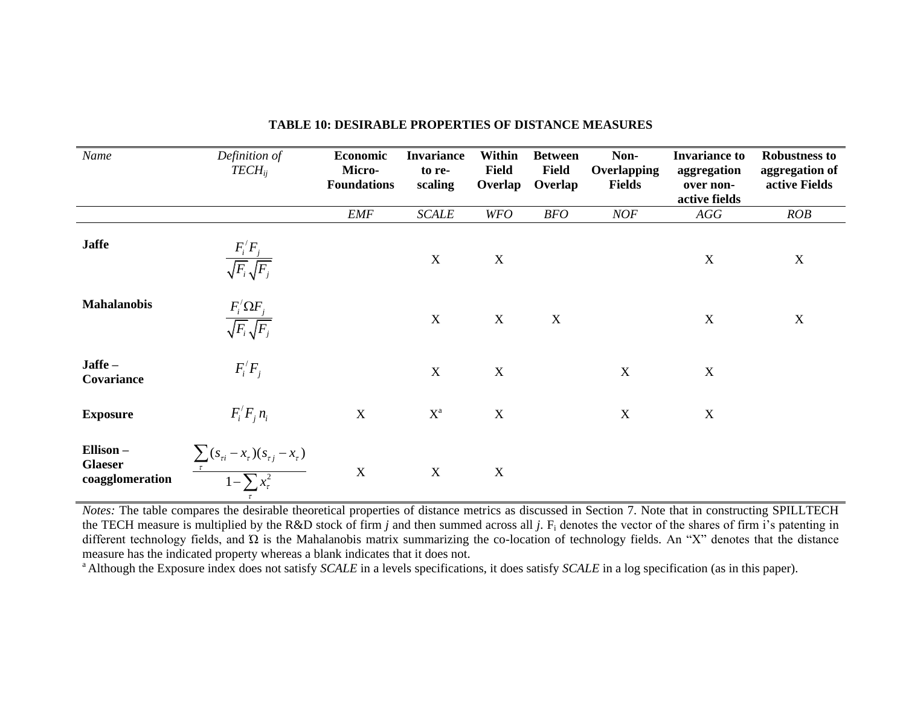| Name                                          | Definition of<br>$TECH_{ii}$                                                      | Economic<br>Micro-<br><b>Foundations</b> | <b>Invariance</b><br>to re-<br>scaling | <b>Within</b><br><b>Field</b><br>Overlap | <b>Between</b><br><b>Field</b><br>Overlap | Non-<br><b>Overlapping</b><br><b>Fields</b> | <b>Invariance to</b><br>aggregation<br>over non-<br>active fields | <b>Robustness to</b><br>aggregation of<br>active Fields |
|-----------------------------------------------|-----------------------------------------------------------------------------------|------------------------------------------|----------------------------------------|------------------------------------------|-------------------------------------------|---------------------------------------------|-------------------------------------------------------------------|---------------------------------------------------------|
|                                               |                                                                                   | <b>EMF</b>                               | <b>SCALE</b>                           | <b>WFO</b>                               | <b>BFO</b>                                | <b>NOF</b>                                  | AGG                                                               | ROB                                                     |
| <b>Jaffe</b>                                  | $\frac{F_i^{\prime}F_j}{\sqrt{F_i}\sqrt{F_j}}$                                    |                                          | X                                      | $\mathbf X$                              |                                           |                                             | $\mathbf X$                                                       | $\mathbf X$                                             |
| <b>Mahalanobis</b>                            | $\frac{F_i' \Omega F_j}{\sqrt{F_i} \sqrt{F_j}}$                                   |                                          | X                                      | $\mathbf X$                              | $\mathbf X$                               |                                             | $\mathbf X$                                                       | $\mathbf X$                                             |
| Jaffe-<br>Covariance                          | $F_i/F_j$                                                                         |                                          | $\mathbf X$                            | $\mathbf X$                              |                                           | $\mathbf X$                                 | $\mathbf X$                                                       |                                                         |
| <b>Exposure</b>                               | $F_i/F_i n_i$                                                                     | $\mathbf X$                              | $X^a$                                  | $\mathbf X$                              |                                           | $\mathbf X$                                 | $\mathbf X$                                                       |                                                         |
| Ellison-<br><b>Glaeser</b><br>coagglomeration | $\frac{\sum_{\tau}(s_{\tau i}-x_{\tau})(s_{\tau j}-x_{\tau})}{1-\sum x_{\tau}^2}$ | $\mathbf X$                              | $\mathbf X$                            | $\mathbf X$                              |                                           |                                             |                                                                   |                                                         |

## **TABLE 10: DESIRABLE PROPERTIES OF DISTANCE MEASURES**

*Notes:* The table compares the desirable theoretical properties of distance metrics as discussed in Section 7. Note that in constructing SPILLTECH the TECH measure is multiplied by the R&D stock of firm *j* and then summed across all *j*. F<sub>i</sub> denotes the vector of the shares of firm i's patenting in different technology fields, and  $\Omega$  is the Mahalanobis matrix summarizing the co-location of technology fields. An "X" denotes that the distance measure has the indicated property whereas a blank indicates that it does not.

<sup>a</sup> Although the Exposure index does not satisfy *SCALE* in a levels specifications, it does satisfy *SCALE* in a log specification (as in this paper).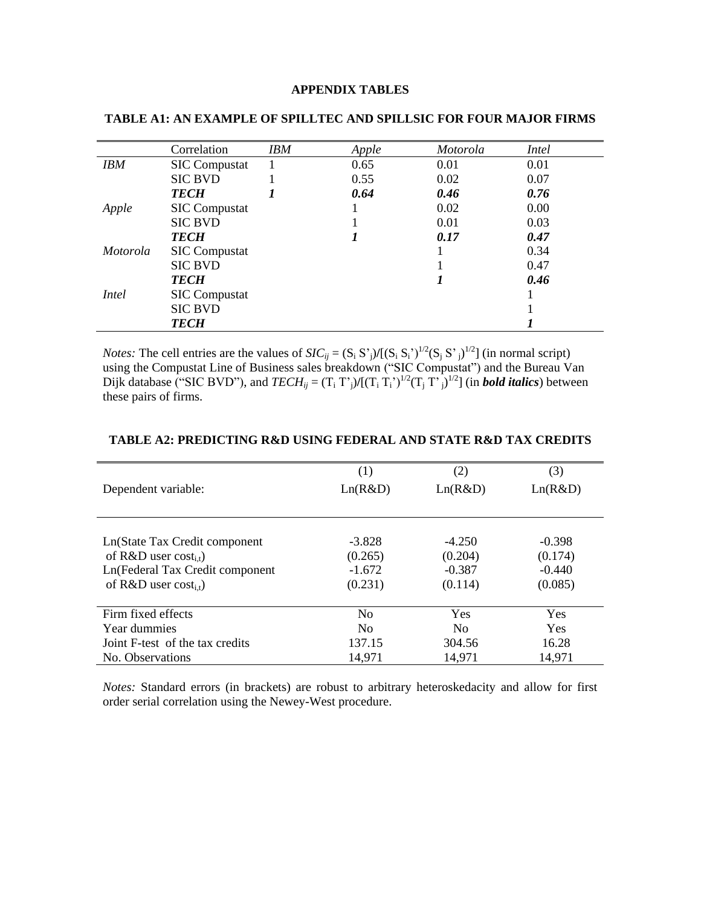# **APPENDIX TABLES**

|                 | Correlation          | <b>IBM</b> | Apple | <i>Motorola</i> | Intel |
|-----------------|----------------------|------------|-------|-----------------|-------|
| <b>IBM</b>      | <b>SIC Compustat</b> |            | 0.65  | 0.01            | 0.01  |
|                 | <b>SIC BVD</b>       |            | 0.55  | 0.02            | 0.07  |
|                 | <b>TECH</b>          |            | 0.64  | 0.46            | 0.76  |
| Apple           | <b>SIC Compustat</b> |            |       | 0.02            | 0.00  |
|                 | <b>SIC BVD</b>       |            |       | 0.01            | 0.03  |
|                 | <b>TECH</b>          |            |       | 0.17            | 0.47  |
| <i>Motorola</i> | <b>SIC Compustat</b> |            |       |                 | 0.34  |
|                 | <b>SIC BVD</b>       |            |       |                 | 0.47  |
|                 | <b>TECH</b>          |            |       |                 | 0.46  |
| <i>Intel</i>    | <b>SIC</b> Compustat |            |       |                 |       |
|                 | <b>SIC BVD</b>       |            |       |                 |       |
|                 | <b>TECH</b>          |            |       |                 |       |

#### **TABLE A1: AN EXAMPLE OF SPILLTEC AND SPILLSIC FOR FOUR MAJOR FIRMS**

*Notes:* The cell entries are the values of  $SIC_{ij} = (S_i S_j)/[(S_i S_i)^{1/2}(S_j S_j)^{1/2}]$  (in normal script) using the Compustat Line of Business sales breakdown ("SIC Compustat") and the Bureau Van Dijk database ("SIC BVD"), and  $TECH_{ij} = (T_i T_j)/[(T_i T_i')^{1/2}(T_j T_j)^{1/2}]$  (in **bold italics**) between these pairs of firms.

| Dependent variable:                                                                                                          | $\left(1\right)$<br>Ln(R&D)                | (2)<br>Ln(R&D)                             | (3)<br>Ln(R&D)                             |
|------------------------------------------------------------------------------------------------------------------------------|--------------------------------------------|--------------------------------------------|--------------------------------------------|
| Ln(State Tax Credit component<br>of R&D user $cost_{i,t}$ )<br>Ln(Federal Tax Credit component<br>of R&D user $cost_{i,t}$ ) | $-3.828$<br>(0.265)<br>$-1.672$<br>(0.231) | $-4.250$<br>(0.204)<br>$-0.387$<br>(0.114) | $-0.398$<br>(0.174)<br>$-0.440$<br>(0.085) |
| Firm fixed effects                                                                                                           | N <sub>0</sub>                             | Yes                                        | Yes                                        |
| Year dummies                                                                                                                 | N <sub>0</sub>                             | N <sub>0</sub>                             | <b>Yes</b>                                 |
| Joint F-test of the tax credits                                                                                              | 137.15                                     | 304.56                                     | 16.28                                      |
| No. Observations                                                                                                             | 14,971                                     | 14,971                                     | 14,971                                     |

# **TABLE A2: PREDICTING R&D USING FEDERAL AND STATE R&D TAX CREDITS**

*Notes:* Standard errors (in brackets) are robust to arbitrary heteroskedacity and allow for first order serial correlation using the Newey-West procedure.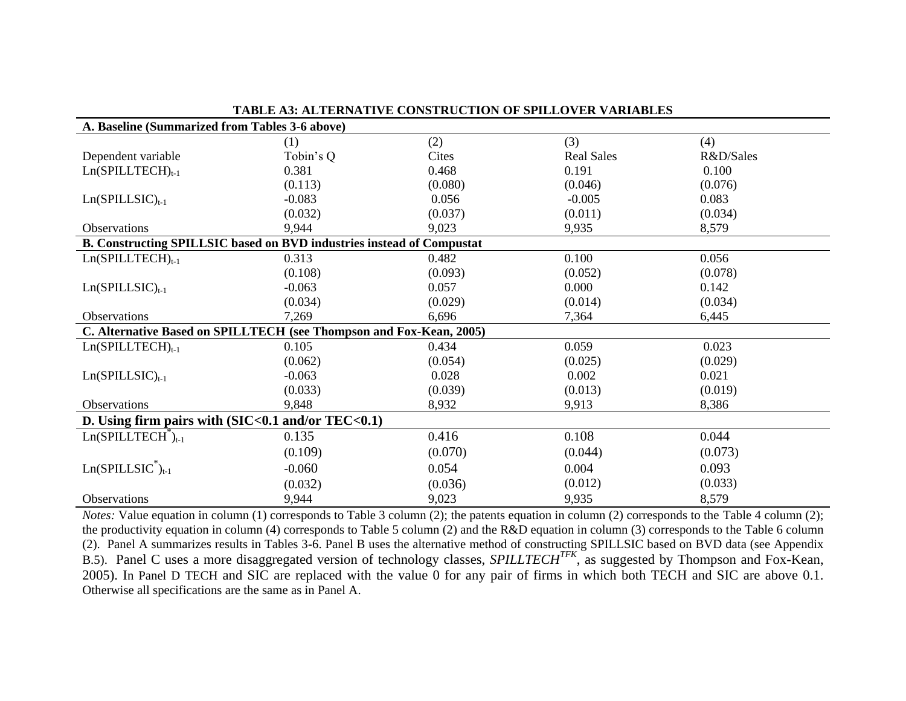| A. Baseline (Summarized from Tables 3-6 above)                        |           |         |                   |           |  |  |
|-----------------------------------------------------------------------|-----------|---------|-------------------|-----------|--|--|
|                                                                       | (1)       | (2)     | (3)               | (4)       |  |  |
| Dependent variable                                                    | Tobin's Q | Cites   | <b>Real Sales</b> | R&D/Sales |  |  |
| $Ln(SPILLTECH)_{t-1}$                                                 | 0.381     | 0.468   | 0.191             | 0.100     |  |  |
|                                                                       | (0.113)   | (0.080) | (0.046)           | (0.076)   |  |  |
| $Ln(SPILLSIC)_{t-1}$                                                  | $-0.083$  | 0.056   | $-0.005$          | 0.083     |  |  |
|                                                                       | (0.032)   | (0.037) | (0.011)           | (0.034)   |  |  |
| Observations                                                          | 9,944     | 9,023   | 9,935             | 8,579     |  |  |
| B. Constructing SPILLSIC based on BVD industries instead of Compustat |           |         |                   |           |  |  |
| $Ln(SPILLTECH)_{t-1}$                                                 | 0.313     | 0.482   | 0.100             | 0.056     |  |  |
|                                                                       | (0.108)   | (0.093) | (0.052)           | (0.078)   |  |  |
| $Ln(SPILLSIC)_{t-1}$                                                  | $-0.063$  | 0.057   | 0.000             | 0.142     |  |  |
|                                                                       | (0.034)   | (0.029) | (0.014)           | (0.034)   |  |  |
| <b>Observations</b>                                                   | 7,269     | 6,696   | 7,364             | 6,445     |  |  |
| C. Alternative Based on SPILLTECH (see Thompson and Fox-Kean, 2005)   |           |         |                   |           |  |  |
| $Ln(SPILLTECH)t-1$                                                    | 0.105     | 0.434   | 0.059             | 0.023     |  |  |
|                                                                       | (0.062)   | (0.054) | (0.025)           | (0.029)   |  |  |
| $Ln(SPILLSIC)_{t-1}$                                                  | $-0.063$  | 0.028   | 0.002             | 0.021     |  |  |
|                                                                       | (0.033)   | (0.039) | (0.013)           | (0.019)   |  |  |
| Observations                                                          | 9,848     | 8,932   | 9,913             | 8,386     |  |  |
| D. Using firm pairs with (SIC<0.1 and/or TEC<0.1)                     |           |         |                   |           |  |  |
| $Ln(SPILLTECH+)t-1$                                                   | 0.135     | 0.416   | 0.108             | 0.044     |  |  |
|                                                                       | (0.109)   | (0.070) | (0.044)           | (0.073)   |  |  |
| $Ln(SPILLSIC^*)_{t-1}$                                                | $-0.060$  | 0.054   | 0.004             | 0.093     |  |  |
|                                                                       | (0.032)   | (0.036) | (0.012)           | (0.033)   |  |  |
| <b>Observations</b>                                                   | 9,944     | 9,023   | 9,935             | 8,579     |  |  |

**TABLE A3: ALTERNATIVE CONSTRUCTION OF SPILLOVER VARIABLES**

*Notes:* Value equation in column (1) corresponds to Table 3 column (2); the patents equation in column (2) corresponds to the Table 4 column (2); the productivity equation in column (4) corresponds to Table 5 column (2) and the R&D equation in column (3) corresponds to the Table 6 column (2). Panel A summarizes results in Tables 3-6. Panel B uses the alternative method of constructing SPILLSIC based on BVD data (see Appendix B.5). Panel C uses a more disaggregated version of technology classes, *SPILLTECHTFK*, as suggested by Thompson and Fox-Kean, 2005). In Panel D TECH and SIC are replaced with the value 0 for any pair of firms in which both TECH and SIC are above 0.1. Otherwise all specifications are the same as in Panel A.